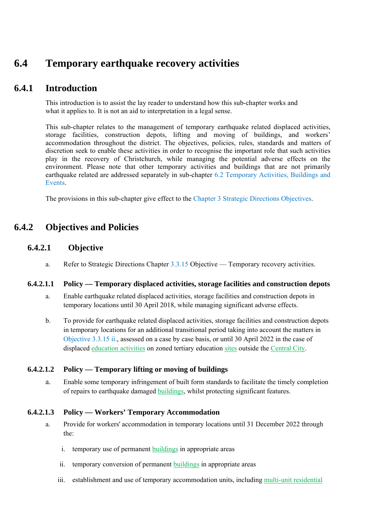# **6.4 Temporary earthquake recovery activities**

## **6.4.1 Introduction**

This introduction is to assist the lay reader to understand how this sub-chapter works and what it applies to. It is not an aid to interpretation in a legal sense.

This sub-chapter relates to the management of temporary earthquake related displaced activities, storage facilities, construction depots, lifting and moving of buildings, and workers' accommodation throughout the district. The objectives, policies, rules, standards and matters of discretion seek to enable these activities in order to recognise the important role that such activities play in the recovery of Christchurch, while managing the potential adverse effects on the environment. Please note that other temporary activities and buildings that are not primarily earthquake related are addressed separately in sub-chapter 6.2 Temporary Activities, Buildings and Events.

The provisions in this sub-chapter give effect to the Chapter 3 Strategic Directions Objectives.

## **6.4.2 Objectives and Policies**

## **6.4.2.1 Objective**

a. Refer to Strategic Directions Chapter 3.3.15 Objective — Temporary recovery activities.

#### **6.4.2.1.1 Policy — Temporary displaced activities, storage facilities and construction depots**

- a. Enable earthquake related displaced activities, storage facilities and construction depots in temporary locations until 30 April 2018, while managing significant adverse effects.
- b. To provide for earthquake related displaced activities, storage facilities and construction depots in temporary locations for an additional transitional period taking into account the matters in Objective 3.3.15 ii., assessed on a case by case basis, or until 30 April 2022 in the case of displaced education activities on zoned tertiary education sites outside the Central City.

#### **6.4.2.1.2 Policy — Temporary lifting or moving of buildings**

a. Enable some temporary infringement of built form standards to facilitate the timely completion of repairs to earthquake damaged buildings, whilst protecting significant features.

#### **6.4.2.1.3 Policy — Workers' Temporary Accommodation**

- a. Provide for workers' accommodation in temporary locations until 31 December 2022 through the:
	- i. temporary use of permanent buildings in appropriate areas
	- ii. temporary conversion of permanent buildings in appropriate areas
	- iii. establishment and use of temporary accommodation units, including multi-unit residential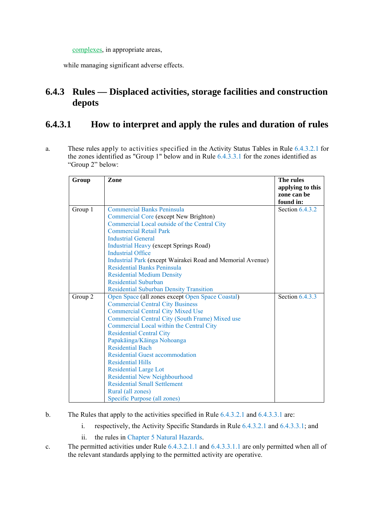complexes, in appropriate areas,

while managing significant adverse effects.

# **6.4.3 Rules — Displaced activities, storage facilities and construction depots**

# **6.4.3.1 How to interpret and apply the rules and duration of rules**

a. These rules apply to activities specified in the Activity Status Tables in Rule 6.4.3.2.1 for the zones identified as "Group 1" below and in Rule 6.4.3.3.1 for the zones identified as "Group 2" below:

| Group   | Zone                                                       | The rules         |
|---------|------------------------------------------------------------|-------------------|
|         |                                                            | applying to this  |
|         |                                                            | zone can be       |
|         |                                                            | found in:         |
| Group 1 | <b>Commercial Banks Peninsula</b>                          | Section $6.4.3.2$ |
|         | Commercial Core (except New Brighton)                      |                   |
|         | Commercial Local outside of the Central City               |                   |
|         | <b>Commercial Retail Park</b>                              |                   |
|         | <b>Industrial General</b>                                  |                   |
|         | <b>Industrial Heavy (except Springs Road)</b>              |                   |
|         | <b>Industrial Office</b>                                   |                   |
|         | Industrial Park (except Wairakei Road and Memorial Avenue) |                   |
|         | <b>Residential Banks Peninsula</b>                         |                   |
|         | <b>Residential Medium Density</b>                          |                   |
|         | <b>Residential Suburban</b>                                |                   |
|         | <b>Residential Suburban Density Transition</b>             |                   |
| Group 2 | Open Space (all zones except Open Space Coastal)           | Section $6.4.3.3$ |
|         | <b>Commercial Central City Business</b>                    |                   |
|         | <b>Commercial Central City Mixed Use</b>                   |                   |
|         | Commercial Central City (South Frame) Mixed use            |                   |
|         | Commercial Local within the Central City                   |                   |
|         | <b>Residential Central City</b>                            |                   |
|         | Papakāinga/Kāinga Nohoanga                                 |                   |
|         | <b>Residential Bach</b>                                    |                   |
|         | <b>Residential Guest accommodation</b>                     |                   |
|         | <b>Residential Hills</b>                                   |                   |
|         | <b>Residential Large Lot</b>                               |                   |
|         | Residential New Neighbourhood                              |                   |
|         | <b>Residential Small Settlement</b>                        |                   |
|         | Rural (all zones)                                          |                   |
|         | Specific Purpose (all zones)                               |                   |

- b. The Rules that apply to the activities specified in Rule 6.4.3.2.1 and 6.4.3.3.1 are:
	- i. respectively, the Activity Specific Standards in Rule 6.4.3.2.1 and 6.4.3.3.1; and
	- ii. the rules in Chapter 5 Natural Hazards.
- c. The permitted activities under Rule 6.4.3.2.1.1 and 6.4.3.3.1.1 are only permitted when all of the relevant standards applying to the permitted activity are operative.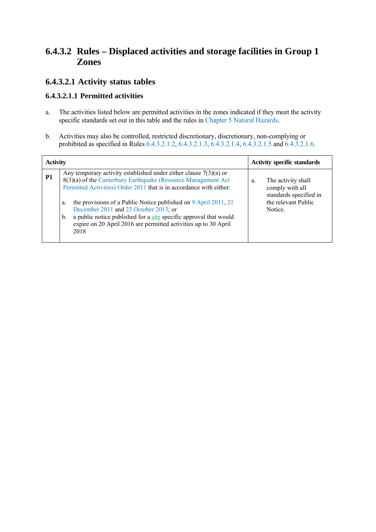# **6.4.3.2 Rules – Displaced activities and storage facilities in Group 1 Zones**

## **6.4.3.2.1 Activity status tables**

### **6.4.3.2.1.1 Permitted activities**

- a. The activities listed below are permitted activities in the zones indicated if they meet the activity specific standards set out in this table and the rules in Chapter 5 Natural Hazards.
- b. Activities may also be controlled, restricted discretionary, discretionary, non-complying or prohibited as specified in Rules 6.4.3.2.1.2, 6.4.3.2.1.3, 6.4.3.2.1.4, 6.4.3.2.1.5 and 6.4.3.2.1.6.

| <b>Activity</b> |                                                                                                                                                                                                             | <b>Activity specific standards</b>                                    |
|-----------------|-------------------------------------------------------------------------------------------------------------------------------------------------------------------------------------------------------------|-----------------------------------------------------------------------|
| P <sub>1</sub>  | Any temporary activity established under either clause $7(3)(a)$ or<br>8(3)(a) of the Canterbury Earthquake (Resource Management Act<br>Permitted Activities) Order 2011 that is in accordance with either: | The activity shall<br>a.<br>comply with all<br>standards specified in |
|                 | the provisions of a Public Notice published on 9 April 2011, 21<br>a.<br>December 2011 and 23 October 2013; or<br>a public notice published for a site specific approval that would<br>b.                   | the relevant Public<br>Notice.                                        |
|                 | expire on 20 April 2016 are permitted activities up to 30 April<br>2018                                                                                                                                     |                                                                       |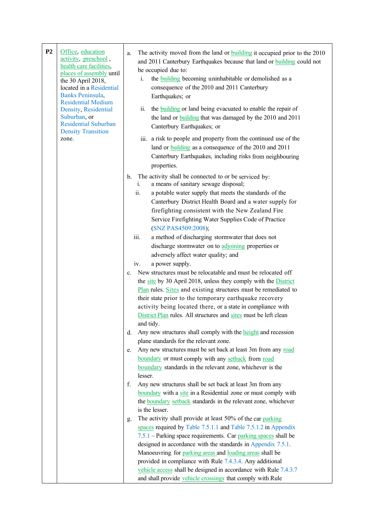| P <sub>2</sub> | Office, education<br>activity, preschool,<br>health care facilities,<br>places of assembly until<br>the 30 April 2018,<br>located in a Residential<br>Banks Peninsula,<br><b>Residential Medium</b><br>Density, Residential<br>Suburban, or<br><b>Residential Suburban</b><br><b>Density Transition</b><br>zone. | a.                                                       | The activity moved from the land or <b>building</b> it occupied prior to the 2010<br>and 2011 Canterbury Earthquakes because that land or building could not<br>be occupied due to:<br>the <b>building</b> becoming uninhabitable or demolished as a<br>i.<br>consequence of the 2010 and 2011 Canterbury<br>Earthquakes; or<br>ii.<br>the <b>building</b> or land being evacuated to enable the repair of<br>the land or <b>building</b> that was damaged by the 2010 and 2011<br>Canterbury Earthquakes; or<br>iii. a risk to people and property from the continued use of the<br>land or <b>building</b> as a consequence of the 2010 and 2011<br>Canterbury Earthquakes, including risks from neighbouring<br>properties.                                                                                                                                                                                                                                                                                                                                                                                                                                                                                                                                                                                                                                                                                                                                                                                                                                                                                                                                                                                                                                                                                                                                                                                                                                            |
|----------------|------------------------------------------------------------------------------------------------------------------------------------------------------------------------------------------------------------------------------------------------------------------------------------------------------------------|----------------------------------------------------------|---------------------------------------------------------------------------------------------------------------------------------------------------------------------------------------------------------------------------------------------------------------------------------------------------------------------------------------------------------------------------------------------------------------------------------------------------------------------------------------------------------------------------------------------------------------------------------------------------------------------------------------------------------------------------------------------------------------------------------------------------------------------------------------------------------------------------------------------------------------------------------------------------------------------------------------------------------------------------------------------------------------------------------------------------------------------------------------------------------------------------------------------------------------------------------------------------------------------------------------------------------------------------------------------------------------------------------------------------------------------------------------------------------------------------------------------------------------------------------------------------------------------------------------------------------------------------------------------------------------------------------------------------------------------------------------------------------------------------------------------------------------------------------------------------------------------------------------------------------------------------------------------------------------------------------------------------------------------------|
|                |                                                                                                                                                                                                                                                                                                                  | $\mathbf{b}$ .<br>$\mathbf{c}$ .<br>d.<br>e.<br>f.<br>g. | The activity shall be connected to or be serviced by:<br>i.<br>a means of sanitary sewage disposal;<br>ii.<br>a potable water supply that meets the standards of the<br>Canterbury District Health Board and a water supply for<br>firefighting consistent with the New Zealand Fire<br>Service Firefighting Water Supplies Code of Practice<br>(SNZ PAS4509:2008);<br>iii.<br>a method of discharging stormwater that does not<br>discharge stormwater on to adjoining properties or<br>adversely affect water quality; and<br>a power supply.<br>iv.<br>New structures must be relocatable and must be relocated off<br>the site by 30 April 2018, unless they comply with the District<br>Plan rules. Sites and existing structures must be remediated to<br>their state prior to the temporary earthquake recovery<br>activity being located there, or a state in compliance with<br>District Plan rules. All structures and sites must be left clean<br>and tidy.<br>Any new structures shall comply with the height and recession<br>plane standards for the relevant zone.<br>Any new structures must be set back at least 3m from any road<br>boundary or must comply with any setback from road<br>boundary standards in the relevant zone, whichever is the<br>lesser.<br>Any new structures shall be set back at least 3m from any<br>boundary with a site in a Residential zone or must comply with<br>the <b>boundary</b> setback standards in the relevant zone, whichever<br>is the lesser.<br>The activity shall provide at least 50% of the car parking<br>spaces required by Table 7.5.1.1 and Table 7.5.1.2 in Appendix<br>7.5.1 – Parking space requirements. Car parking spaces shall be<br>designed in accordance with the standards in Appendix 7.5.1.<br>Manoeuvring for parking areas and loading areas shall be<br>provided in compliance with Rule 7.4.3.4. Any additional<br>vehicle access shall be designed in accordance with Rule 7.4.3.7 |
|                |                                                                                                                                                                                                                                                                                                                  |                                                          | and shall provide vehicle crossings that comply with Rule                                                                                                                                                                                                                                                                                                                                                                                                                                                                                                                                                                                                                                                                                                                                                                                                                                                                                                                                                                                                                                                                                                                                                                                                                                                                                                                                                                                                                                                                                                                                                                                                                                                                                                                                                                                                                                                                                                                 |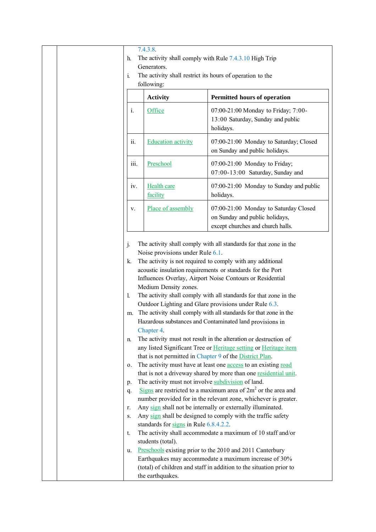| 7.4.3.8.<br>The activity shall comply with Rule 7.4.3.10 High Trip<br>h.<br>Generators.<br>The activity shall restrict its hours of operation to the<br>$\mathbf{1}$ .<br>following: |                                                                                                                                                                                                                  |                                                                                                                                                                                                                                                                                                                                                                                                                                                                                                                                                                                                                                                                                                                                                                                                                                                                                                                                                                                                                                                                                                                                                                                                                                                                                                                                                                                                      |
|--------------------------------------------------------------------------------------------------------------------------------------------------------------------------------------|------------------------------------------------------------------------------------------------------------------------------------------------------------------------------------------------------------------|------------------------------------------------------------------------------------------------------------------------------------------------------------------------------------------------------------------------------------------------------------------------------------------------------------------------------------------------------------------------------------------------------------------------------------------------------------------------------------------------------------------------------------------------------------------------------------------------------------------------------------------------------------------------------------------------------------------------------------------------------------------------------------------------------------------------------------------------------------------------------------------------------------------------------------------------------------------------------------------------------------------------------------------------------------------------------------------------------------------------------------------------------------------------------------------------------------------------------------------------------------------------------------------------------------------------------------------------------------------------------------------------------|
|                                                                                                                                                                                      | <b>Activity</b>                                                                                                                                                                                                  | Permitted hours of operation                                                                                                                                                                                                                                                                                                                                                                                                                                                                                                                                                                                                                                                                                                                                                                                                                                                                                                                                                                                                                                                                                                                                                                                                                                                                                                                                                                         |
| i.                                                                                                                                                                                   | Office                                                                                                                                                                                                           | 07:00-21:00 Monday to Friday; 7:00-<br>13:00 Saturday, Sunday and public<br>holidays.                                                                                                                                                                                                                                                                                                                                                                                                                                                                                                                                                                                                                                                                                                                                                                                                                                                                                                                                                                                                                                                                                                                                                                                                                                                                                                                |
| ii.                                                                                                                                                                                  | <b>Education activity</b>                                                                                                                                                                                        | 07:00-21:00 Monday to Saturday; Closed<br>on Sunday and public holidays.                                                                                                                                                                                                                                                                                                                                                                                                                                                                                                                                                                                                                                                                                                                                                                                                                                                                                                                                                                                                                                                                                                                                                                                                                                                                                                                             |
| iii.                                                                                                                                                                                 | Preschool                                                                                                                                                                                                        | 07:00-21:00 Monday to Friday;<br>07:00-13:00 Saturday, Sunday and                                                                                                                                                                                                                                                                                                                                                                                                                                                                                                                                                                                                                                                                                                                                                                                                                                                                                                                                                                                                                                                                                                                                                                                                                                                                                                                                    |
| iv.                                                                                                                                                                                  | <b>Health care</b><br>facility                                                                                                                                                                                   | 07:00-21:00 Monday to Sunday and public<br>holidays.                                                                                                                                                                                                                                                                                                                                                                                                                                                                                                                                                                                                                                                                                                                                                                                                                                                                                                                                                                                                                                                                                                                                                                                                                                                                                                                                                 |
| V.                                                                                                                                                                                   | Place of assembly                                                                                                                                                                                                | 07:00-21:00 Monday to Saturday Closed<br>on Sunday and public holidays,<br>except churches and church halls.                                                                                                                                                                                                                                                                                                                                                                                                                                                                                                                                                                                                                                                                                                                                                                                                                                                                                                                                                                                                                                                                                                                                                                                                                                                                                         |
| j.<br>k.<br>$\perp$<br>m.<br>n.<br>0.<br>$p_{\cdot}$<br>q.<br>r.<br>S.<br>t.<br>u.                                                                                                   | Noise provisions under Rule 6.1.<br>Medium Density zones.<br>Chapter 4.<br>The activity must not involve subdivision of land.<br>standards for signs in Rule 6.8.4.2.2.<br>students (total).<br>the earthquakes. | The activity shall comply with all standards for that zone in the<br>The activity is not required to comply with any additional<br>acoustic insulation requirements or standards for the Port<br>Influences Overlay, Airport Noise Contours or Residential<br>The activity shall comply with all standards for that zone in the<br>Outdoor Lighting and Glare provisions under Rule 6.3.<br>The activity shall comply with all standards for that zone in the<br>Hazardous substances and Contaminated land provisions in<br>The activity must not result in the alteration or destruction of<br>any listed Significant Tree or Heritage setting or Heritage item<br>that is not permitted in Chapter 9 of the District Plan.<br>The activity must have at least one access to an existing road<br>that is not a driveway shared by more than one residential unit.<br>Signs are restricted to a maximum area of $2m2$ or the area and<br>number provided for in the relevant zone, whichever is greater.<br>Any sign shall not be internally or externally illuminated.<br>Any sign shall be designed to comply with the traffic safety<br>The activity shall accommodate a maximum of 10 staff and/or<br>Preschools existing prior to the 2010 and 2011 Canterbury<br>Earthquakes may accommodate a maximum increase of 30%<br>(total) of children and staff in addition to the situation prior to |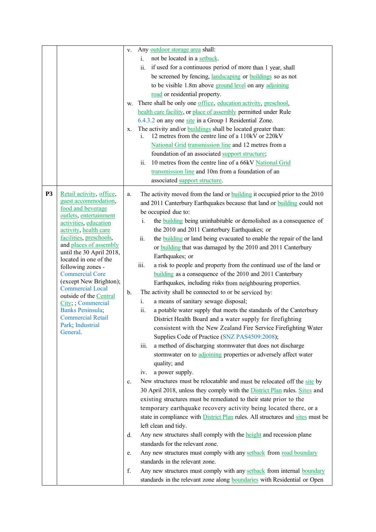|           |                                                   | V.            | Any outdoor storage area shall:                                                                                                 |
|-----------|---------------------------------------------------|---------------|---------------------------------------------------------------------------------------------------------------------------------|
|           |                                                   |               | not be located in a setback.<br>i.                                                                                              |
|           |                                                   |               | if used for a continuous period of more than 1 year, shall<br>ii.                                                               |
|           |                                                   |               | be screened by fencing, landscaping or buildings so as not                                                                      |
|           |                                                   |               | to be visible 1.8m above ground level on any adjoining                                                                          |
|           |                                                   |               | road or residential property.                                                                                                   |
|           |                                                   | W.            | There shall be only one office, education activity, preschool,                                                                  |
|           |                                                   |               | health care facility, or place of assembly permitted under Rule                                                                 |
|           |                                                   |               | 6.4.3.2 on any one site in a Group 1 Residential Zone.                                                                          |
|           |                                                   | X.            | The activity and/or <b>buildings</b> shall be located greater than:<br>12 metres from the centre line of a 110kV or 220kV<br>i. |
|           |                                                   |               | National Grid transmission line and 12 metres from a                                                                            |
|           |                                                   |               | foundation of an associated support structure;                                                                                  |
|           |                                                   |               | 10 metres from the centre line of a 66kV National Grid<br>11.                                                                   |
|           |                                                   |               | transmission line and 10m from a foundation of an                                                                               |
|           |                                                   |               | associated support structure.                                                                                                   |
|           |                                                   |               |                                                                                                                                 |
| <b>P3</b> | Retail activity, office,                          | a.            | The activity moved from the land or <b>building</b> it occupied prior to the 2010                                               |
|           | guest accommodation.<br>food and beverage         |               | and 2011 Canterbury Earthquakes because that land or <b>building</b> could not                                                  |
|           | outlets, entertainment                            |               | be occupied due to:                                                                                                             |
|           | activities, education                             |               | the <b>building</b> being uninhabitable or demolished as a consequence of<br>i.                                                 |
|           | activity, health care                             |               | the 2010 and 2011 Canterbury Earthquakes; or                                                                                    |
|           | facilities, preschools,<br>and places of assembly |               | ii.<br>the <b>building</b> or land being evacuated to enable the repair of the land                                             |
|           | until the 30 April 2018,                          |               | or building that was damaged by the 2010 and 2011 Canterbury                                                                    |
|           | located in one of the                             |               | Earthquakes; or                                                                                                                 |
|           | following zones -                                 |               | iii.<br>a risk to people and property from the continued use of the land or                                                     |
|           | <b>Commercial Core</b>                            |               | building as a consequence of the 2010 and 2011 Canterbury                                                                       |
|           | (except New Brighton);<br><b>Commercial Local</b> |               | Earthquakes, including risks from neighbouring properties.                                                                      |
|           | outside of the Central                            | $\mathbf b$ . | The activity shall be connected to or be serviced by:                                                                           |
|           | City; ; Commercial                                |               | a means of sanitary sewage disposal;<br>i.                                                                                      |
|           | Banks Peninsula;                                  |               | a potable water supply that meets the standards of the Canterbury<br>ii.                                                        |
|           | <b>Commercial Retail</b><br>Park; Industrial      |               | District Health Board and a water supply for firefighting                                                                       |
|           | General.                                          |               | consistent with the New Zealand Fire Service Firefighting Water                                                                 |
|           |                                                   |               | Supplies Code of Practice (SNZ PAS4509:2008);                                                                                   |
|           |                                                   |               | a method of discharging stormwater that does not discharge<br>iii.                                                              |
|           |                                                   |               | stormwater on to adjoining properties or adversely affect water                                                                 |
|           |                                                   |               | quality; and                                                                                                                    |
|           |                                                   |               | a power supply.<br>iv.                                                                                                          |
|           |                                                   | $c_{\cdot}$   | New structures must be relocatable and must be relocated off the site by                                                        |
|           |                                                   |               | 30 April 2018, unless they comply with the District Plan rules. Sites and                                                       |
|           |                                                   |               | existing structures must be remediated to their state prior to the                                                              |
|           |                                                   |               | temporary earthquake recovery activity being located there, or a                                                                |
|           |                                                   |               | state in compliance with <b>District Plan</b> rules. All structures and sites must be                                           |
|           |                                                   |               | left clean and tidy.                                                                                                            |
|           |                                                   | d.            | Any new structures shall comply with the <b>height</b> and recession plane                                                      |
|           |                                                   |               | standards for the relevant zone.                                                                                                |
|           |                                                   | e.            | Any new structures must comply with any setback from road boundary                                                              |
|           |                                                   |               | standards in the relevant zone.                                                                                                 |
|           |                                                   | f.            | Any new structures must comply with any setback from internal boundary                                                          |
|           |                                                   |               | standards in the relevant zone along boundaries with Residential or Open                                                        |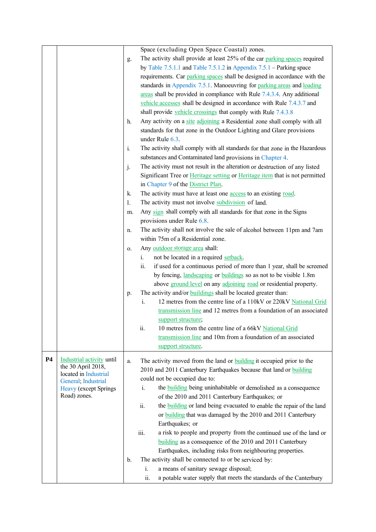| Space (excluding Open Space Coastal) zones.                                                                                         |  |
|-------------------------------------------------------------------------------------------------------------------------------------|--|
| The activity shall provide at least 25% of the car parking spaces required<br>g.                                                    |  |
| by Table 7.5.1.1 and Table 7.5.1.2 in Appendix $7.5.1$ – Parking space                                                              |  |
| requirements. Car parking spaces shall be designed in accordance with the                                                           |  |
| standards in Appendix 7.5.1. Manoeuvring for parking areas and loading                                                              |  |
| areas shall be provided in compliance with Rule 7.4.3.4. Any additional                                                             |  |
| vehicle accesses shall be designed in accordance with Rule 7.4.3.7 and                                                              |  |
| shall provide vehicle crossings that comply with Rule 7.4.3.8                                                                       |  |
| Any activity on a site adjoining a Residential zone shall comply with all<br>h.                                                     |  |
| standards for that zone in the Outdoor Lighting and Glare provisions                                                                |  |
| under Rule 6.3.                                                                                                                     |  |
| $\mathbf{i}$ .<br>The activity shall comply with all standards for that zone in the Hazardous                                       |  |
|                                                                                                                                     |  |
| substances and Contaminated land provisions in Chapter 4.                                                                           |  |
| j.<br>The activity must not result in the alteration or destruction of any listed                                                   |  |
| Significant Tree or Heritage setting or Heritage item that is not permitted                                                         |  |
| in Chapter 9 of the District Plan.                                                                                                  |  |
| The activity must have at least one access to an existing road.<br>k.                                                               |  |
| The activity must not involve subdivision of land.<br>1.                                                                            |  |
| Any sign shall comply with all standards for that zone in the Signs<br>m.                                                           |  |
| provisions under Rule 6.8.                                                                                                          |  |
| The activity shall not involve the sale of alcohol between 11pm and 7am<br>n.                                                       |  |
| within 75m of a Residential zone.                                                                                                   |  |
| Any outdoor storage area shall:<br>0.                                                                                               |  |
| not be located in a required setback.<br>i.                                                                                         |  |
| if used for a continuous period of more than 1 year, shall be screened<br>ii.                                                       |  |
| by fencing, <i>landscaping</i> or <i>buildings</i> so as not to be visible 1.8m                                                     |  |
| above ground level on any adjoining road or residential property.                                                                   |  |
| The activity and/or <b>buildings</b> shall be located greater than:<br>p.                                                           |  |
| $i$ .<br>12 metres from the centre line of a 110kV or 220kV National Grid                                                           |  |
| transmission line and 12 metres from a foundation of an associated                                                                  |  |
| support structure;                                                                                                                  |  |
| 10 metres from the centre line of a 66kV National Grid<br>11.                                                                       |  |
| transmission line and 10m from a foundation of an associated                                                                        |  |
| support structure.                                                                                                                  |  |
| <b>P4</b><br>Industrial activity until<br>The activity moved from the land or <b>building</b> it occupied prior to the<br>a.        |  |
| the 30 April 2018,<br>2010 and 2011 Canterbury Earthquakes because that land or building                                            |  |
| located in Industrial<br>could not be occupied due to:                                                                              |  |
| General; Industrial<br>the <b>building</b> being uninhabitable or demolished as a consequence<br>i.<br><b>Heavy</b> (except Springs |  |
| Road) zones.<br>of the 2010 and 2011 Canterbury Earthquakes; or                                                                     |  |
| ii.<br>the <b>building</b> or land being evacuated to enable the repair of the land                                                 |  |
| or <b>building</b> that was damaged by the 2010 and 2011 Canterbury                                                                 |  |
| Earthquakes; or                                                                                                                     |  |
| a risk to people and property from the continued use of the land or<br>iii.                                                         |  |
| building as a consequence of the 2010 and 2011 Canterbury                                                                           |  |
| Earthquakes, including risks from neighbouring properties.                                                                          |  |
|                                                                                                                                     |  |
|                                                                                                                                     |  |
| The activity shall be connected to or be serviced by:<br>b.<br>a means of sanitary sewage disposal;<br>i.                           |  |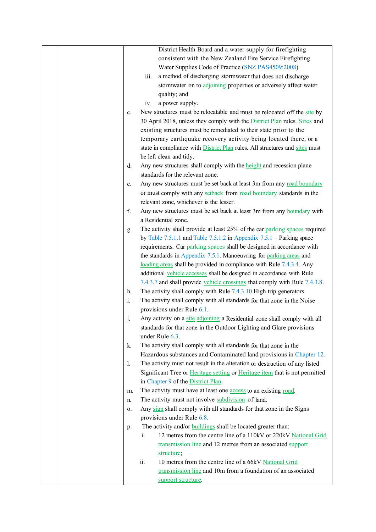| District Health Board and a water supply for firefighting                                     |
|-----------------------------------------------------------------------------------------------|
| consistent with the New Zealand Fire Service Firefighting                                     |
| Water Supplies Code of Practice (SNZ PAS4509:2008)                                            |
| a method of discharging stormwater that does not discharge<br>iii.                            |
| stormwater on to adjoining properties or adversely affect water                               |
| quality; and                                                                                  |
| a power supply.<br>iv.                                                                        |
| New structures must be relocatable and must be relocated off the site by<br>c.                |
| 30 April 2018, unless they comply with the District Plan rules. Sites and                     |
| existing structures must be remediated to their state prior to the                            |
| temporary earthquake recovery activity being located there, or a                              |
| state in compliance with <b>District Plan</b> rules. All structures and sites must            |
| be left clean and tidy.                                                                       |
| Any new structures shall comply with the <b>height</b> and recession plane<br>d.              |
| standards for the relevant zone.                                                              |
| Any new structures must be set back at least 3m from any road boundary<br>e.                  |
| or must comply with any setback from road boundary standards in the                           |
| relevant zone, whichever is the lesser.                                                       |
| f.<br>Any new structures must be set back at least 3m from any boundary with                  |
| a Residential zone.                                                                           |
| The activity shall provide at least 25% of the car parking spaces required<br>g.              |
| by Table $7.5.1.1$ and Table $7.5.1.2$ in Appendix $7.5.1$ – Parking space                    |
| requirements. Car parking spaces shall be designed in accordance with                         |
| the standards in Appendix 7.5.1. Manoeuvring for parking areas and                            |
| loading areas shall be provided in compliance with Rule 7.4.3.4. Any                          |
| additional vehicle accesses shall be designed in accordance with Rule                         |
| 7.4.3.7 and shall provide vehicle crossings that comply with Rule 7.4.3.8.                    |
| The activity shall comply with Rule 7.4.3.10 High trip generators.<br>h.                      |
| i.<br>The activity shall comply with all standards for that zone in the Noise                 |
| provisions under Rule 6.1.                                                                    |
| Any activity on a site adjoining a Residential zone shall comply with all<br>j.               |
| standards for that zone in the Outdoor Lighting and Glare provisions<br>under Rule 6.3.       |
| The activity shall comply with all standards for that zone in the<br>k.                       |
| Hazardous substances and Contaminated land provisions in Chapter 12.                          |
| The activity must not result in the alteration or destruction of any listed<br>$\mathbf{l}$ . |
| Significant Tree or Heritage setting or Heritage item that is not permitted                   |
| in Chapter 9 of the District Plan.                                                            |
| The activity must have at least one <b>access</b> to an existing road.<br>m.                  |
| The activity must not involve subdivision of land.<br>n.                                      |
| Any sign shall comply with all standards for that zone in the Signs<br>0.                     |
| provisions under Rule 6.8.                                                                    |
| The activity and/or <b>buildings</b> shall be located greater than:<br>p.                     |
| 12 metres from the centre line of a 110kV or 220kV National Grid<br>i.                        |
| transmission line and 12 metres from an associated support                                    |
| structure;                                                                                    |
| 10 metres from the centre line of a 66kV National Grid<br>ii.                                 |
| transmission line and 10m from a foundation of an associated                                  |
| support structure.                                                                            |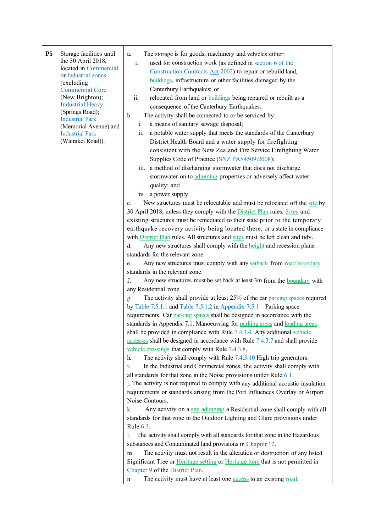| P <sub>5</sub><br>Storage facilities until<br>the 30 April 2018,<br>located in Commercial<br>or Industrial zones<br>(excluding<br><b>Commercial Core</b><br>(New Brighton);<br><b>Industrial Heavy</b><br>(Springs Road);<br><b>Industrial Park</b><br>(Memorial Avenue) and<br><b>Industrial Park</b><br>(Wairakei Road)). | The storage is for goods, machinery and vehicles either:<br>a.<br>i.<br>used for construction work (as defined in section 6 of the<br>Construction Contracts Act 2002) to repair or rebuild land,<br>buildings, infrastructure or other facilities damaged by the<br>Canterbury Earthquakes; or<br>ii.<br>relocated from land or <b>buildings</b> being repaired or rebuilt as a<br>consequence of the Canterbury Earthquakes.<br>The activity shall be connected to or be serviced by:<br>$\mathbf{b}$ .<br>a means of sanitary sewage disposal;<br>i.<br>a potable water supply that meets the standards of the Canterbury<br>ii.<br>District Health Board and a water supply for firefighting<br>consistent with the New Zealand Fire Service Firefighting Water<br>Supplies Code of Practice (SNZ PAS4509:2008);<br>iii. a method of discharging stormwater that does not discharge<br>stormwater on to adjoining properties or adversely affect water<br>quality; and<br>iv. a power supply.<br>New structures must be relocatable and must be relocated off the site by<br>c.<br>30 April 2018, unless they comply with the District Plan rules. Sites and<br>existing structures must be remediated to their state prior to the temporary<br>earthquake recovery activity being located there, or a state in compliance<br>with <b>District Plan</b> rules. All structures and sites must be left clean and tidy.<br>Any new structures shall comply with the <b>height</b> and recession plane<br>d.<br>standards for the relevant zone.<br>Any new structures must comply with any setback from road boundary<br>e.<br>standards in the relevant zone.<br>f.<br>Any new structures must be set back at least 3m from the <b>boundary</b> with<br>any Residential zone.<br>The activity shall provide at least 25% of the car parking spaces required<br>g.<br>by Table 7.5.1.1 and Table 7.5.1.2 in Appendix $7.5.1$ – Parking space<br>requirements. Car parking spaces shall be designed in accordance with the<br>standards in Appendix 7.1. Manoeuvring for parking areas and loading areas<br>shall be provided in compliance with Rule 7.4.3.4. Any additional vehicle<br>accesses shall be designed in accordance with Rule 7.4.3.7 and shall provide<br>vehicle crossings that comply with Rule 7.4.3.8.<br>The activity shall comply with Rule 7.4.3.10 High trip generators.<br>h.<br>In the Industrial and Commercial zones, the activity shall comply with<br>i.<br>all standards for that zone in the Noise provisions under Rule $6.1$ .<br>j. The activity is not required to comply with any additional acoustic insulation<br>requirements or standards arising from the Port Influences Overlay or Airport<br>Noise Contours.<br>Any activity on a site adjoining a Residential zone shall comply with all<br>k.<br>standards for that zone in the Outdoor Lighting and Glare provisions under |
|-----------------------------------------------------------------------------------------------------------------------------------------------------------------------------------------------------------------------------------------------------------------------------------------------------------------------------|---------------------------------------------------------------------------------------------------------------------------------------------------------------------------------------------------------------------------------------------------------------------------------------------------------------------------------------------------------------------------------------------------------------------------------------------------------------------------------------------------------------------------------------------------------------------------------------------------------------------------------------------------------------------------------------------------------------------------------------------------------------------------------------------------------------------------------------------------------------------------------------------------------------------------------------------------------------------------------------------------------------------------------------------------------------------------------------------------------------------------------------------------------------------------------------------------------------------------------------------------------------------------------------------------------------------------------------------------------------------------------------------------------------------------------------------------------------------------------------------------------------------------------------------------------------------------------------------------------------------------------------------------------------------------------------------------------------------------------------------------------------------------------------------------------------------------------------------------------------------------------------------------------------------------------------------------------------------------------------------------------------------------------------------------------------------------------------------------------------------------------------------------------------------------------------------------------------------------------------------------------------------------------------------------------------------------------------------------------------------------------------------------------------------------------------------------------------------------------------------------------------------------------------------------------------------------------------------------------------------------------------------------------------------------------------------------------------------------------------------------------------------------------------------------------------------------------------------------------------------------------------------------------------------------|
|                                                                                                                                                                                                                                                                                                                             | Rule 6.3.<br>The activity shall comply with all standards for that zone in the Hazardous<br>1.                                                                                                                                                                                                                                                                                                                                                                                                                                                                                                                                                                                                                                                                                                                                                                                                                                                                                                                                                                                                                                                                                                                                                                                                                                                                                                                                                                                                                                                                                                                                                                                                                                                                                                                                                                                                                                                                                                                                                                                                                                                                                                                                                                                                                                                                                                                                                                                                                                                                                                                                                                                                                                                                                                                                                                                                                            |
|                                                                                                                                                                                                                                                                                                                             | substances and Contaminated land provisions in Chapter 12.<br>The activity must not result in the alteration or destruction of any listed<br>m<br>Significant Tree or Heritage setting or Heritage item that is not permitted in<br>Chapter 9 of the District Plan.<br>The activity must have at least one access to an existing road.<br>n                                                                                                                                                                                                                                                                                                                                                                                                                                                                                                                                                                                                                                                                                                                                                                                                                                                                                                                                                                                                                                                                                                                                                                                                                                                                                                                                                                                                                                                                                                                                                                                                                                                                                                                                                                                                                                                                                                                                                                                                                                                                                                                                                                                                                                                                                                                                                                                                                                                                                                                                                                               |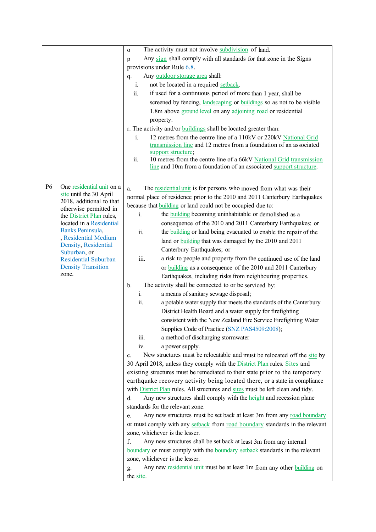|                |                                                    | The activity must not involve subdivision of land.<br>$\mathbf{O}$                     |
|----------------|----------------------------------------------------|----------------------------------------------------------------------------------------|
|                |                                                    | Any sign shall comply with all standards for that zone in the Signs<br>p               |
|                |                                                    | provisions under Rule 6.8.                                                             |
|                |                                                    | Any outdoor storage area shall:<br>q.                                                  |
|                |                                                    | not be located in a required setback.<br>i.                                            |
|                |                                                    | if used for a continuous period of more than 1 year, shall be<br>ii.                   |
|                |                                                    | screened by fencing, landscaping or buildings so as not to be visible                  |
|                |                                                    | 1.8m above ground level on any adjoining road or residential                           |
|                |                                                    | property.                                                                              |
|                |                                                    | r. The activity and/or <b>buildings</b> shall be located greater than:                 |
|                |                                                    | $i$ .<br>12 metres from the centre line of a 110kV or 220kV National Grid              |
|                |                                                    | transmission line and 12 metres from a foundation of an associated                     |
|                |                                                    | support structure;                                                                     |
|                |                                                    | ii.<br>10 metres from the centre line of a 66kV National Grid transmission             |
|                |                                                    | line and 10m from a foundation of an associated support structure.                     |
|                |                                                    |                                                                                        |
| P <sub>6</sub> | One residential unit on a                          | The residential unit is for persons who moved from what was their<br>a.                |
|                | site until the 30 April                            | normal place of residence prior to the 2010 and 2011 Canterbury Earthquakes            |
|                | 2018, additional to that                           | because that <b>building</b> or land could not be occupied due to:                     |
|                | otherwise permitted in<br>the District Plan rules, | the <b>building</b> becoming uninhabitable or demolished as a<br>$i$ .                 |
|                | located in a Residential                           | consequence of the 2010 and 2011 Canterbury Earthquakes; or                            |
|                | Banks Peninsula,                                   | the <b>building</b> or land being evacuated to enable the repair of the<br>ii.         |
|                | , Residential Medium                               | land or building that was damaged by the 2010 and 2011                                 |
|                | Density, Residential                               | Canterbury Earthquakes; or                                                             |
|                | Suburban, or<br><b>Residential Suburban</b>        | a risk to people and property from the continued use of the land<br>iii.               |
|                | <b>Density Transition</b>                          | or <b>building</b> as a consequence of the 2010 and 2011 Canterbury                    |
|                | zone.                                              | Earthquakes, including risks from neighbouring properties.                             |
|                |                                                    | The activity shall be connected to or be serviced by:<br>$\mathbf b$ .                 |
|                |                                                    | $i$ .<br>a means of sanitary sewage disposal;                                          |
|                |                                                    | ii.<br>a potable water supply that meets the standards of the Canterbury               |
|                |                                                    | District Health Board and a water supply for firefighting                              |
|                |                                                    | consistent with the New Zealand Fire Service Firefighting Water                        |
|                |                                                    | Supplies Code of Practice (SNZ PAS4509:2008);                                          |
|                |                                                    | iii.<br>a method of discharging stormwater                                             |
|                |                                                    | iv.<br>a power supply.                                                                 |
|                |                                                    | New structures must be relocatable and must be relocated off the site by<br>c.         |
|                |                                                    | 30 April 2018, unless they comply with the District Plan rules. Sites and              |
|                |                                                    | existing structures must be remediated to their state prior to the temporary           |
|                |                                                    | earthquake recovery activity being located there, or a state in compliance             |
|                |                                                    | with <b>District Plan</b> rules. All structures and sites must be left clean and tidy. |
|                |                                                    | Any new structures shall comply with the <b>height</b> and recession plane<br>d.       |
|                |                                                    | standards for the relevant zone.                                                       |
|                |                                                    | Any new structures must be set back at least 3m from any road boundary<br>e.           |
|                |                                                    | or must comply with any setback from road boundary standards in the relevant           |
|                |                                                    | zone, whichever is the lesser.                                                         |
|                |                                                    | f.<br>Any new structures shall be set back at least 3m from any internal               |
|                |                                                    | boundary or must comply with the boundary setback standards in the relevant            |
|                |                                                    | zone, whichever is the lesser.                                                         |
|                |                                                    | Any new residential unit must be at least 1m from any other building on<br>g.          |
|                |                                                    | the site.                                                                              |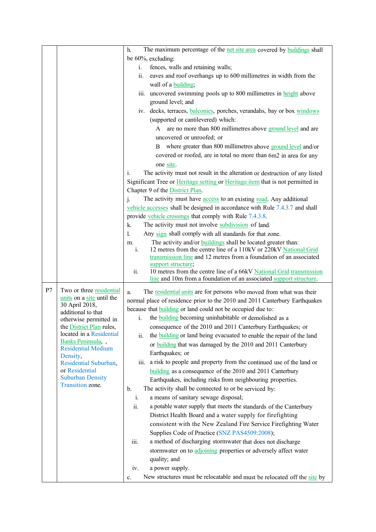|    |                                                | The maximum percentage of the net site area covered by buildings shall<br>h.                                                                                    |
|----|------------------------------------------------|-----------------------------------------------------------------------------------------------------------------------------------------------------------------|
|    |                                                | be 60%, excluding:                                                                                                                                              |
|    |                                                | fences, walls and retaining walls;<br>i.                                                                                                                        |
|    |                                                | eaves and roof overhangs up to 600 millimetres in width from the<br>11.                                                                                         |
|    |                                                | wall of a building;                                                                                                                                             |
|    |                                                | iii. uncovered swimming pools up to 800 millimetres in height above                                                                                             |
|    |                                                | ground level; and                                                                                                                                               |
|    |                                                | iv. decks, terraces, balconies, porches, verandahs, bay or box windows                                                                                          |
|    |                                                | (supported or cantilevered) which:                                                                                                                              |
|    |                                                | A are no more than 800 millimetres above ground level and are                                                                                                   |
|    |                                                | uncovered or unroofed; or                                                                                                                                       |
|    |                                                | B where greater than 800 millimetres above ground level and/or                                                                                                  |
|    |                                                | covered or roofed, are in total no more than 6m2 in area for any                                                                                                |
|    |                                                | one site.                                                                                                                                                       |
|    |                                                | The activity must not result in the alteration or destruction of any listed<br>i.                                                                               |
|    |                                                | Significant Tree or Heritage setting or Heritage item that is not permitted in                                                                                  |
|    |                                                | Chapter 9 of the District Plan.                                                                                                                                 |
|    |                                                | The activity must have access to an existing road. Any additional<br>j.                                                                                         |
|    |                                                | vehicle accesses shall be designed in accordance with Rule 7.4.3.7 and shall                                                                                    |
|    |                                                | provide vehicle crossings that comply with Rule 7.4.3.8.                                                                                                        |
|    |                                                | The activity must not involve subdivision of land.<br>k.                                                                                                        |
|    |                                                | 1.<br>Any sign shall comply with all standards for that zone.                                                                                                   |
|    |                                                | The activity and/or <b>buildings</b> shall be located greater than:<br>m.<br>12 metres from the centre line of a 110kV or 220kV National Grid<br>$\mathbf{i}$ . |
|    |                                                | transmission line and 12 metres from a foundation of an associated                                                                                              |
|    |                                                | support structure;                                                                                                                                              |
|    |                                                | 10 metres from the centre line of a 66kV National Grid transmission<br>ii.                                                                                      |
|    |                                                | line and 10m from a foundation of an associated support structure.                                                                                              |
| P7 | Two or three residential                       | The residential units are for persons who moved from what was their<br>a.                                                                                       |
|    | units on a site until the<br>30 April 2018,    | normal place of residence prior to the 2010 and 2011 Canterbury Earthquakes                                                                                     |
|    | additional to that                             | because that <b>building</b> or land could not be occupied due to:                                                                                              |
|    | otherwise permitted in                         | the building becoming uninhabitable or demolished as a<br>i.                                                                                                    |
|    | the <b>District Plan</b> rules,                | consequence of the 2010 and 2011 Canterbury Earthquakes; or                                                                                                     |
|    | located in a Residential<br>Banks Peninsula, , | the <b>building</b> or land being evacuated to enable the repair of the land<br>ii.                                                                             |
|    | <b>Residential Medium</b>                      | or building that was damaged by the 2010 and 2011 Canterbury                                                                                                    |
|    | Density,                                       | Earthquakes; or                                                                                                                                                 |
|    | Residential Suburban,                          | iii. a risk to people and property from the continued use of the land or                                                                                        |
|    | or Residential<br><b>Suburban Density</b>      | building as a consequence of the 2010 and 2011 Canterbury                                                                                                       |
|    | Transition zone.                               | Earthquakes, including risks from neighbouring properties.                                                                                                      |
|    |                                                | The activity shall be connected to or be serviced by:<br>b.                                                                                                     |
|    |                                                | a means of sanitary sewage disposal;<br>i.                                                                                                                      |
|    |                                                | ii.<br>a potable water supply that meets the standards of the Canterbury                                                                                        |
|    |                                                | District Health Board and a water supply for firefighting                                                                                                       |
|    |                                                | consistent with the New Zealand Fire Service Firefighting Water                                                                                                 |
|    |                                                | Supplies Code of Practice (SNZ PAS4509:2008);<br>a method of discharging stormwater that does not discharge<br>iii.                                             |
|    |                                                | stormwater on to adjoining properties or adversely affect water                                                                                                 |
|    |                                                | quality; and                                                                                                                                                    |
|    |                                                | a power supply.<br>iv.                                                                                                                                          |
|    |                                                | New structures must be relocatable and must be relocated off the site by<br>c.                                                                                  |
|    |                                                |                                                                                                                                                                 |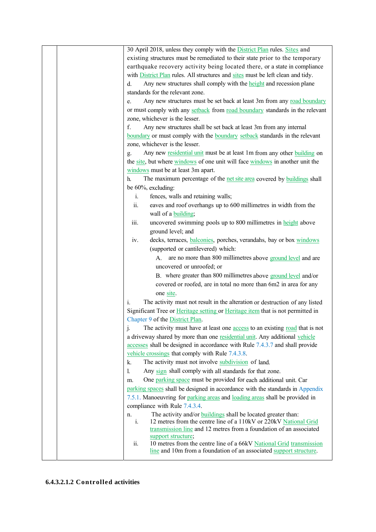| 30 April 2018, unless they comply with the District Plan rules. Sites and                     |
|-----------------------------------------------------------------------------------------------|
| existing structures must be remediated to their state prior to the temporary                  |
| earthquake recovery activity being located there, or a state in compliance                    |
| with <b>District Plan</b> rules. All structures and sites must be left clean and tidy.        |
| Any new structures shall comply with the <b>height</b> and recession plane<br>d.              |
| standards for the relevant zone.                                                              |
| Any new structures must be set back at least 3m from any road boundary<br>e.                  |
| or must comply with any setback from road boundary standards in the relevant                  |
| zone, whichever is the lesser.                                                                |
| f.<br>Any new structures shall be set back at least 3m from any internal                      |
| boundary or must comply with the boundary setback standards in the relevant                   |
| zone, whichever is the lesser.                                                                |
| Any new residential unit must be at least 1m from any other building on<br>g.                 |
| the site, but where windows of one unit will face windows in another unit the                 |
| windows must be at least 3m apart.                                                            |
| The maximum percentage of the net site area covered by buildings shall<br>h.                  |
| be 60%, excluding:                                                                            |
| fences, walls and retaining walls;<br>i.                                                      |
| ii.                                                                                           |
| eaves and roof overhangs up to 600 millimetres in width from the                              |
| wall of a building;                                                                           |
| iii.<br>uncovered swimming pools up to 800 millimetres in height above                        |
| ground level; and                                                                             |
| decks, terraces, balconies, porches, verandahs, bay or box windows<br>iv.                     |
| (supported or cantilevered) which:                                                            |
| are no more than 800 millimetres above ground level and are<br>A.                             |
| uncovered or unroofed; or                                                                     |
| B. where greater than 800 millimetres above ground level and/or                               |
| covered or roofed, are in total no more than 6m2 in area for any                              |
| one site.                                                                                     |
| $\mathbf{i}$ .<br>The activity must not result in the alteration or destruction of any listed |
| Significant Tree or Heritage setting or Heritage item that is not permitted in                |
| Chapter 9 of the District Plan.                                                               |
| The activity must have at least one <b>access</b> to an existing road that is not<br>$\cdot$  |
| a driveway shared by more than one residential unit. Any additional vehicle                   |
| accesses shall be designed in accordance with Rule 7.4.3.7 and shall provide                  |
| vehicle crossings that comply with Rule 7.4.3.8.                                              |
| The activity must not involve subdivision of land.<br>k.                                      |
| 1.<br>Any sign shall comply with all standards for that zone.                                 |
| One parking space must be provided for each additional unit. Car<br>m.                        |
| parking spaces shall be designed in accordance with the standards in Appendix                 |
| 7.5.1. Manoeuvring for parking areas and loading areas shall be provided in                   |
| compliance with Rule 7.4.3.4.                                                                 |
| The activity and/or <b>buildings</b> shall be located greater than:<br>n.                     |
| 12 metres from the centre line of a 110kV or 220kV National Grid<br>i.                        |
| transmission line and 12 metres from a foundation of an associated<br>support structure;      |
| 10 metres from the centre line of a 66kV National Grid transmission<br>ii.                    |
| line and 10m from a foundation of an associated support structure.                            |
|                                                                                               |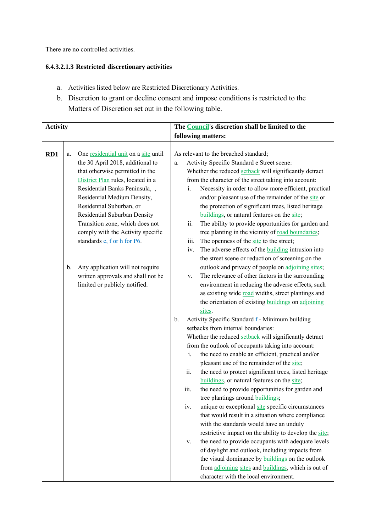There are no controlled activities.

## **6.4.3.2.1.3 Restricted discretionary activities**

- a. Activities listed below are Restricted Discretionary Activities.
- b. Discretion to grant or decline consent and impose conditions is restricted to the Matters of Discretion set out in the following table.

| <b>Activity</b> |                                                                                                                                                                                                                                                                                                                                                                                                                                                                                                            | The <b>Council's</b> discretion shall be limited to the |                     |                                |                                                                                                                                                                                                                                                                                                                                                                                                                                                                                                                                                                                                                                                                                                                                                                                                                                                                                                                                                                                                                                                                                      |
|-----------------|------------------------------------------------------------------------------------------------------------------------------------------------------------------------------------------------------------------------------------------------------------------------------------------------------------------------------------------------------------------------------------------------------------------------------------------------------------------------------------------------------------|---------------------------------------------------------|---------------------|--------------------------------|--------------------------------------------------------------------------------------------------------------------------------------------------------------------------------------------------------------------------------------------------------------------------------------------------------------------------------------------------------------------------------------------------------------------------------------------------------------------------------------------------------------------------------------------------------------------------------------------------------------------------------------------------------------------------------------------------------------------------------------------------------------------------------------------------------------------------------------------------------------------------------------------------------------------------------------------------------------------------------------------------------------------------------------------------------------------------------------|
|                 |                                                                                                                                                                                                                                                                                                                                                                                                                                                                                                            |                                                         |                     |                                | following matters:                                                                                                                                                                                                                                                                                                                                                                                                                                                                                                                                                                                                                                                                                                                                                                                                                                                                                                                                                                                                                                                                   |
| RD1             | One residential unit on a site until<br>a.<br>the 30 April 2018, additional to<br>that otherwise permitted in the<br>District Plan rules, located in a<br>Residential Banks Peninsula,,<br>Residential Medium Density,<br>Residential Suburban, or<br>Residential Suburban Density<br>Transition zone, which does not<br>comply with the Activity specific<br>standards e, f or h for P6.<br>Any application will not require<br>b.<br>written approvals and shall not be<br>limited or publicly notified. |                                                         | a.<br>$\mathbf b$ . | i.<br>ii.<br>iii.<br>iv.<br>V. | As relevant to the breached standard;<br>Activity Specific Standard e Street scene:<br>Whether the reduced setback will significantly detract<br>from the character of the street taking into account:<br>Necessity in order to allow more efficient, practical<br>and/or pleasant use of the remainder of the site or<br>the protection of significant trees, listed heritage<br>buildings, or natural features on the site;<br>The ability to provide opportunities for garden and<br>tree planting in the vicinity of road boundaries;<br>The openness of the site to the street;<br>The adverse effects of the <b>building</b> intrusion into<br>the street scene or reduction of screening on the<br>outlook and privacy of people on adjoining sites;<br>The relevance of other factors in the surrounding<br>environment in reducing the adverse effects, such<br>as existing wide road widths, street plantings and<br>the orientation of existing buildings on adjoining<br>sites.<br>Activity Specific Standard f - Minimum building<br>setbacks from internal boundaries: |
|                 |                                                                                                                                                                                                                                                                                                                                                                                                                                                                                                            |                                                         |                     | i.                             | Whether the reduced setback will significantly detract<br>from the outlook of occupants taking into account:<br>the need to enable an efficient, practical and/or                                                                                                                                                                                                                                                                                                                                                                                                                                                                                                                                                                                                                                                                                                                                                                                                                                                                                                                    |
|                 |                                                                                                                                                                                                                                                                                                                                                                                                                                                                                                            |                                                         |                     | ii.<br>iii.<br>1V.<br>V.       | pleasant use of the remainder of the site;<br>the need to protect significant trees, listed heritage<br>buildings, or natural features on the site;<br>the need to provide opportunities for garden and<br>tree plantings around <b>buildings</b> ;<br>unique or exceptional site specific circumstances<br>that would result in a situation where compliance<br>with the standards would have an unduly<br>restrictive impact on the ability to develop the site;<br>the need to provide occupants with adequate levels<br>of daylight and outlook, including impacts from<br>the visual dominance by <b>buildings</b> on the outlook<br>from adjoining sites and buildings, which is out of<br>character with the local environment.                                                                                                                                                                                                                                                                                                                                               |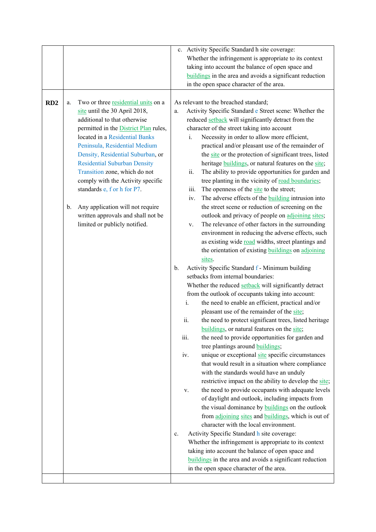|     |                |                                              |             |      |      | c. Activity Specific Standard h site coverage:                                                  |
|-----|----------------|----------------------------------------------|-------------|------|------|-------------------------------------------------------------------------------------------------|
|     |                |                                              |             |      |      | Whether the infringement is appropriate to its context                                          |
|     |                |                                              |             |      |      | taking into account the balance of open space and                                               |
|     |                |                                              |             |      |      | buildings in the area and avoids a significant reduction                                        |
|     |                |                                              |             |      |      | in the open space character of the area.                                                        |
|     |                |                                              |             |      |      |                                                                                                 |
| RD2 | a.             | Two or three residential units on a          |             |      |      | As relevant to the breached standard;                                                           |
|     |                | site until the 30 April 2018,                | a.          |      |      | Activity Specific Standard e Street scene: Whether the                                          |
|     |                | additional to that otherwise                 |             |      |      | reduced setback will significantly detract from the                                             |
|     |                | permitted in the <b>District Plan</b> rules, |             |      |      | character of the street taking into account                                                     |
|     |                | located in a Residential Banks               |             |      | i.   | Necessity in order to allow more efficient,                                                     |
|     |                | Peninsula, Residential Medium                |             |      |      | practical and/or pleasant use of the remainder of                                               |
|     |                | Density, Residential Suburban, or            |             |      |      | the site or the protection of significant trees, listed                                         |
|     |                | <b>Residential Suburban Density</b>          |             |      |      | heritage <b>buildings</b> , or natural features on the site;                                    |
|     |                | Transition zone, which do not                |             |      | ii.  | The ability to provide opportunities for garden and                                             |
|     |                | comply with the Activity specific            |             |      |      | tree planting in the vicinity of road boundaries;                                               |
|     |                | standards e, f or h for P7.                  |             |      | iii. | The openness of the site to the street;                                                         |
|     |                |                                              |             |      | iv.  | The adverse effects of the <b>building</b> intrusion into                                       |
|     | $\mathbf{b}$ . | Any application will not require             |             |      |      | the street scene or reduction of screening on the                                               |
|     |                | written approvals and shall not be           |             |      |      | outlook and privacy of people on adjoining sites;                                               |
|     |                | limited or publicly notified.                |             |      | V.   | The relevance of other factors in the surrounding                                               |
|     |                |                                              |             |      |      | environment in reducing the adverse effects, such                                               |
|     |                |                                              |             |      |      | as existing wide road widths, street plantings and                                              |
|     |                |                                              |             |      |      | the orientation of existing <b>buildings</b> on adjoining                                       |
|     |                |                                              |             |      |      | sites.                                                                                          |
|     |                |                                              | b.          |      |      | Activity Specific Standard f - Minimum building                                                 |
|     |                |                                              |             |      |      | setbacks from internal boundaries:                                                              |
|     |                |                                              |             |      |      | Whether the reduced setback will significantly detract                                          |
|     |                |                                              |             |      |      | from the outlook of occupants taking into account:                                              |
|     |                |                                              |             |      | i.   | the need to enable an efficient, practical and/or<br>pleasant use of the remainder of the site; |
|     |                |                                              |             |      | ii.  | the need to protect significant trees, listed heritage                                          |
|     |                |                                              |             |      |      | buildings, or natural features on the site;                                                     |
|     |                |                                              |             | iii. |      | the need to provide opportunities for garden and                                                |
|     |                |                                              |             |      |      | tree plantings around <b>buildings</b> ;                                                        |
|     |                |                                              |             | iv.  |      | unique or exceptional site specific circumstances                                               |
|     |                |                                              |             |      |      | that would result in a situation where compliance                                               |
|     |                |                                              |             |      |      | with the standards would have an unduly                                                         |
|     |                |                                              |             |      |      | restrictive impact on the ability to develop the site;                                          |
|     |                |                                              |             |      | V.   | the need to provide occupants with adequate levels                                              |
|     |                |                                              |             |      |      | of daylight and outlook, including impacts from                                                 |
|     |                |                                              |             |      |      | the visual dominance by <b>buildings</b> on the outlook                                         |
|     |                |                                              |             |      |      | from adjoining sites and buildings, which is out of                                             |
|     |                |                                              |             |      |      | character with the local environment.                                                           |
|     |                |                                              | $c_{\cdot}$ |      |      | Activity Specific Standard h site coverage:                                                     |
|     |                |                                              |             |      |      | Whether the infringement is appropriate to its context                                          |
|     |                |                                              |             |      |      | taking into account the balance of open space and                                               |
|     |                |                                              |             |      |      | buildings in the area and avoids a significant reduction                                        |
|     |                |                                              |             |      |      | in the open space character of the area.                                                        |
|     |                |                                              |             |      |      |                                                                                                 |
|     |                |                                              |             |      |      |                                                                                                 |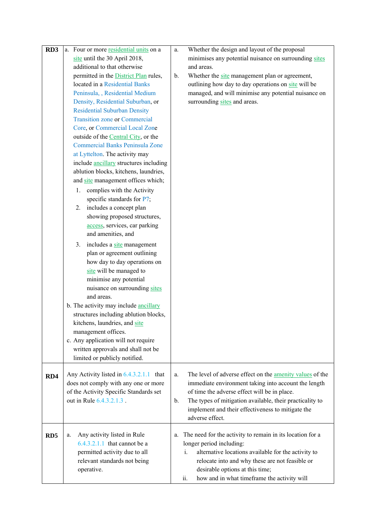| RD <sub>3</sub> | a. Four or more residential units on a                          | Whether the design and layout of the proposal<br>a.             |
|-----------------|-----------------------------------------------------------------|-----------------------------------------------------------------|
|                 | site until the 30 April 2018,                                   | minimises any potential nuisance on surrounding sites           |
|                 | additional to that otherwise                                    | and areas.                                                      |
|                 | permitted in the <b>District Plan</b> rules,                    | Whether the site management plan or agreement,<br>$\mathbf b$ . |
|                 | located in a Residential Banks                                  | outlining how day to day operations on site will be             |
|                 | Peninsula, , Residential Medium                                 | managed, and will minimise any potential nuisance on            |
|                 | Density, Residential Suburban, or                               | surrounding sites and areas.                                    |
|                 | <b>Residential Suburban Density</b>                             |                                                                 |
|                 | <b>Transition zone or Commercial</b>                            |                                                                 |
|                 | Core, or Commercial Local Zone                                  |                                                                 |
|                 | outside of the Central City, or the                             |                                                                 |
|                 | <b>Commercial Banks Peninsula Zone</b>                          |                                                                 |
|                 | at Lyttelton. The activity may                                  |                                                                 |
|                 | include ancillary structures including                          |                                                                 |
|                 | ablution blocks, kitchens, laundries,                           |                                                                 |
|                 | and site management offices which;                              |                                                                 |
|                 | complies with the Activity<br>1.                                |                                                                 |
|                 | specific standards for P7;                                      |                                                                 |
|                 | includes a concept plan<br>2.                                   |                                                                 |
|                 | showing proposed structures,                                    |                                                                 |
|                 | access, services, car parking                                   |                                                                 |
|                 | and amenities, and                                              |                                                                 |
|                 |                                                                 |                                                                 |
|                 | includes a site management<br>3.<br>plan or agreement outlining |                                                                 |
|                 |                                                                 |                                                                 |
|                 | how day to day operations on                                    |                                                                 |
|                 | site will be managed to                                         |                                                                 |
|                 | minimise any potential                                          |                                                                 |
|                 | nuisance on surrounding sites<br>and areas.                     |                                                                 |
|                 |                                                                 |                                                                 |
|                 | b. The activity may include ancillary                           |                                                                 |
|                 | structures including ablution blocks,                           |                                                                 |
|                 | kitchens, laundries, and site<br>management offices.            |                                                                 |
|                 |                                                                 |                                                                 |
|                 | c. Any application will not require                             |                                                                 |
|                 | written approvals and shall not be                              |                                                                 |
|                 | limited or publicly notified.                                   |                                                                 |
| RD4             | Any Activity listed in $6.4.3.2.1.1$ that                       | The level of adverse effect on the amenity values of the<br>a.  |
|                 | does not comply with any one or more                            | immediate environment taking into account the length            |
|                 | of the Activity Specific Standards set                          | of time the adverse effect will be in place.                    |
|                 | out in Rule 6.4.3.2.1.3.                                        | The types of mitigation available, their practicality to<br>b.  |
|                 |                                                                 | implement and their effectiveness to mitigate the               |
|                 |                                                                 | adverse effect.                                                 |
|                 |                                                                 |                                                                 |
| RD <sub>5</sub> | Any activity listed in Rule<br>a.                               | The need for the activity to remain in its location for a<br>a. |
|                 | $6.4.3.2.1.1$ that cannot be a                                  | longer period including:                                        |
|                 | permitted activity due to all                                   | alternative locations available for the activity to<br>i.       |
|                 | relevant standards not being                                    | relocate into and why these are not feasible or                 |
|                 | operative.                                                      | desirable options at this time;                                 |
|                 |                                                                 | how and in what timeframe the activity will<br>ii.              |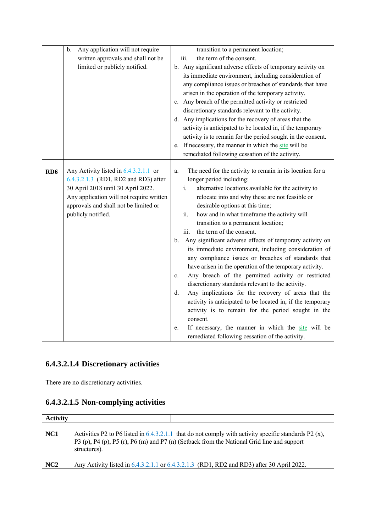|                 | $b$ .<br>Any application will not require | transition to a permanent location;                                  |
|-----------------|-------------------------------------------|----------------------------------------------------------------------|
|                 | written approvals and shall not be        | the term of the consent.<br>iii.                                     |
|                 | limited or publicly notified.             | b. Any significant adverse effects of temporary activity on          |
|                 |                                           | its immediate environment, including consideration of                |
|                 |                                           | any compliance issues or breaches of standards that have             |
|                 |                                           | arisen in the operation of the temporary activity.                   |
|                 |                                           | c. Any breach of the permitted activity or restricted                |
|                 |                                           | discretionary standards relevant to the activity.                    |
|                 |                                           | d. Any implications for the recovery of areas that the               |
|                 |                                           | activity is anticipated to be located in, if the temporary           |
|                 |                                           | activity is to remain for the period sought in the consent.          |
|                 |                                           | e. If necessary, the manner in which the site will be                |
|                 |                                           | remediated following cessation of the activity.                      |
|                 |                                           |                                                                      |
| RD <sub>6</sub> | Any Activity listed in $6.4.3.2.1.1$ or   | The need for the activity to remain in its location for a<br>a.      |
|                 | 6.4.3.2.1.3 (RD1, RD2 and RD3) after      | longer period including:                                             |
|                 | 30 April 2018 until 30 April 2022.        | alternative locations available for the activity to<br>$i$ .         |
|                 | Any application will not require written  | relocate into and why these are not feasible or                      |
|                 | approvals and shall not be limited or     | desirable options at this time;                                      |
|                 | publicly notified.                        | ii.<br>how and in what timeframe the activity will                   |
|                 |                                           | transition to a permanent location;                                  |
|                 |                                           | the term of the consent.<br>iii.                                     |
|                 |                                           | Any significant adverse effects of temporary activity on<br>b.       |
|                 |                                           | its immediate environment, including consideration of                |
|                 |                                           | any compliance issues or breaches of standards that                  |
|                 |                                           | have arisen in the operation of the temporary activity.              |
|                 |                                           | Any breach of the permitted activity or restricted<br>$\mathbf{c}$ . |
|                 |                                           | discretionary standards relevant to the activity.                    |
|                 |                                           | Any implications for the recovery of areas that the<br>d.            |
|                 |                                           | activity is anticipated to be located in, if the temporary           |
|                 |                                           | activity is to remain for the period sought in the                   |
|                 |                                           | consent.                                                             |
|                 |                                           | If necessary, the manner in which the site will be<br>e.             |
|                 |                                           | remediated following cessation of the activity.                      |

# **6.4.3.2.1.4 Discretionary activities**

There are no discretionary activities.

# **6.4.3.2.1.5 Non-complying activities**

| <b>Activity</b> |                                                                                                                                                                                                                       |
|-----------------|-----------------------------------------------------------------------------------------------------------------------------------------------------------------------------------------------------------------------|
| NC <sub>1</sub> | Activities P2 to P6 listed in $6.4.3.2.1.1$ that do not comply with activity specific standards P2 (x),<br>P3 (p), P4 (p), P5 (r), P6 (m) and P7 (n) (Setback from the National Grid line and support<br>structures). |
| NC2             | Any Activity listed in 6.4.3.2.1.1 or 6.4.3.2.1.3 (RD1, RD2 and RD3) after 30 April 2022.                                                                                                                             |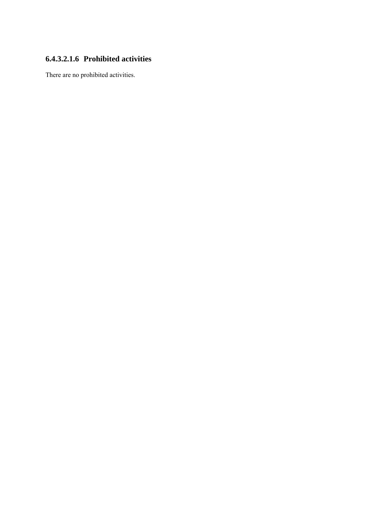## **6.4.3.2.1.6 Prohibited activities**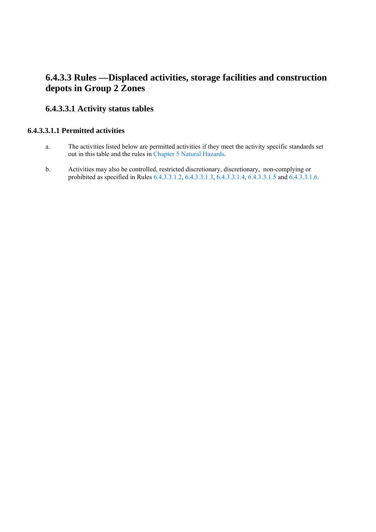# **6.4.3.3 Rules —Displaced activities, storage facilities and construction depots in Group 2 Zones**

## **6.4.3.3.1 Activity status tables**

#### **6.4.3.3.1.1 Permitted activities**

- a. The activities listed below are permitted activities if they meet the activity specific standards set out in this table and the rules in Chapter 5 Natural Hazards.
- b. Activities may also be controlled, restricted discretionary, discretionary, non-complying or prohibited as specified in Rules 6.4.3.3.1.2, 6.4.3.3.1.3, 6.4.3.3.1.4, 6.4.3.3.1.5 and 6.4.3.3.1.6.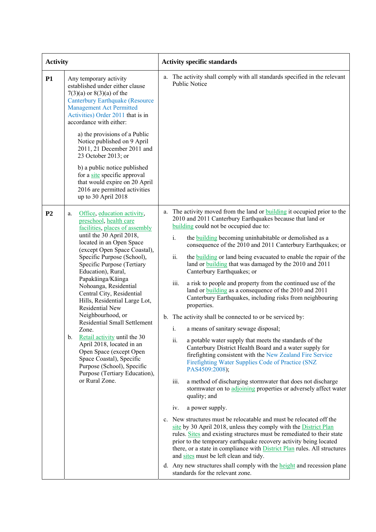| <b>Activity</b> |                                                                                                                                                                                                                                                                                                                                                                                                                                                                                                                                                                                                                                                                                        | <b>Activity specific standards</b>                                                                                                                                                                                                                                                                                                                                                                                                                                                                                                                                                                                                                                                                                                                                                                                                                                                                                                                                                                                                                                                                                                                                                                                                                                                                                                                                                                                                                                                                                                                                                                                                                                                                                                                                                                                           |  |  |  |  |
|-----------------|----------------------------------------------------------------------------------------------------------------------------------------------------------------------------------------------------------------------------------------------------------------------------------------------------------------------------------------------------------------------------------------------------------------------------------------------------------------------------------------------------------------------------------------------------------------------------------------------------------------------------------------------------------------------------------------|------------------------------------------------------------------------------------------------------------------------------------------------------------------------------------------------------------------------------------------------------------------------------------------------------------------------------------------------------------------------------------------------------------------------------------------------------------------------------------------------------------------------------------------------------------------------------------------------------------------------------------------------------------------------------------------------------------------------------------------------------------------------------------------------------------------------------------------------------------------------------------------------------------------------------------------------------------------------------------------------------------------------------------------------------------------------------------------------------------------------------------------------------------------------------------------------------------------------------------------------------------------------------------------------------------------------------------------------------------------------------------------------------------------------------------------------------------------------------------------------------------------------------------------------------------------------------------------------------------------------------------------------------------------------------------------------------------------------------------------------------------------------------------------------------------------------------|--|--|--|--|
| <b>P1</b>       | Any temporary activity<br>established under either clause<br>$7(3)(a)$ or $8(3)(a)$ of the<br><b>Canterbury Earthquake (Resource</b><br><b>Management Act Permitted</b><br>Activities) Order 2011 that is in<br>accordance with either:<br>a) the provisions of a Public<br>Notice published on 9 April<br>2011, 21 December 2011 and<br>23 October 2013; or<br>b) a public notice published<br>for a site specific approval<br>that would expire on 20 April<br>2016 are permitted activities<br>up to 30 April 2018                                                                                                                                                                  | a. The activity shall comply with all standards specified in the relevant<br><b>Public Notice</b>                                                                                                                                                                                                                                                                                                                                                                                                                                                                                                                                                                                                                                                                                                                                                                                                                                                                                                                                                                                                                                                                                                                                                                                                                                                                                                                                                                                                                                                                                                                                                                                                                                                                                                                            |  |  |  |  |
| P <sub>2</sub>  | Office, education activity,<br>a.<br>preschool, health care<br>facilities, places of assembly<br>until the 30 April 2018,<br>located in an Open Space<br>(except Open Space Coastal),<br>Specific Purpose (School),<br>Specific Purpose (Tertiary<br>Education), Rural,<br>Papakāinga/Kāinga<br>Nohoanga, Residential<br>Central City, Residential<br>Hills, Residential Large Lot,<br><b>Residential New</b><br>Neighbourhood, or<br>Residential Small Settlement<br>Zone.<br>Retail activity until the 30<br>b.<br>April 2018, located in an<br>Open Space (except Open<br>Space Coastal), Specific<br>Purpose (School), Specific<br>Purpose (Tertiary Education),<br>or Rural Zone. | a. The activity moved from the land or <b>building</b> it occupied prior to the<br>2010 and 2011 Canterbury Earthquakes because that land or<br>building could not be occupied due to:<br>i.<br>the <b>building</b> becoming uninhabitable or demolished as a<br>consequence of the 2010 and 2011 Canterbury Earthquakes; or<br>ii.<br>the <b>building</b> or land being evacuated to enable the repair of the<br>land or building that was damaged by the 2010 and 2011<br>Canterbury Earthquakes; or<br>iii.<br>a risk to people and property from the continued use of the<br>land or <b>building</b> as a consequence of the 2010 and 2011<br>Canterbury Earthquakes, including risks from neighbouring<br>properties.<br>b. The activity shall be connected to or be serviced by:<br>i.<br>a means of sanitary sewage disposal;<br>ii.<br>a potable water supply that meets the standards of the<br>Canterbury District Health Board and a water supply for<br>firefighting consistent with the New Zealand Fire Service<br>Firefighting Water Supplies Code of Practice (SNZ<br>PAS4509:2008);<br>a method of discharging stormwater that does not discharge<br>iii.<br>stormwater on to adjoining properties or adversely affect water<br>quality; and<br>iv.<br>a power supply.<br>c. New structures must be relocatable and must be relocated off the<br>site by 30 April 2018, unless they comply with the District Plan<br>rules. Sites and existing structures must be remediated to their state<br>prior to the temporary earthquake recovery activity being located<br>there, or a state in compliance with <b>District Plan</b> rules. All structures<br>and sites must be left clean and tidy.<br>d. Any new structures shall comply with the height and recession plane<br>standards for the relevant zone. |  |  |  |  |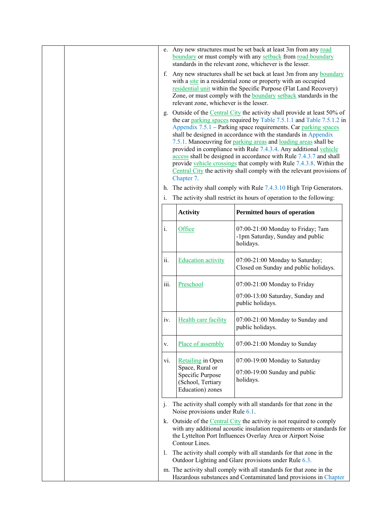|  | f.<br>g.             | relevant zone, whichever is the lesser.                                                                  | e. Any new structures must be set back at least 3m from any road<br>boundary or must comply with any setback from road boundary<br>standards in the relevant zone, whichever is the lesser.<br>Any new structures shall be set back at least 3m from any boundary<br>with a site in a residential zone or property with an occupied<br>residential unit within the Specific Purpose (Flat Land Recovery)<br>Zone, or must comply with the <b>boundary</b> setback standards in the<br>Outside of the Central City the activity shall provide at least 50% of<br>the car parking spaces required by Table 7.5.1.1 and Table 7.5.1.2 in<br>Appendix 7.5.1 - Parking space requirements. Car parking spaces<br>shall be designed in accordance with the standards in Appendix<br>7.5.1. Manoeuvring for parking areas and loading areas shall be<br>provided in compliance with Rule 7.4.3.4. Any additional vehicle<br>access shall be designed in accordance with Rule 7.4.3.7 and shall<br>provide vehicle crossings that comply with Rule 7.4.3.8. Within the |
|--|----------------------|----------------------------------------------------------------------------------------------------------|----------------------------------------------------------------------------------------------------------------------------------------------------------------------------------------------------------------------------------------------------------------------------------------------------------------------------------------------------------------------------------------------------------------------------------------------------------------------------------------------------------------------------------------------------------------------------------------------------------------------------------------------------------------------------------------------------------------------------------------------------------------------------------------------------------------------------------------------------------------------------------------------------------------------------------------------------------------------------------------------------------------------------------------------------------------|
|  |                      | Chapter 7.                                                                                               | Central City the activity shall comply with the relevant provisions of                                                                                                                                                                                                                                                                                                                                                                                                                                                                                                                                                                                                                                                                                                                                                                                                                                                                                                                                                                                         |
|  | h.<br>$\mathbf{1}$ . |                                                                                                          | The activity shall comply with Rule 7.4.3.10 High Trip Generators.<br>The activity shall restrict its hours of operation to the following:                                                                                                                                                                                                                                                                                                                                                                                                                                                                                                                                                                                                                                                                                                                                                                                                                                                                                                                     |
|  |                      | <b>Activity</b>                                                                                          | <b>Permitted hours of operation</b>                                                                                                                                                                                                                                                                                                                                                                                                                                                                                                                                                                                                                                                                                                                                                                                                                                                                                                                                                                                                                            |
|  | i.                   | Office                                                                                                   | 07:00-21:00 Monday to Friday; 7am<br>-1pm Saturday, Sunday and public<br>holidays.                                                                                                                                                                                                                                                                                                                                                                                                                                                                                                                                                                                                                                                                                                                                                                                                                                                                                                                                                                             |
|  | ii.                  | <b>Education activity</b>                                                                                | 07:00-21:00 Monday to Saturday;<br>Closed on Sunday and public holidays.                                                                                                                                                                                                                                                                                                                                                                                                                                                                                                                                                                                                                                                                                                                                                                                                                                                                                                                                                                                       |
|  | iii.                 | Preschool                                                                                                | 07:00-21:00 Monday to Friday<br>07:00-13:00 Saturday, Sunday and<br>public holidays.                                                                                                                                                                                                                                                                                                                                                                                                                                                                                                                                                                                                                                                                                                                                                                                                                                                                                                                                                                           |
|  | IV.                  | Health care facility                                                                                     | 07:00-21:00 Monday to Sunday and<br>public holidays.                                                                                                                                                                                                                                                                                                                                                                                                                                                                                                                                                                                                                                                                                                                                                                                                                                                                                                                                                                                                           |
|  | V.                   | Place of assembly                                                                                        | 07:00-21:00 Monday to Sunday                                                                                                                                                                                                                                                                                                                                                                                                                                                                                                                                                                                                                                                                                                                                                                                                                                                                                                                                                                                                                                   |
|  | vi.                  | <b>Retailing in Open</b><br>Space, Rural or<br>Specific Purpose<br>(School, Tertiary<br>Education) zones | 07:00-19:00 Monday to Saturday<br>$07:00-19:00$ Sunday and public<br>holidays.                                                                                                                                                                                                                                                                                                                                                                                                                                                                                                                                                                                                                                                                                                                                                                                                                                                                                                                                                                                 |
|  | j.                   | Noise provisions under Rule 6.1.                                                                         | The activity shall comply with all standards for that zone in the                                                                                                                                                                                                                                                                                                                                                                                                                                                                                                                                                                                                                                                                                                                                                                                                                                                                                                                                                                                              |
|  |                      | Contour Lines.                                                                                           | k. Outside of the Central City the activity is not required to comply<br>with any additional acoustic insulation requirements or standards for<br>the Lyttelton Port Influences Overlay Area or Airport Noise                                                                                                                                                                                                                                                                                                                                                                                                                                                                                                                                                                                                                                                                                                                                                                                                                                                  |
|  | $\mathbf{I}$ .       |                                                                                                          | The activity shall comply with all standards for that zone in the<br>Outdoor Lighting and Glare provisions under Rule 6.3.                                                                                                                                                                                                                                                                                                                                                                                                                                                                                                                                                                                                                                                                                                                                                                                                                                                                                                                                     |
|  |                      |                                                                                                          | m. The activity shall comply with all standards for that zone in the<br>Hazardous substances and Contaminated land provisions in Chapter                                                                                                                                                                                                                                                                                                                                                                                                                                                                                                                                                                                                                                                                                                                                                                                                                                                                                                                       |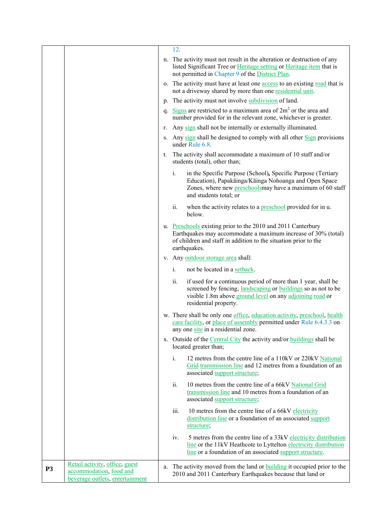|                |                                                                                              |    | 12.            |                                                                                                                                                                                                                                   |
|----------------|----------------------------------------------------------------------------------------------|----|----------------|-----------------------------------------------------------------------------------------------------------------------------------------------------------------------------------------------------------------------------------|
|                |                                                                                              |    |                | n. The activity must not result in the alteration or destruction of any<br>listed Significant Tree or Heritage setting or Heritage item that is<br>not permitted in Chapter 9 of the District Plan.                               |
|                |                                                                                              |    |                | o. The activity must have at least one access to an existing road that is<br>not a driveway shared by more than one residential unit.                                                                                             |
|                |                                                                                              |    |                | p. The activity must not involve subdivision of land.                                                                                                                                                                             |
|                |                                                                                              |    |                | q. Signs are restricted to a maximum area of $2m2$ or the area and<br>number provided for in the relevant zone, whichever is greater.                                                                                             |
|                |                                                                                              | r. |                | Any sign shall not be internally or externally illuminated.                                                                                                                                                                       |
|                |                                                                                              |    |                | s. Any sign shall be designed to comply with all other Sign provisions<br>under Rule 6.8.                                                                                                                                         |
|                |                                                                                              | t. |                | The activity shall accommodate a maximum of 10 staff and/or<br>students (total), other than;                                                                                                                                      |
|                |                                                                                              |    | i.             | in the Specific Purpose (School), Specific Purpose (Tertiary<br>Education), Papakāinga/Kāinga Nohoanga and Open Space<br>Zones, where new preschoolsmay have a maximum of 60 staff<br>and students total; or                      |
|                |                                                                                              |    | ii.            | when the activity relates to a preschool provided for in u.<br>below.                                                                                                                                                             |
|                |                                                                                              |    |                | u. Preschools existing prior to the 2010 and 2011 Canterbury<br>Earthquakes may accommodate a maximum increase of 30% (total)<br>of children and staff in addition to the situation prior to the<br>earthquakes.                  |
|                |                                                                                              |    |                | v. Any outdoor storage area shall:                                                                                                                                                                                                |
|                |                                                                                              |    | $\mathbf{i}$ . | not be located in a setback.                                                                                                                                                                                                      |
|                |                                                                                              |    | ii.            | if used for a continuous period of more than 1 year, shall be<br>screened by fencing, <i>landscaping</i> or <i>buildings</i> so as not to be<br>visible 1.8m above ground level on any adjoining road or<br>residential property. |
|                |                                                                                              |    |                | w. There shall be only one office, education activity, preschool, health<br>care facility, or place of assembly permitted under Rule 6.4.3.3 on<br>any one site in a residential zone.                                            |
|                |                                                                                              |    |                | x. Outside of the Central City the activity and/or buildings shall be<br>located greater than;                                                                                                                                    |
|                |                                                                                              |    | $\mathbf{i}$ . | 12 metres from the centre line of a 110kV or 220kV National<br>Grid transmission line and 12 metres from a foundation of an<br>associated support structure;                                                                      |
|                |                                                                                              |    | ii.            | 10 metres from the centre line of a 66kV National Grid<br>transmission line and 10 metres from a foundation of an<br>associated support structure;                                                                                |
|                |                                                                                              |    | iii.           | 10 metres from the centre line of a 66kV electricity<br>distribution line or a foundation of an associated support<br>structure;                                                                                                  |
|                |                                                                                              |    | IV.            | 5 metres from the centre line of a 33kV electricity distribution<br>line or the 11kV Heathcote to Lyttelton electricity distribution<br>line or a foundation of an associated support structure.                                  |
| P <sub>3</sub> | Retail activity, office, guest<br>accommodation, food and<br>beverage outlets, entertainment |    |                | a. The activity moved from the land or <b>building</b> it occupied prior to the<br>2010 and 2011 Canterbury Earthquakes because that land or                                                                                      |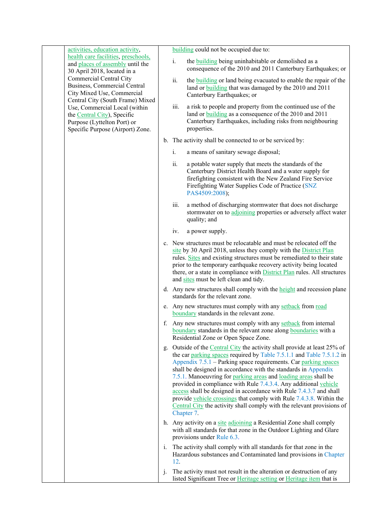| activities, education activity,                                                                                                  |    | building could not be occupied due to:                                                                                                                                                                                                                                                                                                                                                                                                                                                                                                                                                                                                                              |
|----------------------------------------------------------------------------------------------------------------------------------|----|---------------------------------------------------------------------------------------------------------------------------------------------------------------------------------------------------------------------------------------------------------------------------------------------------------------------------------------------------------------------------------------------------------------------------------------------------------------------------------------------------------------------------------------------------------------------------------------------------------------------------------------------------------------------|
| health care facilities, preschools,<br>and places of assembly until the<br>30 April 2018, located in a                           |    | i.<br>the <b>building</b> being uninhabitable or demolished as a<br>consequence of the 2010 and 2011 Canterbury Earthquakes; or                                                                                                                                                                                                                                                                                                                                                                                                                                                                                                                                     |
| <b>Commercial Central City</b><br>Business, Commercial Central<br>City Mixed Use, Commercial<br>Central City (South Frame) Mixed |    | ii.<br>the <b>building</b> or land being evacuated to enable the repair of the<br>land or <b>building</b> that was damaged by the 2010 and 2011<br>Canterbury Earthquakes; or                                                                                                                                                                                                                                                                                                                                                                                                                                                                                       |
| Use, Commercial Local (within<br>the Central City), Specific<br>Purpose (Lyttelton Port) or<br>Specific Purpose (Airport) Zone.  |    | iii.<br>a risk to people and property from the continued use of the<br>land or building as a consequence of the 2010 and 2011<br>Canterbury Earthquakes, including risks from neighbouring<br>properties.                                                                                                                                                                                                                                                                                                                                                                                                                                                           |
|                                                                                                                                  |    | b. The activity shall be connected to or be serviced by:                                                                                                                                                                                                                                                                                                                                                                                                                                                                                                                                                                                                            |
|                                                                                                                                  |    | i.<br>a means of sanitary sewage disposal;                                                                                                                                                                                                                                                                                                                                                                                                                                                                                                                                                                                                                          |
|                                                                                                                                  |    | ii.<br>a potable water supply that meets the standards of the<br>Canterbury District Health Board and a water supply for<br>firefighting consistent with the New Zealand Fire Service<br>Firefighting Water Supplies Code of Practice (SNZ<br>PAS4509:2008);                                                                                                                                                                                                                                                                                                                                                                                                        |
|                                                                                                                                  |    | iii.<br>a method of discharging stormwater that does not discharge<br>stormwater on to adjoining properties or adversely affect water<br>quality; and                                                                                                                                                                                                                                                                                                                                                                                                                                                                                                               |
|                                                                                                                                  |    | iv.<br>a power supply.                                                                                                                                                                                                                                                                                                                                                                                                                                                                                                                                                                                                                                              |
|                                                                                                                                  |    | c. New structures must be relocatable and must be relocated off the<br>site by 30 April 2018, unless they comply with the District Plan<br>rules. Sites and existing structures must be remediated to their state<br>prior to the temporary earthquake recovery activity being located<br>there, or a state in compliance with <b>District Plan</b> rules. All structures<br>and sites must be left clean and tidy.                                                                                                                                                                                                                                                 |
|                                                                                                                                  |    | d. Any new structures shall comply with the <u>height</u> and recession plane<br>standards for the relevant zone.                                                                                                                                                                                                                                                                                                                                                                                                                                                                                                                                                   |
|                                                                                                                                  |    | e. Any new structures must comply with any setback from road<br>boundary standards in the relevant zone.                                                                                                                                                                                                                                                                                                                                                                                                                                                                                                                                                            |
|                                                                                                                                  |    | f. Any new structures must comply with any setback from internal<br><u>boundary</u> standards in the relevant zone along boundaries with a<br>Residential Zone or Open Space Zone.                                                                                                                                                                                                                                                                                                                                                                                                                                                                                  |
|                                                                                                                                  |    | g. Outside of the Central City the activity shall provide at least 25% of<br>the car parking spaces required by Table 7.5.1.1 and Table 7.5.1.2 in<br>Appendix 7.5.1 - Parking space requirements. Car parking spaces<br>shall be designed in accordance with the standards in Appendix<br>7.5.1. Manoeuvring for parking areas and loading areas shall be<br>provided in compliance with Rule 7.4.3.4. Any additional vehicle<br>access shall be designed in accordance with Rule 7.4.3.7 and shall<br>provide vehicle crossings that comply with Rule 7.4.3.8. Within the<br>Central City the activity shall comply with the relevant provisions of<br>Chapter 7. |
|                                                                                                                                  |    | h. Any activity on a site adjoining a Residential Zone shall comply<br>with all standards for that zone in the Outdoor Lighting and Glare<br>provisions under Rule 6.3.                                                                                                                                                                                                                                                                                                                                                                                                                                                                                             |
|                                                                                                                                  | 1. | The activity shall comply with all standards for that zone in the<br>Hazardous substances and Contaminated land provisions in Chapter<br>12.                                                                                                                                                                                                                                                                                                                                                                                                                                                                                                                        |
|                                                                                                                                  | j. | The activity must not result in the alteration or destruction of any<br>listed Significant Tree or Heritage setting or Heritage item that is                                                                                                                                                                                                                                                                                                                                                                                                                                                                                                                        |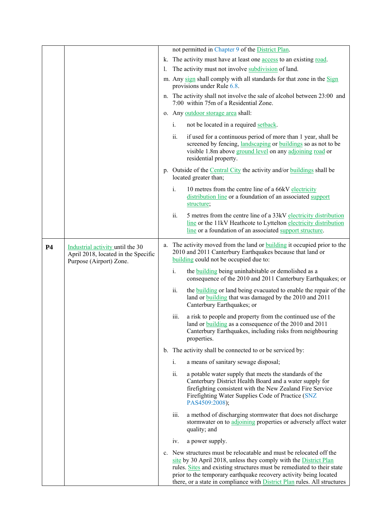|           |                                                                                                    |    |                | not permitted in Chapter 9 of the District Plan.                                                                                                                                                                                                                                                                                                                          |
|-----------|----------------------------------------------------------------------------------------------------|----|----------------|---------------------------------------------------------------------------------------------------------------------------------------------------------------------------------------------------------------------------------------------------------------------------------------------------------------------------------------------------------------------------|
|           |                                                                                                    |    |                | k. The activity must have at least one access to an existing road.                                                                                                                                                                                                                                                                                                        |
|           |                                                                                                    | I. |                | The activity must not involve subdivision of land.                                                                                                                                                                                                                                                                                                                        |
|           |                                                                                                    |    |                | m. Any sign shall comply with all standards for that zone in the Sign<br>provisions under Rule 6.8.                                                                                                                                                                                                                                                                       |
|           |                                                                                                    |    |                | n. The activity shall not involve the sale of alcohol between 23:00 and<br>7:00 within 75m of a Residential Zone.                                                                                                                                                                                                                                                         |
|           |                                                                                                    |    |                | o. Any outdoor storage area shall:                                                                                                                                                                                                                                                                                                                                        |
|           |                                                                                                    |    | i.             | not be located in a required setback.                                                                                                                                                                                                                                                                                                                                     |
|           |                                                                                                    |    | ii.            | if used for a continuous period of more than 1 year, shall be<br>screened by fencing, landscaping or buildings so as not to be<br>visible 1.8m above ground level on any adjoining road or<br>residential property.                                                                                                                                                       |
|           |                                                                                                    |    |                | p. Outside of the Central City the activity and/or buildings shall be<br>located greater than;                                                                                                                                                                                                                                                                            |
|           |                                                                                                    |    | i.             | 10 metres from the centre line of a 66kV electricity<br>distribution line or a foundation of an associated support<br>structure;                                                                                                                                                                                                                                          |
|           |                                                                                                    |    | ii.            | 5 metres from the centre line of a 33kV electricity distribution<br>line or the 11kV Heathcote to Lyttelton electricity distribution<br>line or a foundation of an associated support structure.                                                                                                                                                                          |
| <b>P4</b> | Industrial activity until the 30<br>April 2018, located in the Specific<br>Purpose (Airport) Zone. |    |                | a. The activity moved from the land or <b>building</b> it occupied prior to the<br>2010 and 2011 Canterbury Earthquakes because that land or<br>building could not be occupied due to:                                                                                                                                                                                    |
|           |                                                                                                    |    | i.             | the <b>building</b> being uninhabitable or demolished as a<br>consequence of the 2010 and 2011 Canterbury Earthquakes; or                                                                                                                                                                                                                                                 |
|           |                                                                                                    |    | ii.            | the <b>building</b> or land being evacuated to enable the repair of the<br>land or building that was damaged by the 2010 and 2011<br>Canterbury Earthquakes; or                                                                                                                                                                                                           |
|           |                                                                                                    |    | iii.           | a risk to people and property from the continued use of the<br>land or <b>building</b> as a consequence of the 2010 and 2011<br>Canterbury Earthquakes, including risks from neighbouring<br>properties.                                                                                                                                                                  |
|           |                                                                                                    |    |                | b. The activity shall be connected to or be serviced by:                                                                                                                                                                                                                                                                                                                  |
|           |                                                                                                    |    | $\mathbf{i}$ . | a means of sanitary sewage disposal;                                                                                                                                                                                                                                                                                                                                      |
|           |                                                                                                    |    | ii.            | a potable water supply that meets the standards of the<br>Canterbury District Health Board and a water supply for<br>firefighting consistent with the New Zealand Fire Service<br>Firefighting Water Supplies Code of Practice (SNZ<br>PAS4509:2008);                                                                                                                     |
|           |                                                                                                    |    | iii.           | a method of discharging stormwater that does not discharge<br>stormwater on to adjoining properties or adversely affect water<br>quality; and                                                                                                                                                                                                                             |
|           |                                                                                                    |    | iv.            | a power supply.                                                                                                                                                                                                                                                                                                                                                           |
|           |                                                                                                    |    |                | c. New structures must be relocatable and must be relocated off the<br>site by 30 April 2018, unless they comply with the District Plan<br>rules. Sites and existing structures must be remediated to their state<br>prior to the temporary earthquake recovery activity being located<br>there, or a state in compliance with <b>District Plan</b> rules. All structures |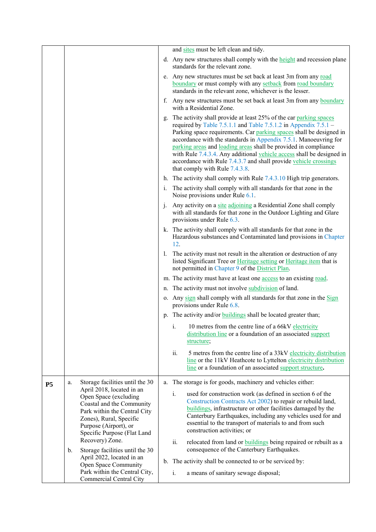|           |                                                                                                                                                                                                    | and sites must be left clean and tidy.                                                                                                                                                                                                                                                                                                                                                                                                                                                                                                    |
|-----------|----------------------------------------------------------------------------------------------------------------------------------------------------------------------------------------------------|-------------------------------------------------------------------------------------------------------------------------------------------------------------------------------------------------------------------------------------------------------------------------------------------------------------------------------------------------------------------------------------------------------------------------------------------------------------------------------------------------------------------------------------------|
|           |                                                                                                                                                                                                    | d. Any new structures shall comply with the height and recession plane<br>standards for the relevant zone.                                                                                                                                                                                                                                                                                                                                                                                                                                |
|           |                                                                                                                                                                                                    | e. Any new structures must be set back at least 3m from any road<br>boundary or must comply with any setback from road boundary<br>standards in the relevant zone, whichever is the lesser.                                                                                                                                                                                                                                                                                                                                               |
|           |                                                                                                                                                                                                    | f. Any new structures must be set back at least 3m from any boundary<br>with a Residential Zone.                                                                                                                                                                                                                                                                                                                                                                                                                                          |
|           |                                                                                                                                                                                                    | The activity shall provide at least 25% of the car parking spaces<br>g.<br>required by Table 7.5.1.1 and Table 7.5.1.2 in Appendix $7.5.1 -$<br>Parking space requirements. Car parking spaces shall be designed in<br>accordance with the standards in Appendix 7.5.1. Manoeuvring for<br>parking areas and loading areas shall be provided in compliance<br>with Rule 7.4.3.4. Any additional vehicle access shall be designed in<br>accordance with Rule 7.4.3.7 and shall provide vehicle crossings<br>that comply with Rule 7.4.3.8. |
|           |                                                                                                                                                                                                    | h. The activity shall comply with Rule $7.4.3.10$ High trip generators.                                                                                                                                                                                                                                                                                                                                                                                                                                                                   |
|           |                                                                                                                                                                                                    | i. The activity shall comply with all standards for that zone in the<br>Noise provisions under Rule 6.1.                                                                                                                                                                                                                                                                                                                                                                                                                                  |
|           |                                                                                                                                                                                                    | Any activity on a site adjoining a Residential Zone shall comply<br>$\mathbf{i}$ .<br>with all standards for that zone in the Outdoor Lighting and Glare<br>provisions under Rule 6.3.                                                                                                                                                                                                                                                                                                                                                    |
|           |                                                                                                                                                                                                    | k. The activity shall comply with all standards for that zone in the<br>Hazardous substances and Contaminated land provisions in Chapter<br>12.                                                                                                                                                                                                                                                                                                                                                                                           |
|           |                                                                                                                                                                                                    | The activity must not result in the alteration or destruction of any<br>$\mathbf{L}$<br>listed Significant Tree or Heritage setting or Heritage item that is<br>not permitted in Chapter 9 of the District Plan.                                                                                                                                                                                                                                                                                                                          |
|           |                                                                                                                                                                                                    | m. The activity must have at least one access to an existing road.                                                                                                                                                                                                                                                                                                                                                                                                                                                                        |
|           |                                                                                                                                                                                                    | n. The activity must not involve subdivision of land.                                                                                                                                                                                                                                                                                                                                                                                                                                                                                     |
|           |                                                                                                                                                                                                    | o. Any sign shall comply with all standards for that zone in the Sign<br>provisions under Rule 6.8.                                                                                                                                                                                                                                                                                                                                                                                                                                       |
|           |                                                                                                                                                                                                    | p. The activity and/or <b>buildings</b> shall be located greater than;                                                                                                                                                                                                                                                                                                                                                                                                                                                                    |
|           |                                                                                                                                                                                                    | i. 10 metres from the centre line of a 66kV electricity<br>distribution line or a foundation of an associated support<br>structure;                                                                                                                                                                                                                                                                                                                                                                                                       |
|           |                                                                                                                                                                                                    | ii.<br>5 metres from the centre line of a 33kV electricity distribution<br>line or the 11kV Heathcote to Lyttelton electricity distribution<br>line or a foundation of an associated support structure.                                                                                                                                                                                                                                                                                                                                   |
| <b>P5</b> | Storage facilities until the 30<br>a.                                                                                                                                                              | a. The storage is for goods, machinery and vehicles either:                                                                                                                                                                                                                                                                                                                                                                                                                                                                               |
|           | April 2018, located in an<br>Open Space (excluding<br>Coastal and the Community<br>Park within the Central City<br>Zones), Rural, Specific<br>Purpose (Airport), or<br>Specific Purpose (Flat Land | used for construction work (as defined in section 6 of the<br>$i$ .<br>Construction Contracts Act 2002) to repair or rebuild land,<br><b>buildings</b> , infrastructure or other facilities damaged by the<br>Canterbury Earthquakes, including any vehicles used for and<br>essential to the transport of materials to and from such<br>construction activities; or                                                                                                                                                                      |
|           | Recovery) Zone.<br>Storage facilities until the 30<br>b.                                                                                                                                           | relocated from land or <b>buildings</b> being repaired or rebuilt as a<br>ii.<br>consequence of the Canterbury Earthquakes.                                                                                                                                                                                                                                                                                                                                                                                                               |
|           | April 2022, located in an<br>Open Space Community                                                                                                                                                  | b. The activity shall be connected to or be serviced by:                                                                                                                                                                                                                                                                                                                                                                                                                                                                                  |
|           | Park within the Central City,<br><b>Commercial Central City</b>                                                                                                                                    | a means of sanitary sewage disposal;<br>i.                                                                                                                                                                                                                                                                                                                                                                                                                                                                                                |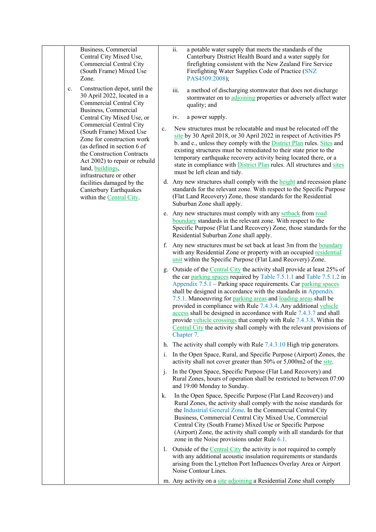|  |                                                                                                                                                                                                                                       | Business, Commercial<br>Central City Mixed Use,<br><b>Commercial Central City</b><br>(South Frame) Mixed Use<br>Zone.  |                | ii.                                                                                                                                                                                                                                                                                                                                                                                                                                                                                                                                                                                                                                                              | a potable water supply that meets the standards of the<br>Canterbury District Health Board and a water supply for<br>firefighting consistent with the New Zealand Fire Service<br>Firefighting Water Supplies Code of Practice (SNZ<br>PAS4509:2008); |
|--|---------------------------------------------------------------------------------------------------------------------------------------------------------------------------------------------------------------------------------------|------------------------------------------------------------------------------------------------------------------------|----------------|------------------------------------------------------------------------------------------------------------------------------------------------------------------------------------------------------------------------------------------------------------------------------------------------------------------------------------------------------------------------------------------------------------------------------------------------------------------------------------------------------------------------------------------------------------------------------------------------------------------------------------------------------------------|-------------------------------------------------------------------------------------------------------------------------------------------------------------------------------------------------------------------------------------------------------|
|  | $\mathbf{c}.$                                                                                                                                                                                                                         | Construction depot, until the<br>30 April 2022, located in a<br><b>Commercial Central City</b><br>Business, Commercial |                | iii.                                                                                                                                                                                                                                                                                                                                                                                                                                                                                                                                                                                                                                                             | a method of discharging stormwater that does not discharge<br>stormwater on to adjoining properties or adversely affect water<br>quality; and                                                                                                         |
|  |                                                                                                                                                                                                                                       | Central City Mixed Use, or                                                                                             |                | iv.                                                                                                                                                                                                                                                                                                                                                                                                                                                                                                                                                                                                                                                              | a power supply.                                                                                                                                                                                                                                       |
|  | <b>Commercial Central City</b><br>(South Frame) Mixed Use<br>Zone for construction work<br>(as defined in section 6 of<br>the Construction Contracts<br>Act 2002) to repair or rebuild<br>land, buildings,<br>infrastructure or other | $c_{\cdot}$                                                                                                            |                | New structures must be relocatable and must be relocated off the<br>site by 30 April 2018, or 30 April 2022 in respect of Activities P5<br>b. and c., unless they comply with the <b>District Plan</b> rules. Sites and<br>existing structures must be remediated to their state prior to the<br>temporary earthquake recovery activity being located there, or a<br>state in compliance with <b>District Plan</b> rules. All structures and sites<br>must be left clean and tidy.                                                                                                                                                                               |                                                                                                                                                                                                                                                       |
|  |                                                                                                                                                                                                                                       | facilities damaged by the<br>Canterbury Earthquakes<br>within the Central City.                                        |                |                                                                                                                                                                                                                                                                                                                                                                                                                                                                                                                                                                                                                                                                  | d. Any new structures shall comply with the height and recession plane<br>standards for the relevant zone. With respect to the Specific Purpose<br>(Flat Land Recovery) Zone, those standards for the Residential<br>Suburban Zone shall apply.       |
|  |                                                                                                                                                                                                                                       |                                                                                                                        |                | e. Any new structures must comply with any setback from road<br>boundary standards in the relevant zone. With respect to the<br>Specific Purpose (Flat Land Recovery) Zone, those standards for the<br>Residential Suburban Zone shall apply.                                                                                                                                                                                                                                                                                                                                                                                                                    |                                                                                                                                                                                                                                                       |
|  |                                                                                                                                                                                                                                       | f.                                                                                                                     |                | Any new structures must be set back at least 3m from the boundary<br>with any Residential Zone or property with an occupied residential<br>unit within the Specific Purpose (Flat Land Recovery) Zone.                                                                                                                                                                                                                                                                                                                                                                                                                                                           |                                                                                                                                                                                                                                                       |
|  |                                                                                                                                                                                                                                       | g.                                                                                                                     |                | Outside of the Central City the activity shall provide at least 25% of<br>the car parking spaces required by Table 7.5.1.1 and Table 7.5.1.2 in<br>Appendix 7.5.1 – Parking space requirements. Car parking spaces<br>shall be designed in accordance with the standards in Appendix<br>7.5.1. Manoeuvring for parking areas and loading areas shall be<br>provided in compliance with Rule 7.4.3.4. Any additional vehicle<br>access shall be designed in accordance with Rule 7.4.3.7 and shall<br>provide vehicle crossings that comply with Rule 7.4.3.8. Within the<br>Central City the activity shall comply with the relevant provisions of<br>Chapter 7. |                                                                                                                                                                                                                                                       |
|  |                                                                                                                                                                                                                                       |                                                                                                                        |                |                                                                                                                                                                                                                                                                                                                                                                                                                                                                                                                                                                                                                                                                  | h. The activity shall comply with Rule $7.4.3.10$ High trip generators.                                                                                                                                                                               |
|  |                                                                                                                                                                                                                                       |                                                                                                                        | $i_{\cdot}$    |                                                                                                                                                                                                                                                                                                                                                                                                                                                                                                                                                                                                                                                                  | In the Open Space, Rural, and Specific Purpose (Airport) Zones, the<br>activity shall not cover greater than 50% or 5,000m2 of the site.                                                                                                              |
|  |                                                                                                                                                                                                                                       |                                                                                                                        | j.             |                                                                                                                                                                                                                                                                                                                                                                                                                                                                                                                                                                                                                                                                  | In the Open Space, Specific Purpose (Flat Land Recovery) and<br>Rural Zones, hours of operation shall be restricted to between 07:00<br>and 19:00 Monday to Sunday.                                                                                   |
|  | k.                                                                                                                                                                                                                                    |                                                                                                                        |                | In the Open Space, Specific Purpose (Flat Land Recovery) and<br>Rural Zones, the activity shall comply with the noise standards for<br>the Industrial General Zone. In the Commercial Central City<br>Business, Commercial Central City Mixed Use, Commercial<br>Central City (South Frame) Mixed Use or Specific Purpose<br>(Airport) Zone, the activity shall comply with all standards for that<br>zone in the Noise provisions under Rule $6.1$ .                                                                                                                                                                                                            |                                                                                                                                                                                                                                                       |
|  |                                                                                                                                                                                                                                       |                                                                                                                        | $\mathbf{I}$ . |                                                                                                                                                                                                                                                                                                                                                                                                                                                                                                                                                                                                                                                                  | Outside of the Central City the activity is not required to comply<br>with any additional acoustic insulation requirements or standards<br>arising from the Lyttelton Port Influences Overlay Area or Airport<br>Noise Contour Lines.                 |
|  |                                                                                                                                                                                                                                       |                                                                                                                        |                |                                                                                                                                                                                                                                                                                                                                                                                                                                                                                                                                                                                                                                                                  | m. Any activity on a site adjoining a Residential Zone shall comply                                                                                                                                                                                   |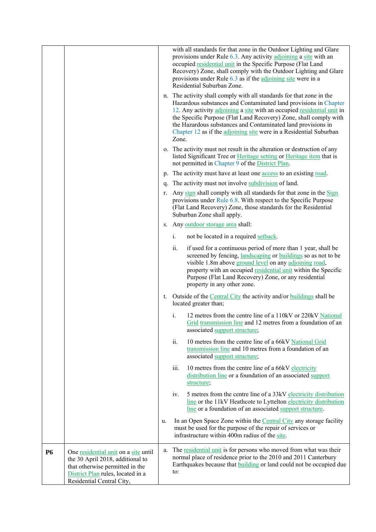|           |                                                                                                                                                                               |    |       | with all standards for that zone in the Outdoor Lighting and Glare<br>provisions under Rule 6.3. Any activity adjoining a site with an<br>occupied residential unit in the Specific Purpose (Flat Land<br>Recovery) Zone, shall comply with the Outdoor Lighting and Glare<br>provisions under Rule 6.3 as if the adjoining site were in a<br>Residential Suburban Zone.                                                      |
|-----------|-------------------------------------------------------------------------------------------------------------------------------------------------------------------------------|----|-------|-------------------------------------------------------------------------------------------------------------------------------------------------------------------------------------------------------------------------------------------------------------------------------------------------------------------------------------------------------------------------------------------------------------------------------|
|           |                                                                                                                                                                               |    | Zone. | n. The activity shall comply with all standards for that zone in the<br>Hazardous substances and Contaminated land provisions in Chapter<br>12. Any activity adjoining a site with an occupied residential unit in<br>the Specific Purpose (Flat Land Recovery) Zone, shall comply with<br>the Hazardous substances and Contaminated land provisions in<br>Chapter 12 as if the adjoining site were in a Residential Suburban |
|           |                                                                                                                                                                               |    |       | o. The activity must not result in the alteration or destruction of any<br>listed Significant Tree or Heritage setting or Heritage item that is<br>not permitted in Chapter 9 of the District Plan.                                                                                                                                                                                                                           |
|           |                                                                                                                                                                               |    |       | p. The activity must have at least one access to an existing road.                                                                                                                                                                                                                                                                                                                                                            |
|           |                                                                                                                                                                               |    |       | q. The activity must not involve subdivision of land.                                                                                                                                                                                                                                                                                                                                                                         |
|           |                                                                                                                                                                               | r. |       | Any sign shall comply with all standards for that zone in the Sign<br>provisions under Rule 6.8. With respect to the Specific Purpose<br>(Flat Land Recovery) Zone, those standards for the Residential<br>Suburban Zone shall apply.                                                                                                                                                                                         |
|           |                                                                                                                                                                               | S. |       | Any outdoor storage area shall:                                                                                                                                                                                                                                                                                                                                                                                               |
|           |                                                                                                                                                                               |    | i.    | not be located in a required setback.                                                                                                                                                                                                                                                                                                                                                                                         |
|           |                                                                                                                                                                               |    | ii.   | if used for a continuous period of more than 1 year, shall be<br>screened by fencing, landscaping or buildings so as not to be<br>visible 1.8m above ground level on any adjoining road,<br>property with an occupied residential unit within the Specific<br>Purpose (Flat Land Recovery) Zone, or any residential<br>property in any other zone.                                                                            |
|           |                                                                                                                                                                               | t. |       | Outside of the Central City the activity and/or buildings shall be<br>located greater than;                                                                                                                                                                                                                                                                                                                                   |
|           |                                                                                                                                                                               |    | i.    | 12 metres from the centre line of a 110kV or 220kV National<br>Grid transmission line and 12 metres from a foundation of an<br>associated support structure;                                                                                                                                                                                                                                                                  |
|           |                                                                                                                                                                               |    | ii.   | 10 metres from the centre line of a 66kV National Grid<br>transmission line and 10 metres from a foundation of an<br>associated support structure;                                                                                                                                                                                                                                                                            |
|           |                                                                                                                                                                               |    | iii.  | 10 metres from the centre line of a 66kV electricity<br>distribution line or a foundation of an associated support<br>structure;                                                                                                                                                                                                                                                                                              |
|           |                                                                                                                                                                               |    | iv.   | 5 metres from the centre line of a 33kV electricity distribution<br>line or the 11kV Heathcote to Lyttelton electricity distribution<br>line or a foundation of an associated support structure.                                                                                                                                                                                                                              |
|           |                                                                                                                                                                               | u. |       | In an Open Space Zone within the Central City any storage facility<br>must be used for the purpose of the repair of services or<br>infrastructure within 400m radius of the site.                                                                                                                                                                                                                                             |
| <b>P6</b> | One residential unit on a site until<br>the 30 April 2018, additional to<br>that otherwise permitted in the<br>District Plan rules, located in a<br>Residential Central City, | a. | to:   | The residential unit is for persons who moved from what was their<br>normal place of residence prior to the 2010 and 2011 Canterbury<br>Earthquakes because that <b>building</b> or land could not be occupied due                                                                                                                                                                                                            |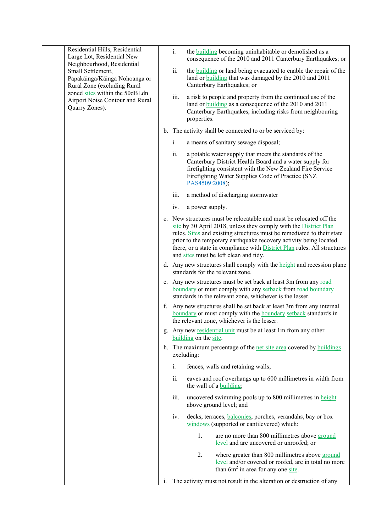|  |  | Residential Hills, Residential<br>Large Lot, Residential New<br>Neighbourhood, Residential                                                                               |                | i.                                                                                                                                                                                                                                                    | the <b>building</b> becoming uninhabitable or demolished as a<br>consequence of the 2010 and 2011 Canterbury Earthquakes; or                                                                                                                                                                                                                                                                                        |
|--|--|--------------------------------------------------------------------------------------------------------------------------------------------------------------------------|----------------|-------------------------------------------------------------------------------------------------------------------------------------------------------------------------------------------------------------------------------------------------------|---------------------------------------------------------------------------------------------------------------------------------------------------------------------------------------------------------------------------------------------------------------------------------------------------------------------------------------------------------------------------------------------------------------------|
|  |  | Small Settlement,<br>Papakāinga/Kāinga Nohoanga or<br>Rural Zone (excluding Rural<br>zoned sites within the 50dBLdn<br>Airport Noise Contour and Rural<br>Quarry Zones). |                | ii.                                                                                                                                                                                                                                                   | the <b>building</b> or land being evacuated to enable the repair of the<br>land or <b>building</b> that was damaged by the 2010 and 2011<br>Canterbury Earthquakes; or                                                                                                                                                                                                                                              |
|  |  |                                                                                                                                                                          |                | iii.                                                                                                                                                                                                                                                  | a risk to people and property from the continued use of the<br>land or <b>building</b> as a consequence of the 2010 and 2011<br>Canterbury Earthquakes, including risks from neighbouring<br>properties.                                                                                                                                                                                                            |
|  |  |                                                                                                                                                                          |                |                                                                                                                                                                                                                                                       | b. The activity shall be connected to or be serviced by:                                                                                                                                                                                                                                                                                                                                                            |
|  |  |                                                                                                                                                                          |                | i.                                                                                                                                                                                                                                                    | a means of sanitary sewage disposal;                                                                                                                                                                                                                                                                                                                                                                                |
|  |  |                                                                                                                                                                          | ii.            | a potable water supply that meets the standards of the<br>Canterbury District Health Board and a water supply for<br>firefighting consistent with the New Zealand Fire Service<br>Firefighting Water Supplies Code of Practice (SNZ<br>PAS4509:2008); |                                                                                                                                                                                                                                                                                                                                                                                                                     |
|  |  |                                                                                                                                                                          |                | iii.                                                                                                                                                                                                                                                  | a method of discharging stormwater                                                                                                                                                                                                                                                                                                                                                                                  |
|  |  |                                                                                                                                                                          |                | iv.                                                                                                                                                                                                                                                   | a power supply.                                                                                                                                                                                                                                                                                                                                                                                                     |
|  |  |                                                                                                                                                                          |                |                                                                                                                                                                                                                                                       | c. New structures must be relocatable and must be relocated off the<br>site by 30 April 2018, unless they comply with the District Plan<br>rules. Sites and existing structures must be remediated to their state<br>prior to the temporary earthquake recovery activity being located<br>there, or a state in compliance with <b>District Plan</b> rules. All structures<br>and sites must be left clean and tidy. |
|  |  |                                                                                                                                                                          |                | d. Any new structures shall comply with the height and recession plane<br>standards for the relevant zone.                                                                                                                                            |                                                                                                                                                                                                                                                                                                                                                                                                                     |
|  |  |                                                                                                                                                                          |                |                                                                                                                                                                                                                                                       | e. Any new structures must be set back at least 3m from any road<br>boundary or must comply with any setback from road boundary<br>standards in the relevant zone, whichever is the lesser.                                                                                                                                                                                                                         |
|  |  |                                                                                                                                                                          |                |                                                                                                                                                                                                                                                       | f. Any new structures shall be set back at least 3m from any internal<br>boundary or must comply with the boundary setback standards in<br>the relevant zone, whichever is the lesser.                                                                                                                                                                                                                              |
|  |  |                                                                                                                                                                          |                |                                                                                                                                                                                                                                                       | g. Any new residential unit must be at least 1m from any other<br>building on the site.                                                                                                                                                                                                                                                                                                                             |
|  |  |                                                                                                                                                                          |                |                                                                                                                                                                                                                                                       | h. The maximum percentage of the net site area covered by buildings<br>excluding:                                                                                                                                                                                                                                                                                                                                   |
|  |  |                                                                                                                                                                          |                | $\mathbf{i}$ .                                                                                                                                                                                                                                        | fences, walls and retaining walls;                                                                                                                                                                                                                                                                                                                                                                                  |
|  |  |                                                                                                                                                                          |                | ii.                                                                                                                                                                                                                                                   | eaves and roof overhangs up to 600 millimetres in width from<br>the wall of a building;                                                                                                                                                                                                                                                                                                                             |
|  |  |                                                                                                                                                                          |                | iii.                                                                                                                                                                                                                                                  | uncovered swimming pools up to 800 millimetres in height<br>above ground level; and                                                                                                                                                                                                                                                                                                                                 |
|  |  |                                                                                                                                                                          |                | IV.                                                                                                                                                                                                                                                   | decks, terraces, <b>balconies</b> , porches, verandahs, bay or box<br>windows (supported or cantilevered) which:                                                                                                                                                                                                                                                                                                    |
|  |  |                                                                                                                                                                          |                |                                                                                                                                                                                                                                                       | 1.<br>are no more than 800 millimetres above ground<br>level and are uncovered or unroofed; or                                                                                                                                                                                                                                                                                                                      |
|  |  |                                                                                                                                                                          |                |                                                                                                                                                                                                                                                       | 2.<br>where greater than 800 millimetres above ground<br>level and/or covered or roofed, are in total no more<br>than $6m2$ in area for any one site.                                                                                                                                                                                                                                                               |
|  |  |                                                                                                                                                                          | $\mathbf{1}$ . |                                                                                                                                                                                                                                                       | The activity must not result in the alteration or destruction of any                                                                                                                                                                                                                                                                                                                                                |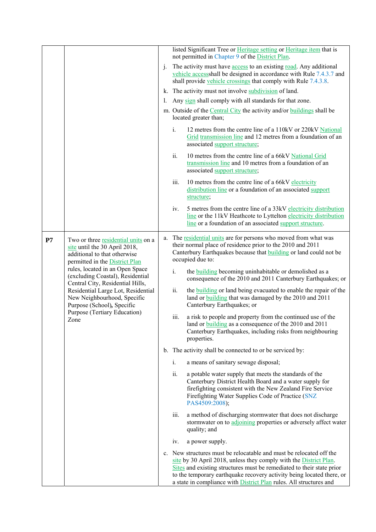|    |                                                                                                                                                                                                                                                                                                                                                                                              |    |       | listed Significant Tree or Heritage setting or Heritage item that is<br>not permitted in Chapter 9 of the District Plan.                                                                                                                                                                                                                                                |
|----|----------------------------------------------------------------------------------------------------------------------------------------------------------------------------------------------------------------------------------------------------------------------------------------------------------------------------------------------------------------------------------------------|----|-------|-------------------------------------------------------------------------------------------------------------------------------------------------------------------------------------------------------------------------------------------------------------------------------------------------------------------------------------------------------------------------|
|    |                                                                                                                                                                                                                                                                                                                                                                                              | j. |       | The activity must have access to an existing road. Any additional<br>vehicle accessshall be designed in accordance with Rule 7.4.3.7 and<br>shall provide vehicle crossings that comply with Rule 7.4.3.8.                                                                                                                                                              |
|    |                                                                                                                                                                                                                                                                                                                                                                                              | I. |       | k. The activity must not involve subdivision of land.                                                                                                                                                                                                                                                                                                                   |
|    |                                                                                                                                                                                                                                                                                                                                                                                              |    |       | Any sign shall comply with all standards for that zone.                                                                                                                                                                                                                                                                                                                 |
|    |                                                                                                                                                                                                                                                                                                                                                                                              |    |       | m. Outside of the Central City the activity and/or buildings shall be<br>located greater than;                                                                                                                                                                                                                                                                          |
|    |                                                                                                                                                                                                                                                                                                                                                                                              |    | $i$ . | 12 metres from the centre line of a 110kV or 220kV National<br>Grid transmission line and 12 metres from a foundation of an<br>associated support structure;                                                                                                                                                                                                            |
|    |                                                                                                                                                                                                                                                                                                                                                                                              |    | ii.   | 10 metres from the centre line of a 66kV National Grid<br>transmission line and 10 metres from a foundation of an<br>associated support structure;                                                                                                                                                                                                                      |
|    |                                                                                                                                                                                                                                                                                                                                                                                              |    | iii.  | 10 metres from the centre line of a 66kV electricity<br>distribution line or a foundation of an associated support<br>structure;                                                                                                                                                                                                                                        |
|    |                                                                                                                                                                                                                                                                                                                                                                                              |    | iv.   | 5 metres from the centre line of a 33kV electricity distribution<br>line or the 11kV Heathcote to Lyttelton electricity distribution<br>line or a foundation of an associated support structure.                                                                                                                                                                        |
| P7 | Two or three residential units on a<br>site until the 30 April 2018,<br>additional to that otherwise<br>permitted in the District Plan<br>rules, located in an Open Space<br>(excluding Coastal), Residential<br>Central City, Residential Hills,<br>Residential Large Lot, Residential<br>New Neighbourhood, Specific<br>Purpose (School), Specific<br>Purpose (Tertiary Education)<br>Zone |    |       | a. The residential units are for persons who moved from what was<br>their normal place of residence prior to the 2010 and 2011<br>Canterbury Earthquakes because that <b>building</b> or land could not be<br>occupied due to:                                                                                                                                          |
|    |                                                                                                                                                                                                                                                                                                                                                                                              |    | i.    | the <b>building</b> becoming uninhabitable or demolished as a<br>consequence of the 2010 and 2011 Canterbury Earthquakes; or                                                                                                                                                                                                                                            |
|    |                                                                                                                                                                                                                                                                                                                                                                                              |    | ii.   | the <b>building</b> or land being evacuated to enable the repair of the<br>land or <b>building</b> that was damaged by the 2010 and 2011<br>Canterbury Earthquakes; or                                                                                                                                                                                                  |
|    |                                                                                                                                                                                                                                                                                                                                                                                              |    | iii.  | a risk to people and property from the continued use of the<br>land or building as a consequence of the 2010 and 2011<br>Canterbury Earthquakes, including risks from neighbouring<br>properties.                                                                                                                                                                       |
|    |                                                                                                                                                                                                                                                                                                                                                                                              |    |       | b. The activity shall be connected to or be serviced by:                                                                                                                                                                                                                                                                                                                |
|    |                                                                                                                                                                                                                                                                                                                                                                                              |    | i.    | a means of sanitary sewage disposal;                                                                                                                                                                                                                                                                                                                                    |
|    |                                                                                                                                                                                                                                                                                                                                                                                              |    | ii.   | a potable water supply that meets the standards of the<br>Canterbury District Health Board and a water supply for<br>firefighting consistent with the New Zealand Fire Service<br>Firefighting Water Supplies Code of Practice (SNZ<br>PAS4509:2008);                                                                                                                   |
|    |                                                                                                                                                                                                                                                                                                                                                                                              |    | iii.  | a method of discharging stormwater that does not discharge<br>stormwater on to adjoining properties or adversely affect water<br>quality; and                                                                                                                                                                                                                           |
|    |                                                                                                                                                                                                                                                                                                                                                                                              |    | iv.   | a power supply.                                                                                                                                                                                                                                                                                                                                                         |
|    |                                                                                                                                                                                                                                                                                                                                                                                              |    |       | c. New structures must be relocatable and must be relocated off the<br>site by 30 April 2018, unless they comply with the District Plan.<br>Sites and existing structures must be remediated to their state prior<br>to the temporary earthquake recovery activity being located there, or<br>a state in compliance with <b>District Plan</b> rules. All structures and |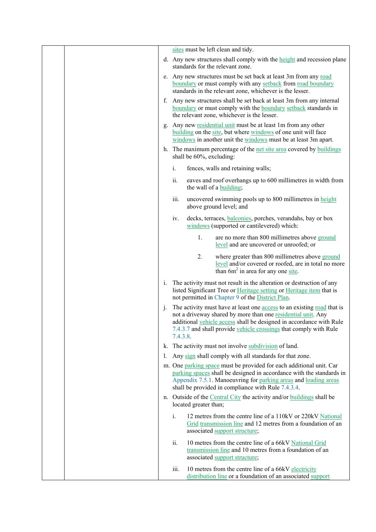|  |                |          | sites must be left clean and tidy.                                                                                                                                                                                                                                                        |
|--|----------------|----------|-------------------------------------------------------------------------------------------------------------------------------------------------------------------------------------------------------------------------------------------------------------------------------------------|
|  |                |          | d. Any new structures shall comply with the height and recession plane<br>standards for the relevant zone.                                                                                                                                                                                |
|  |                |          | e. Any new structures must be set back at least 3m from any road<br>boundary or must comply with any setback from road boundary<br>standards in the relevant zone, whichever is the lesser.                                                                                               |
|  |                |          | f. Any new structures shall be set back at least 3m from any internal<br>boundary or must comply with the boundary setback standards in<br>the relevant zone, whichever is the lesser.                                                                                                    |
|  |                |          | g. Any new residential unit must be at least 1m from any other<br>building on the site, but where windows of one unit will face<br>windows in another unit the windows must be at least 3m apart.                                                                                         |
|  |                |          | h. The maximum percentage of the net site area covered by buildings<br>shall be 60%, excluding:                                                                                                                                                                                           |
|  |                | i.       | fences, walls and retaining walls;                                                                                                                                                                                                                                                        |
|  |                | ii.      | eaves and roof overhangs up to 600 millimetres in width from<br>the wall of a building;                                                                                                                                                                                                   |
|  |                | iii.     | uncovered swimming pools up to 800 millimetres in height<br>above ground level; and                                                                                                                                                                                                       |
|  |                | iv.      | decks, terraces, <b>balconies</b> , porches, verandahs, bay or box<br>windows (supported or cantilevered) which:                                                                                                                                                                          |
|  |                |          | 1.<br>are no more than 800 millimetres above ground<br>level and are uncovered or unroofed; or                                                                                                                                                                                            |
|  |                |          | 2.<br>where greater than 800 millimetres above ground<br>level and/or covered or roofed, are in total no more<br>than $6m^2$ in area for any one site.                                                                                                                                    |
|  | $\mathbf{1}$ . |          | The activity must not result in the alteration or destruction of any<br>listed Significant Tree or Heritage setting or Heritage item that is<br>not permitted in Chapter 9 of the District Plan.                                                                                          |
|  | $\mathbf{1}$ . | 7.4.3.8. | The activity must have at least one <b>access</b> to an existing road that is<br>not a driveway shared by more than one residential unit. Any<br>additional vehicle access shall be designed in accordance with Rule<br>7.4.3.7 and shall provide vehicle crossings that comply with Rule |
|  |                |          | k. The activity must not involve subdivision of land.                                                                                                                                                                                                                                     |
|  | I.             |          | Any sign shall comply with all standards for that zone.                                                                                                                                                                                                                                   |
|  |                |          | m. One parking space must be provided for each additional unit. Car<br>parking spaces shall be designed in accordance with the standards in<br>Appendix 7.5.1. Manoeuvring for parking areas and loading areas<br>shall be provided in compliance with Rule 7.4.3.4.                      |
|  |                |          | n. Outside of the Central City the activity and/or buildings shall be<br>located greater than;                                                                                                                                                                                            |
|  |                | i.       | 12 metres from the centre line of a 110kV or 220kV National<br>Grid transmission line and 12 metres from a foundation of an<br>associated support structure;                                                                                                                              |
|  |                | ii.      | 10 metres from the centre line of a 66kV National Grid<br>transmission line and 10 metres from a foundation of an<br>associated support structure;                                                                                                                                        |
|  |                | iii.     | 10 metres from the centre line of a 66kV electricity<br>distribution line or a foundation of an associated support                                                                                                                                                                        |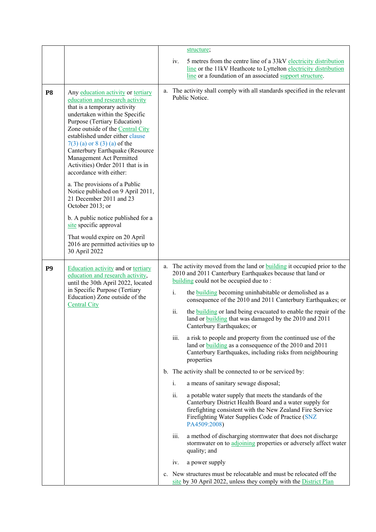|                |                                                                                                                                                                                                                                                                                                                                                                                                                                                                                                                                                                                                                                                                                               | structure;                                                                                                                                                                                                                                                                                                                                                                                                                                                                                                                                                                                                                                                                                                                                                                                                                                                                                                                                                                                                                                                                                                                                                                                                                                                                                                                                                                                                              |  |
|----------------|-----------------------------------------------------------------------------------------------------------------------------------------------------------------------------------------------------------------------------------------------------------------------------------------------------------------------------------------------------------------------------------------------------------------------------------------------------------------------------------------------------------------------------------------------------------------------------------------------------------------------------------------------------------------------------------------------|-------------------------------------------------------------------------------------------------------------------------------------------------------------------------------------------------------------------------------------------------------------------------------------------------------------------------------------------------------------------------------------------------------------------------------------------------------------------------------------------------------------------------------------------------------------------------------------------------------------------------------------------------------------------------------------------------------------------------------------------------------------------------------------------------------------------------------------------------------------------------------------------------------------------------------------------------------------------------------------------------------------------------------------------------------------------------------------------------------------------------------------------------------------------------------------------------------------------------------------------------------------------------------------------------------------------------------------------------------------------------------------------------------------------------|--|
|                |                                                                                                                                                                                                                                                                                                                                                                                                                                                                                                                                                                                                                                                                                               | 5 metres from the centre line of a 33kV electricity distribution<br>iv.<br>line or the 11kV Heathcote to Lyttelton electricity distribution<br>line or a foundation of an associated support structure.                                                                                                                                                                                                                                                                                                                                                                                                                                                                                                                                                                                                                                                                                                                                                                                                                                                                                                                                                                                                                                                                                                                                                                                                                 |  |
| P <sub>8</sub> | Any education activity or tertiary<br>education and research activity<br>that is a temporary activity<br>undertaken within the Specific<br>Purpose (Tertiary Education)<br>Zone outside of the Central City<br>established under either clause<br>$7(3)$ (a) or 8 (3) (a) of the<br>Canterbury Earthquake (Resource<br>Management Act Permitted<br>Activities) Order 2011 that is in<br>accordance with either:<br>a. The provisions of a Public<br>Notice published on 9 April 2011,<br>21 December 2011 and 23<br>October 2013; or<br>b. A public notice published for a<br>site specific approval<br>That would expire on 20 April<br>2016 are permitted activities up to<br>30 April 2022 | a. The activity shall comply with all standards specified in the relevant<br>Public Notice.                                                                                                                                                                                                                                                                                                                                                                                                                                                                                                                                                                                                                                                                                                                                                                                                                                                                                                                                                                                                                                                                                                                                                                                                                                                                                                                             |  |
| P <sub>9</sub> | Education activity and or tertiary<br>education and research activity,<br>until the 30th April 2022, located<br>in Specific Purpose (Tertiary<br>Education) Zone outside of the<br><b>Central City</b>                                                                                                                                                                                                                                                                                                                                                                                                                                                                                        | a. The activity moved from the land or <b>building</b> it occupied prior to the<br>2010 and 2011 Canterbury Earthquakes because that land or<br>building could not be occupied due to:<br>i.<br>the <b>building</b> becoming uninhabitable or demolished as a<br>consequence of the 2010 and 2011 Canterbury Earthquakes; or<br>ii.<br>the <b>building</b> or land being evacuated to enable the repair of the<br>land or building that was damaged by the 2010 and 2011<br>Canterbury Earthquakes; or<br>iii.<br>a risk to people and property from the continued use of the<br>land or building as a consequence of the 2010 and 2011<br>Canterbury Earthquakes, including risks from neighbouring<br>properties<br>b. The activity shall be connected to or be serviced by:<br>i.<br>a means of sanitary sewage disposal;<br>ii.<br>a potable water supply that meets the standards of the<br>Canterbury District Health Board and a water supply for<br>firefighting consistent with the New Zealand Fire Service<br>Firefighting Water Supplies Code of Practice (SNZ<br>PA4509:2008)<br>a method of discharging stormwater that does not discharge<br>iii.<br>stormwater on to adjoining properties or adversely affect water<br>quality; and<br>a power supply<br>iv.<br>c. New structures must be relocatable and must be relocated off the<br>site by 30 April 2022, unless they comply with the District Plan |  |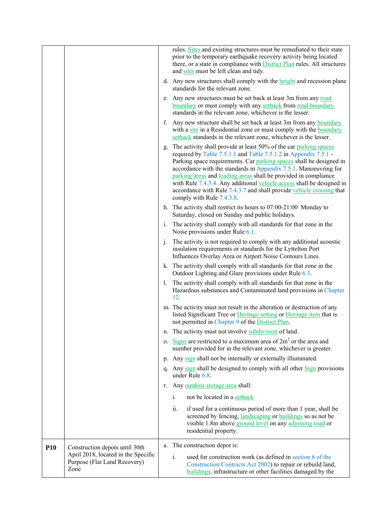|            |                                                                             |                | rules. Sites and existing structures must be remediated to their state<br>prior to the temporary earthquake recovery activity being located<br>there, or a state in compliance with <b>District Plan</b> rules. All structures<br>and sites must be left clean and tidy.                                                                                                                                                                                                                                                         |
|------------|-----------------------------------------------------------------------------|----------------|----------------------------------------------------------------------------------------------------------------------------------------------------------------------------------------------------------------------------------------------------------------------------------------------------------------------------------------------------------------------------------------------------------------------------------------------------------------------------------------------------------------------------------|
|            |                                                                             |                | d. Any new structures shall comply with the height and recession plane<br>standards for the relevant zone.                                                                                                                                                                                                                                                                                                                                                                                                                       |
|            |                                                                             |                | e. Any new structures must be set back at least 3m from any road<br>boundary or must comply with any setback from road boundary<br>standards in the relevant zone, whichever is the lesser.                                                                                                                                                                                                                                                                                                                                      |
|            |                                                                             |                | f. Any new structure shall be set back at least 3m from any boundary<br>with a site in a Residential zone or must comply with the boundary<br>setback standards in the relevant zone, whichever is the lesser.                                                                                                                                                                                                                                                                                                                   |
|            |                                                                             | g.             | The activity shall provide at least 50% of the car parking spaces<br>required by Table 7.5.1.1 and Table 7.5.1.2 in Appendix 7.5.1 -<br>Parking space requirements. Car parking spaces shall be designed in<br>accordance with the standards in Appendix 7.5.1. Manoeuvring for<br>parking areas and loading areas shall be provided in compliance<br>with Rule 7.4.3.4. Any additional vehicle access shall be designed in<br>accordance with Rule 7.4.3.7 and shall provide vehicle crossing that<br>comply with Rule 7.4.3.8. |
|            |                                                                             |                | h. The activity shall restrict its hours to $07:00-21:00$ Monday to<br>Saturday, closed on Sunday and public holidays.                                                                                                                                                                                                                                                                                                                                                                                                           |
|            |                                                                             | $i$ .          | The activity shall comply with all standards for that zone in the<br>Noise provisions under Rule 6.1.                                                                                                                                                                                                                                                                                                                                                                                                                            |
|            |                                                                             | j.             | The activity is not required to comply with any additional acoustic<br>insulation requirements or standards for the Lyttelton Port<br>Influences Overlay Area or Airport Noise Contours Lines.                                                                                                                                                                                                                                                                                                                                   |
|            |                                                                             |                | k. The activity shall comply with all standards for that zone in the<br>Outdoor Lighting and Glare provisions under Rule 6.3.                                                                                                                                                                                                                                                                                                                                                                                                    |
|            |                                                                             | $\mathbf{I}$ . | The activity shall comply with all standards for that zone in the<br>Hazardous substances and Contaminated land provisions in Chapter<br>12.                                                                                                                                                                                                                                                                                                                                                                                     |
|            |                                                                             |                | m. The activity must not result in the alteration or destruction of any<br>listed Significant Tree or Heritage setting or Heritage item that is<br>not permitted in Chapter 9 of the District Plan.                                                                                                                                                                                                                                                                                                                              |
|            |                                                                             |                | n. The activity must not involve subdivision of land.                                                                                                                                                                                                                                                                                                                                                                                                                                                                            |
|            |                                                                             | 0.             | Signs are restricted to a maximum area of $2m2$ or the area and<br>number provided for in the relevant zone, whichever is greater.                                                                                                                                                                                                                                                                                                                                                                                               |
|            |                                                                             |                | p. Any sign shall not be internally or externally illuminated.                                                                                                                                                                                                                                                                                                                                                                                                                                                                   |
|            |                                                                             |                | q. Any sign shall be designed to comply with all other Sign provisions<br>under Rule $6.8$                                                                                                                                                                                                                                                                                                                                                                                                                                       |
|            |                                                                             |                | r. Any outdoor storage area shall:                                                                                                                                                                                                                                                                                                                                                                                                                                                                                               |
|            |                                                                             |                | not be located in a setback<br>i.                                                                                                                                                                                                                                                                                                                                                                                                                                                                                                |
|            |                                                                             |                | ii.<br>if used for a continuous period of more than 1 year, shall be<br>screened by fencing, landscaping or buildings so as not be<br>visible 1.8m above ground level on any adjoining road or<br>residential property.                                                                                                                                                                                                                                                                                                          |
| <b>P10</b> | Construction depots until 30th                                              |                | a. The construction depot is:                                                                                                                                                                                                                                                                                                                                                                                                                                                                                                    |
|            | April 2018, located in the Specific<br>Purpose (Flat Land Recovery)<br>Zone |                | i.<br>used for construction work (as defined in section 6 of the<br>Construction Contracts Act 2002) to repair or rebuild land,<br>buildings, infrastructure or other facilities damaged by the                                                                                                                                                                                                                                                                                                                                  |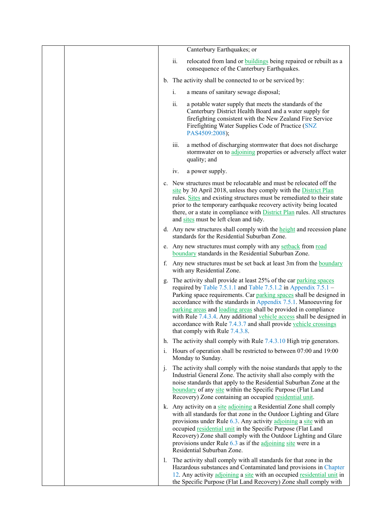|  |    |      | Canterbury Earthquakes; or                                                                                                                                                                                                                                                                                                                                                                                                                                                                                                             |
|--|----|------|----------------------------------------------------------------------------------------------------------------------------------------------------------------------------------------------------------------------------------------------------------------------------------------------------------------------------------------------------------------------------------------------------------------------------------------------------------------------------------------------------------------------------------------|
|  |    | ii.  | relocated from land or <b>buildings</b> being repaired or rebuilt as a<br>consequence of the Canterbury Earthquakes.                                                                                                                                                                                                                                                                                                                                                                                                                   |
|  |    |      | b. The activity shall be connected to or be serviced by:                                                                                                                                                                                                                                                                                                                                                                                                                                                                               |
|  |    | i.   | a means of sanitary sewage disposal;                                                                                                                                                                                                                                                                                                                                                                                                                                                                                                   |
|  |    | ii.  | a potable water supply that meets the standards of the<br>Canterbury District Health Board and a water supply for<br>firefighting consistent with the New Zealand Fire Service<br>Firefighting Water Supplies Code of Practice (SNZ<br>PAS4509:2008);                                                                                                                                                                                                                                                                                  |
|  |    | iii. | a method of discharging stormwater that does not discharge<br>stormwater on to adjoining properties or adversely affect water<br>quality; and                                                                                                                                                                                                                                                                                                                                                                                          |
|  |    | iv.  | a power supply.                                                                                                                                                                                                                                                                                                                                                                                                                                                                                                                        |
|  |    |      | c. New structures must be relocatable and must be relocated off the<br>site by 30 April 2018, unless they comply with the District Plan<br>rules. Sites and existing structures must be remediated to their state<br>prior to the temporary earthquake recovery activity being located<br>there, or a state in compliance with <b>District Plan</b> rules. All structures<br>and sites must be left clean and tidy.                                                                                                                    |
|  |    |      | d. Any new structures shall comply with the height and recession plane<br>standards for the Residential Suburban Zone.                                                                                                                                                                                                                                                                                                                                                                                                                 |
|  |    |      | e. Any new structures must comply with any setback from road<br>boundary standards in the Residential Suburban Zone.                                                                                                                                                                                                                                                                                                                                                                                                                   |
|  |    |      | f. Any new structures must be set back at least 3m from the boundary<br>with any Residential Zone.                                                                                                                                                                                                                                                                                                                                                                                                                                     |
|  |    |      | g. The activity shall provide at least 25% of the car parking spaces<br>required by Table 7.5.1.1 and Table 7.5.1.2 in Appendix $7.5.1 -$<br>Parking space requirements. Car parking spaces shall be designed in<br>accordance with the standards in Appendix 7.5.1. Manoeuvring for<br>parking areas and loading areas shall be provided in compliance<br>with Rule 7.4.3.4. Any additional vehicle access shall be designed in<br>accordance with Rule 7.4.3.7 and shall provide vehicle crossings<br>that comply with Rule 7.4.3.8. |
|  |    |      | h. The activity shall comply with Rule $7.4.3.10$ High trip generators.                                                                                                                                                                                                                                                                                                                                                                                                                                                                |
|  | 1. |      | Hours of operation shall be restricted to between 07:00 and 19:00<br>Monday to Sunday.                                                                                                                                                                                                                                                                                                                                                                                                                                                 |
|  | j. |      | The activity shall comply with the noise standards that apply to the<br>Industrial General Zone. The activity shall also comply with the<br>noise standards that apply to the Residential Suburban Zone at the<br>boundary of any site within the Specific Purpose (Flat Land<br>Recovery) Zone containing an occupied residential unit.                                                                                                                                                                                               |
|  |    |      | k. Any activity on a site adjoining a Residential Zone shall comply<br>with all standards for that zone in the Outdoor Lighting and Glare<br>provisions under Rule 6.3. Any activity adjoining a site with an<br>occupied residential unit in the Specific Purpose (Flat Land<br>Recovery) Zone shall comply with the Outdoor Lighting and Glare<br>provisions under Rule 6.3 as if the adjoining site were in a<br>Residential Suburban Zone.                                                                                         |
|  | 1. |      | The activity shall comply with all standards for that zone in the<br>Hazardous substances and Contaminated land provisions in Chapter<br>12. Any activity adjoining a site with an occupied residential unit in<br>the Specific Purpose (Flat Land Recovery) Zone shall comply with                                                                                                                                                                                                                                                    |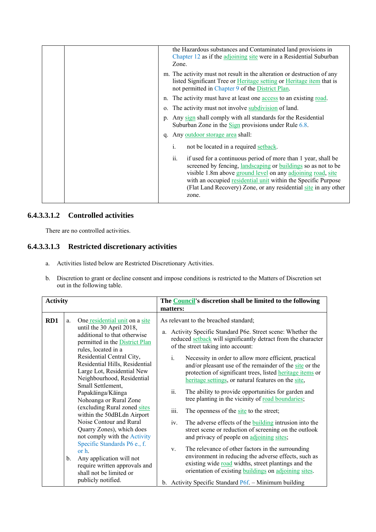| the Hazardous substances and Contaminated land provisions in<br>Chapter 12 as if the adjoining site were in a Residential Suburban<br>Zone.                                                                                                                                                                                                       |
|---------------------------------------------------------------------------------------------------------------------------------------------------------------------------------------------------------------------------------------------------------------------------------------------------------------------------------------------------|
| m. The activity must not result in the alteration or destruction of any<br>listed Significant Tree or Heritage setting or Heritage item that is<br>not permitted in Chapter 9 of the District Plan.                                                                                                                                               |
| n. The activity must have at least one access to an existing road.                                                                                                                                                                                                                                                                                |
| o. The activity must not involve subdivision of land.                                                                                                                                                                                                                                                                                             |
| p. Any sign shall comply with all standards for the Residential<br>Suburban Zone in the $\frac{Sign}{Sign}$ provisions under Rule 6.8.                                                                                                                                                                                                            |
| Any <u>outdoor storage area</u> shall:<br>$q_{\cdot}$                                                                                                                                                                                                                                                                                             |
| i.<br>not be located in a required setback.                                                                                                                                                                                                                                                                                                       |
| ii.<br>if used for a continuous period of more than 1 year, shall be<br>screened by fencing, landscaping or buildings so as not to be<br>visible 1.8m above ground level on any adjoining road, site<br>with an occupied residential unit within the Specific Purpose<br>(Flat Land Recovery) Zone, or any residential site in any other<br>zone. |

#### **6.4.3.3.1.2 Controlled activities**

There are no controlled activities.

## **6.4.3.3.1.3 Restricted discretionary activities**

- a. Activities listed below are Restricted Discretionary Activities.
- b. Discretion to grant or decline consent and impose conditions is restricted to the Matters of Discretion set out in the following table.

| <b>Activity</b> |                      |                                                                                                                                                                                                                                                                                                                                                                                                                                                                                                                                                                                                                                                                    |                                | The <b>Council's</b> discretion shall be limited to the following                                                                                                                                                                                                                                                                                                                                                                                                                                                                                                                                                                                                                                                                                                                                                                                                                                                                                                                                                                                                               |
|-----------------|----------------------|--------------------------------------------------------------------------------------------------------------------------------------------------------------------------------------------------------------------------------------------------------------------------------------------------------------------------------------------------------------------------------------------------------------------------------------------------------------------------------------------------------------------------------------------------------------------------------------------------------------------------------------------------------------------|--------------------------------|---------------------------------------------------------------------------------------------------------------------------------------------------------------------------------------------------------------------------------------------------------------------------------------------------------------------------------------------------------------------------------------------------------------------------------------------------------------------------------------------------------------------------------------------------------------------------------------------------------------------------------------------------------------------------------------------------------------------------------------------------------------------------------------------------------------------------------------------------------------------------------------------------------------------------------------------------------------------------------------------------------------------------------------------------------------------------------|
|                 |                      |                                                                                                                                                                                                                                                                                                                                                                                                                                                                                                                                                                                                                                                                    | matters:                       |                                                                                                                                                                                                                                                                                                                                                                                                                                                                                                                                                                                                                                                                                                                                                                                                                                                                                                                                                                                                                                                                                 |
| RD1             | a.<br>$\mathbf{b}$ . | One residential unit on a site<br>until the 30 April 2018,<br>additional to that otherwise<br>permitted in the District Plan<br>rules, located in a<br>Residential Central City,<br>Residential Hills, Residential<br>Large Lot, Residential New<br>Neighbourhood, Residential<br>Small Settlement,<br>Papakāinga/Kāinga<br>Nohoanga or Rural Zone<br>(excluding Rural zoned sites<br>within the 50dBLdn Airport<br>Noise Contour and Rural<br>Quarry Zones), which does<br>not comply with the Activity<br>Specific Standards P6 e., f.<br>or $h$ .<br>Any application will not<br>require written approvals and<br>shall not be limited or<br>publicly notified. | i.<br>ii.<br>iii.<br>iv.<br>V. | As relevant to the breached standard;<br>a. Activity Specific Standard P6e. Street scene: Whether the<br>reduced setback will significantly detract from the character<br>of the street taking into account:<br>Necessity in order to allow more efficient, practical<br>and/or pleasant use of the remainder of the site or the<br>protection of significant trees, listed <b>heritage</b> items or<br>heritage settings, or natural features on the site,<br>The ability to provide opportunities for garden and<br>tree planting in the vicinity of road boundaries;<br>The openness of the site to the street;<br>The adverse effects of the <b>building</b> intrusion into the<br>street scene or reduction of screening on the outlook<br>and privacy of people on adjoining sites;<br>The relevance of other factors in the surrounding<br>environment in reducing the adverse effects, such as<br>existing wide road widths, street plantings and the<br>orientation of existing buildings on adjoining sites.<br>b. Activity Specific Standard P6f. - Minimum building |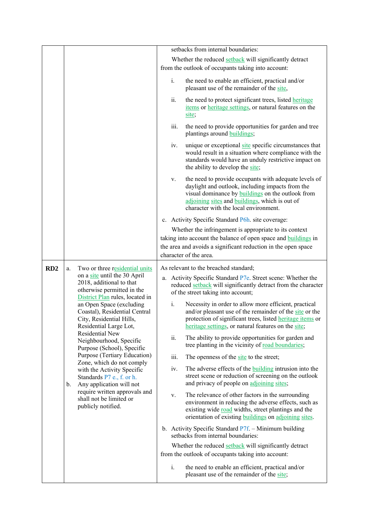|     |                                                                                                                 |                                                                                                                                                                                                                              |                                                                                                                                                                                                                                      | setbacks from internal boundaries:                                                                                                                                                                                                                               |
|-----|-----------------------------------------------------------------------------------------------------------------|------------------------------------------------------------------------------------------------------------------------------------------------------------------------------------------------------------------------------|--------------------------------------------------------------------------------------------------------------------------------------------------------------------------------------------------------------------------------------|------------------------------------------------------------------------------------------------------------------------------------------------------------------------------------------------------------------------------------------------------------------|
|     |                                                                                                                 |                                                                                                                                                                                                                              |                                                                                                                                                                                                                                      | Whether the reduced setback will significantly detract                                                                                                                                                                                                           |
|     |                                                                                                                 |                                                                                                                                                                                                                              |                                                                                                                                                                                                                                      | from the outlook of occupants taking into account:                                                                                                                                                                                                               |
|     |                                                                                                                 |                                                                                                                                                                                                                              | $\mathbf{i}$ .                                                                                                                                                                                                                       | the need to enable an efficient, practical and/or<br>pleasant use of the remainder of the site,                                                                                                                                                                  |
|     |                                                                                                                 |                                                                                                                                                                                                                              | ii.                                                                                                                                                                                                                                  | the need to protect significant trees, listed <b>heritage</b><br>items or heritage settings, or natural features on the<br>site;                                                                                                                                 |
|     |                                                                                                                 |                                                                                                                                                                                                                              | iii.                                                                                                                                                                                                                                 | the need to provide opportunities for garden and tree<br>plantings around <b>buildings</b> ;                                                                                                                                                                     |
|     |                                                                                                                 |                                                                                                                                                                                                                              | iv.                                                                                                                                                                                                                                  | unique or exceptional site specific circumstances that<br>would result in a situation where compliance with the<br>standards would have an unduly restrictive impact on<br>the ability to develop the site;                                                      |
|     |                                                                                                                 |                                                                                                                                                                                                                              | V.                                                                                                                                                                                                                                   | the need to provide occupants with adequate levels of<br>daylight and outlook, including impacts from the<br>visual dominance by <b>buildings</b> on the outlook from<br>adjoining sites and buildings, which is out of<br>character with the local environment. |
|     |                                                                                                                 |                                                                                                                                                                                                                              |                                                                                                                                                                                                                                      | c. Activity Specific Standard P6h. site coverage:                                                                                                                                                                                                                |
|     |                                                                                                                 |                                                                                                                                                                                                                              |                                                                                                                                                                                                                                      | Whether the infringement is appropriate to its context                                                                                                                                                                                                           |
|     |                                                                                                                 |                                                                                                                                                                                                                              |                                                                                                                                                                                                                                      | taking into account the balance of open space and buildings in                                                                                                                                                                                                   |
|     |                                                                                                                 |                                                                                                                                                                                                                              |                                                                                                                                                                                                                                      | the area and avoids a significant reduction in the open space<br>character of the area.                                                                                                                                                                          |
|     |                                                                                                                 |                                                                                                                                                                                                                              |                                                                                                                                                                                                                                      |                                                                                                                                                                                                                                                                  |
| RD2 | a.                                                                                                              | Two or three residential units<br>on a site until the 30 April                                                                                                                                                               |                                                                                                                                                                                                                                      | As relevant to the breached standard;                                                                                                                                                                                                                            |
|     |                                                                                                                 | 2018, additional to that<br>otherwise permitted in the<br>District Plan rules, located in                                                                                                                                    |                                                                                                                                                                                                                                      | a. Activity Specific Standard P7e. Street scene: Whether the<br>reduced setback will significantly detract from the character<br>of the street taking into account;                                                                                              |
|     | an Open Space (excluding<br>Coastal), Residential Central<br>City, Residential Hills,<br>Residential Large Lot, | i.                                                                                                                                                                                                                           | Necessity in order to allow more efficient, practical<br>and/or pleasant use of the remainder of the site or the<br>protection of significant trees, listed heritage items or<br>heritage settings, or natural features on the site; |                                                                                                                                                                                                                                                                  |
|     |                                                                                                                 | Residential New<br>Neighbourhood, Specific<br>Purpose (School), Specific<br>Purpose (Tertiary Education)<br>Zone, which do not comply<br>with the Activity Specific<br>Standards P7 e., f. or h.<br>Any application will not | ii.                                                                                                                                                                                                                                  | The ability to provide opportunities for garden and<br>tree planting in the vicinity of road boundaries;                                                                                                                                                         |
|     |                                                                                                                 |                                                                                                                                                                                                                              | iii.                                                                                                                                                                                                                                 | The openness of the site to the street;                                                                                                                                                                                                                          |
|     | b.                                                                                                              |                                                                                                                                                                                                                              | iv.                                                                                                                                                                                                                                  | The adverse effects of the building intrusion into the<br>street scene or reduction of screening on the outlook<br>and privacy of people on adjoining sites;                                                                                                     |
|     | require written approvals and<br>shall not be limited or<br>publicly notified.                                  | V.                                                                                                                                                                                                                           | The relevance of other factors in the surrounding<br>environment in reducing the adverse effects, such as<br>existing wide road widths, street plantings and the<br>orientation of existing buildings on adjoining sites.            |                                                                                                                                                                                                                                                                  |
|     |                                                                                                                 |                                                                                                                                                                                                                              |                                                                                                                                                                                                                                      | b. Activity Specific Standard P7f. - Minimum building<br>setbacks from internal boundaries:                                                                                                                                                                      |
|     |                                                                                                                 |                                                                                                                                                                                                                              |                                                                                                                                                                                                                                      | Whether the reduced setback will significantly detract                                                                                                                                                                                                           |
|     |                                                                                                                 |                                                                                                                                                                                                                              |                                                                                                                                                                                                                                      | from the outlook of occupants taking into account:                                                                                                                                                                                                               |
|     |                                                                                                                 |                                                                                                                                                                                                                              | $i$ .                                                                                                                                                                                                                                | the need to enable an efficient, practical and/or<br>pleasant use of the remainder of the site;                                                                                                                                                                  |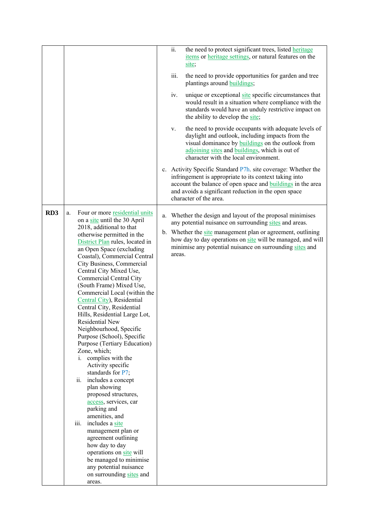|                 |                                                                                                                                                                                                                                                                                                                                                                                                                                                                                                                                                                                                                                                                                                                                                                                                                                                                                                                                                  | ii.<br>the need to protect significant trees, listed <b>heritage</b><br>items or heritage settings, or natural features on the<br>site;                                                                                                                                         |
|-----------------|--------------------------------------------------------------------------------------------------------------------------------------------------------------------------------------------------------------------------------------------------------------------------------------------------------------------------------------------------------------------------------------------------------------------------------------------------------------------------------------------------------------------------------------------------------------------------------------------------------------------------------------------------------------------------------------------------------------------------------------------------------------------------------------------------------------------------------------------------------------------------------------------------------------------------------------------------|---------------------------------------------------------------------------------------------------------------------------------------------------------------------------------------------------------------------------------------------------------------------------------|
|                 |                                                                                                                                                                                                                                                                                                                                                                                                                                                                                                                                                                                                                                                                                                                                                                                                                                                                                                                                                  | iii.<br>the need to provide opportunities for garden and tree<br>plantings around <b>buildings</b> ;                                                                                                                                                                            |
|                 |                                                                                                                                                                                                                                                                                                                                                                                                                                                                                                                                                                                                                                                                                                                                                                                                                                                                                                                                                  | unique or exceptional site specific circumstances that<br>iv.<br>would result in a situation where compliance with the<br>standards would have an unduly restrictive impact on<br>the ability to develop the site;                                                              |
|                 |                                                                                                                                                                                                                                                                                                                                                                                                                                                                                                                                                                                                                                                                                                                                                                                                                                                                                                                                                  | the need to provide occupants with adequate levels of<br>V.<br>daylight and outlook, including impacts from the<br>visual dominance by <b>buildings</b> on the outlook from<br>adjoining sites and buildings, which is out of<br>character with the local environment.          |
|                 |                                                                                                                                                                                                                                                                                                                                                                                                                                                                                                                                                                                                                                                                                                                                                                                                                                                                                                                                                  | c. Activity Specific Standard P7h. site coverage: Whether the<br>infringement is appropriate to its context taking into<br>account the balance of open space and <b>buildings</b> in the area<br>and avoids a significant reduction in the open space<br>character of the area. |
| RD <sub>3</sub> | Four or more residential units<br>a.<br>on a site until the 30 April                                                                                                                                                                                                                                                                                                                                                                                                                                                                                                                                                                                                                                                                                                                                                                                                                                                                             | Whether the design and layout of the proposal minimises<br>a.<br>any potential nuisance on surrounding sites and areas.                                                                                                                                                         |
|                 | 2018, additional to that<br>otherwise permitted in the<br>District Plan rules, located in<br>an Open Space (excluding<br>Coastal), Commercial Central<br>City Business, Commercial<br>Central City Mixed Use,<br><b>Commercial Central City</b><br>(South Frame) Mixed Use,<br>Commercial Local (within the<br>Central City), Residential<br>Central City, Residential<br>Hills, Residential Large Lot,<br>Residential New<br>Neighbourhood, Specific<br>Purpose (School), Specific<br>Purpose (Tertiary Education)<br>Zone, which;<br>i. complies with the<br>Activity specific<br>standards for P7;<br>ii. includes a concept<br>plan showing<br>proposed structures,<br>access, services, car<br>parking and<br>amenities, and<br>includes a site<br>iii.<br>management plan or<br>agreement outlining<br>how day to day<br>operations on site will<br>be managed to minimise<br>any potential nuisance<br>on surrounding sites and<br>areas. | b. Whether the site management plan or agreement, outlining<br>how day to day operations on site will be managed, and will<br>minimise any potential nuisance on surrounding sites and<br>areas.                                                                                |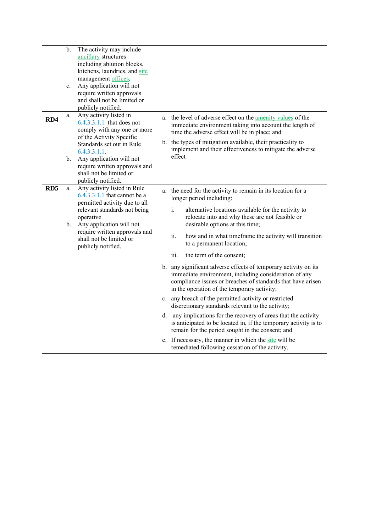|                 | $b$ .<br>$\mathbf{c}$ . | The activity may include<br>ancillary structures<br>including ablution blocks,<br>kitchens, laundries, and site<br>management offices.<br>Any application will not<br>require written approvals<br>and shall not be limited or<br>publicly notified.                        |                                                                                                                                                                                                                                                                                                                                                                                                                                                                                                                                                                                                                                                                                                                                                                                                                                                                                                                                                                                                                                             |
|-----------------|-------------------------|-----------------------------------------------------------------------------------------------------------------------------------------------------------------------------------------------------------------------------------------------------------------------------|---------------------------------------------------------------------------------------------------------------------------------------------------------------------------------------------------------------------------------------------------------------------------------------------------------------------------------------------------------------------------------------------------------------------------------------------------------------------------------------------------------------------------------------------------------------------------------------------------------------------------------------------------------------------------------------------------------------------------------------------------------------------------------------------------------------------------------------------------------------------------------------------------------------------------------------------------------------------------------------------------------------------------------------------|
| RD4             | a.<br>b.                | Any activity listed in<br>$6.4.3.3.1.1$ that does not<br>comply with any one or more<br>of the Activity Specific<br>Standards set out in Rule<br>6.4.3.3.1.1.<br>Any application will not<br>require written approvals and<br>shall not be limited or<br>publicly notified. | a. the level of adverse effect on the amenity values of the<br>immediate environment taking into account the length of<br>time the adverse effect will be in place; and<br>b. the types of mitigation available, their practicality to<br>implement and their effectiveness to mitigate the adverse<br>effect                                                                                                                                                                                                                                                                                                                                                                                                                                                                                                                                                                                                                                                                                                                               |
| RD <sub>5</sub> | a.<br>b.                | Any activity listed in Rule<br>6.4.3.3.1.1 that cannot be a<br>permitted activity due to all<br>relevant standards not being<br>operative.<br>Any application will not<br>require written approvals and<br>shall not be limited or<br>publicly notified.                    | a. the need for the activity to remain in its location for a<br>longer period including:<br>i.<br>alternative locations available for the activity to<br>relocate into and why these are not feasible or<br>desirable options at this time;<br>ii.<br>how and in what timeframe the activity will transition<br>to a permanent location;<br>iii.<br>the term of the consent;<br>b. any significant adverse effects of temporary activity on its<br>immediate environment, including consideration of any<br>compliance issues or breaches of standards that have arisen<br>in the operation of the temporary activity;<br>c. any breach of the permitted activity or restricted<br>discretionary standards relevant to the activity;<br>d. any implications for the recovery of areas that the activity<br>is anticipated to be located in, if the temporary activity is to<br>remain for the period sought in the consent; and<br>e. If necessary, the manner in which the site will be<br>remediated following cessation of the activity. |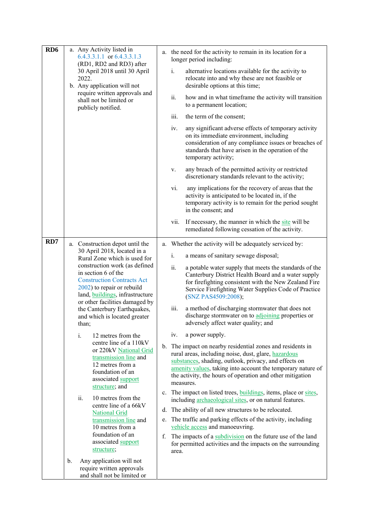| RD <sub>6</sub> | a. Any Activity listed in<br>6.4.3.3.1.1 or $6.4.3.3.1.3$<br>(RD1, RD2 and RD3) after<br>30 April 2018 until 30 April<br>2022.<br>b. Any application will not                                                                                               | a. the need for the activity to remain in its location for a<br>longer period including:                                                                                                                                                                                                                                                                                       |
|-----------------|-------------------------------------------------------------------------------------------------------------------------------------------------------------------------------------------------------------------------------------------------------------|--------------------------------------------------------------------------------------------------------------------------------------------------------------------------------------------------------------------------------------------------------------------------------------------------------------------------------------------------------------------------------|
|                 |                                                                                                                                                                                                                                                             | i.<br>alternative locations available for the activity to<br>relocate into and why these are not feasible or<br>desirable options at this time;                                                                                                                                                                                                                                |
|                 | require written approvals and<br>shall not be limited or<br>publicly notified.                                                                                                                                                                              | ii.<br>how and in what timeframe the activity will transition<br>to a permanent location;                                                                                                                                                                                                                                                                                      |
|                 |                                                                                                                                                                                                                                                             | iii.<br>the term of the consent;                                                                                                                                                                                                                                                                                                                                               |
|                 |                                                                                                                                                                                                                                                             | any significant adverse effects of temporary activity<br>iv.<br>on its immediate environment, including<br>consideration of any compliance issues or breaches of<br>standards that have arisen in the operation of the<br>temporary activity;                                                                                                                                  |
|                 |                                                                                                                                                                                                                                                             | any breach of the permitted activity or restricted<br>V.<br>discretionary standards relevant to the activity;                                                                                                                                                                                                                                                                  |
|                 |                                                                                                                                                                                                                                                             | vi.<br>any implications for the recovery of areas that the<br>activity is anticipated to be located in, if the<br>temporary activity is to remain for the period sought<br>in the consent; and                                                                                                                                                                                 |
|                 |                                                                                                                                                                                                                                                             | If necessary, the manner in which the site will be<br>vii.<br>remediated following cessation of the activity.                                                                                                                                                                                                                                                                  |
| RD7             | a. Construction depot until the                                                                                                                                                                                                                             | a. Whether the activity will be adequately serviced by:                                                                                                                                                                                                                                                                                                                        |
|                 | 30 April 2018, located in a<br>Rural Zone which is used for                                                                                                                                                                                                 | i.<br>a means of sanitary sewage disposal;                                                                                                                                                                                                                                                                                                                                     |
|                 | construction work (as defined<br>in section 6 of the<br><b>Construction Contracts Act</b><br>2002) to repair or rebuild<br>land, buildings, infrastructure<br>or other facilities damaged by<br>the Canterbury Earthquakes,<br>and which is located greater | ii.<br>a potable water supply that meets the standards of the<br>Canterbury District Health Board and a water supply<br>for firefighting consistent with the New Zealand Fire<br>Service Firefighting Water Supplies Code of Practice<br>(SNZ PAS4509:2008);<br>a method of discharging stormwater that does not<br>iii.<br>discharge stormwater on to adjoining properties or |
|                 | than;                                                                                                                                                                                                                                                       | adversely affect water quality; and                                                                                                                                                                                                                                                                                                                                            |
|                 | i.<br>12 metres from the<br>centre line of a 110kV                                                                                                                                                                                                          | a power supply.<br>1V.                                                                                                                                                                                                                                                                                                                                                         |
|                 | or 220kV National Grid<br>transmission line and<br>12 metres from a<br>foundation of an<br>associated support<br>structure; and                                                                                                                             | b. The impact on nearby residential zones and residents in<br>rural areas, including noise, dust, glare, hazardous<br>substances, shading, outlook, privacy, and effects on<br>amenity values, taking into account the temporary nature of<br>the activity, the hours of operation and other mitigation<br>measures.                                                           |
|                 | ii.<br>10 metres from the                                                                                                                                                                                                                                   | c. The impact on listed trees, buildings, items, place or sites,<br>including archaeological sites, or on natural features.                                                                                                                                                                                                                                                    |
|                 | centre line of a 66kV<br><b>National Grid</b>                                                                                                                                                                                                               | The ability of all new structures to be relocated.<br>d.                                                                                                                                                                                                                                                                                                                       |
|                 | transmission line and<br>10 metres from a                                                                                                                                                                                                                   | The traffic and parking effects of the activity, including<br>e.<br>vehicle access and manoeuvring.                                                                                                                                                                                                                                                                            |
|                 | foundation of an<br>associated support                                                                                                                                                                                                                      | The impacts of a subdivision on the future use of the land<br>f.<br>for permitted activities and the impacts on the surrounding                                                                                                                                                                                                                                                |
|                 | structure;                                                                                                                                                                                                                                                  | area.                                                                                                                                                                                                                                                                                                                                                                          |
|                 | Any application will not<br>b.<br>require written approvals<br>and shall not be limited or                                                                                                                                                                  |                                                                                                                                                                                                                                                                                                                                                                                |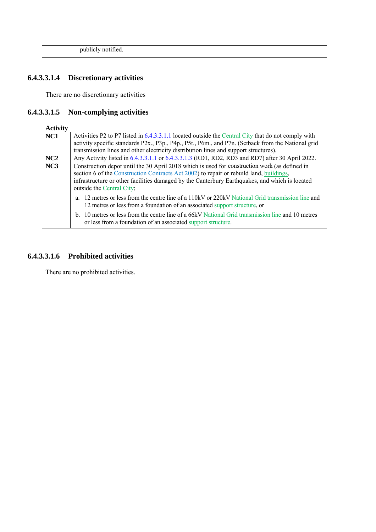| n <sub>1</sub><br>,,,,<br>. | -<br>. |  |
|-----------------------------|--------|--|
|                             |        |  |

# **6.4.3.3.1.4 Discretionary activities**

There are no discretionary activities

## **6.4.3.3.1.5 Non-complying activities**

| <b>Activity</b>                                                                                                                                                                                             |                                                                                                                                                                              |  |
|-------------------------------------------------------------------------------------------------------------------------------------------------------------------------------------------------------------|------------------------------------------------------------------------------------------------------------------------------------------------------------------------------|--|
| NC1                                                                                                                                                                                                         | Activities P2 to P7 listed in 6.4.3.3.1.1 located outside the Central City that do not comply with                                                                           |  |
|                                                                                                                                                                                                             | activity specific standards P2x., P3p., P4p., P5t., P6m., and P7n. (Setback from the National grid                                                                           |  |
|                                                                                                                                                                                                             | transmission lines and other electricity distribution lines and support structures).                                                                                         |  |
| NC2                                                                                                                                                                                                         | Any Activity listed in 6.4.3.3.1.1 or 6.4.3.3.1.3 (RD1, RD2, RD3 and RD7) after 30 April 2022.                                                                               |  |
| Construction depot until the 30 April 2018 which is used for construction work (as defined in<br>NC <sub>3</sub><br>section 6 of the Construction Contracts Act 2002) to repair or rebuild land, buildings, |                                                                                                                                                                              |  |
|                                                                                                                                                                                                             | infrastructure or other facilities damaged by the Canterbury Earthquakes, and which is located<br>outside the Central City;                                                  |  |
|                                                                                                                                                                                                             | 12 metres or less from the centre line of a 110kV or 220kV National Grid transmission line and<br>12 metres or less from a foundation of an associated support structure, or |  |
|                                                                                                                                                                                                             | b. 10 metres or less from the centre line of a 66kV National Grid transmission line and 10 metres<br>or less from a foundation of an associated support structure.           |  |

#### **6.4.3.3.1.6 Prohibited activities**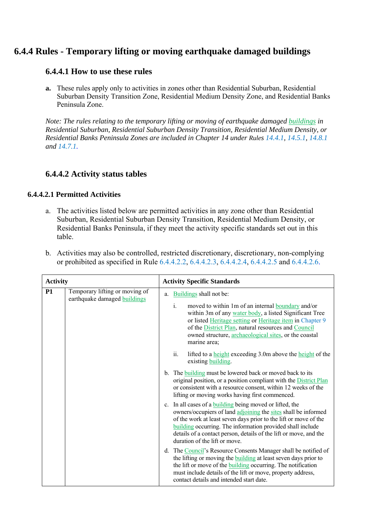# **6.4.4 Rules - Temporary lifting or moving earthquake damaged buildings**

## **6.4.4.1 How to use these rules**

**a.** These rules apply only to activities in zones other than Residential Suburban, Residential Suburban Density Transition Zone, Residential Medium Density Zone, and Residential Banks Peninsula Zone.

*Note: The rules relating to the temporary lifting or moving of earthquake damaged buildings in Residential Suburban, Residential Suburban Density Transition, Residential Medium Density, or Residential Banks Peninsula Zones are included in Chapter 14 under Rules 14.4.1, 14.5.1, 14.8.1 and 14.7.1.* 

## **6.4.4.2 Activity status tables**

#### **6.4.4.2.1 Permitted Activities**

a. The activities listed below are permitted activities in any zone other than Residential Suburban, Residential Suburban Density Transition, Residential Medium Density, or Residential Banks Peninsula, if they meet the activity specific standards set out in this table.

| b. Activities may also be controlled, restricted discretionary, discretionary, non-complying |
|----------------------------------------------------------------------------------------------|
| or prohibited as specified in Rule 6.4.4.2.2, 6.4.4.2.3, 6.4.4.2.4, 6.4.4.2.5 and 6.4.4.2.6. |

| <b>Activity</b> |                                                                |    | <b>Activity Specific Standards</b>                                                                                                                                                                                                                                                                                                                                        |  |  |
|-----------------|----------------------------------------------------------------|----|---------------------------------------------------------------------------------------------------------------------------------------------------------------------------------------------------------------------------------------------------------------------------------------------------------------------------------------------------------------------------|--|--|
| <b>P1</b>       | Temporary lifting or moving of<br>earthquake damaged buildings | a. | Buildings shall not be:<br>$i$ .<br>moved to within 1m of an internal boundary and/or<br>within 3m of any water body, a listed Significant Tree<br>or listed Heritage setting or Heritage item in Chapter 9<br>of the District Plan, natural resources and Council<br>owned structure, archaeological sites, or the coastal<br>marine area;                               |  |  |
|                 |                                                                |    | ii.<br>lifted to a <u>height</u> exceeding 3.0m above the <b>height</b> of the<br>existing building.                                                                                                                                                                                                                                                                      |  |  |
|                 |                                                                |    | b. The building must be lowered back or moved back to its<br>original position, or a position compliant with the District Plan<br>or consistent with a resource consent, within 12 weeks of the<br>lifting or moving works having first commenced.                                                                                                                        |  |  |
|                 |                                                                |    | c. In all cases of a <b>building</b> being moved or lifted, the<br>owners/occupiers of land adjoining the sites shall be informed<br>of the work at least seven days prior to the lift or move of the<br>building occurring. The information provided shall include<br>details of a contact person, details of the lift or move, and the<br>duration of the lift or move. |  |  |
|                 |                                                                |    | d. The Council's Resource Consents Manager shall be notified of<br>the lifting or moving the <b>building</b> at least seven days prior to<br>the lift or move of the <b>building</b> occurring. The notification<br>must include details of the lift or move, property address,<br>contact details and intended start date.                                               |  |  |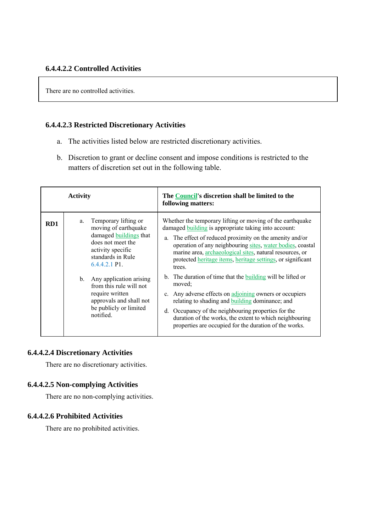There are no controlled activities.

#### **6.4.4.2.3 Restricted Discretionary Activities**

- a. The activities listed below are restricted discretionary activities.
- b. Discretion to grant or decline consent and impose conditions is restricted to the matters of discretion set out in the following table.

| <b>Activity</b> |    |                                                                                                                                                                       | The Council's discretion shall be limited to the<br>following matters:                                                                                                                                                                                                                                                                                                                     |
|-----------------|----|-----------------------------------------------------------------------------------------------------------------------------------------------------------------------|--------------------------------------------------------------------------------------------------------------------------------------------------------------------------------------------------------------------------------------------------------------------------------------------------------------------------------------------------------------------------------------------|
| RD1             | a. | Temporary lifting or<br>moving of earthquake<br>damaged buildings that<br>does not meet the<br>activity specific<br>standards in Rule<br>$6.4.4.2.1$ P <sub>1</sub> . | Whether the temporary lifting or moving of the earthquake<br>damaged <b>building</b> is appropriate taking into account:<br>The effect of reduced proximity on the amenity and/or<br>a.<br>operation of any neighbouring sites, water bodies, coastal<br>marine area, archaeological sites, natural resources, or<br>protected heritage items, heritage settings, or significant<br>trees. |
|                 | b. | Any application arising<br>from this rule will not<br>require written<br>approvals and shall not<br>be publicly or limited<br>notified.                               | b. The duration of time that the building will be lifted or<br>moved;<br>c. Any adverse effects on adjoining owners or occupiers<br>relating to shading and <b>building</b> dominance; and<br>d. Occupancy of the neighbouring properties for the<br>duration of the works, the extent to which neighbouring<br>properties are occupied for the duration of the works.                     |

#### **6.4.4.2.4 Discretionary Activities**

There are no discretionary activities.

#### **6.4.4.2.5 Non-complying Activities**

There are no non-complying activities.

#### **6.4.4.2.6 Prohibited Activities**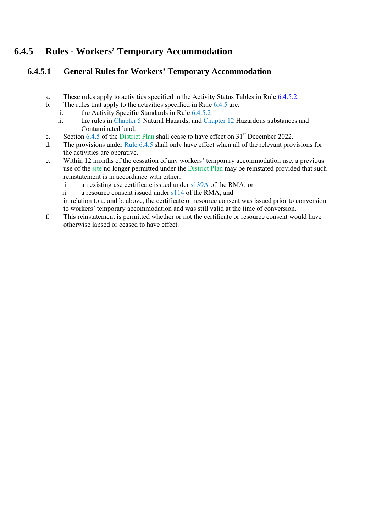# **6.4.5 Rules - Workers' Temporary Accommodation**

## **6.4.5.1 General Rules for Workers' Temporary Accommodation**

- a. These rules apply to activities specified in the Activity Status Tables in Rule 6.4.5.2.
- b. The rules that apply to the activities specified in Rule 6.4.5 are:
	- i. the Activity Specific Standards in Rule 6.4.5.2
	- ii. the rules in Chapter 5 Natural Hazards, and Chapter 12 Hazardous substances and Contaminated land.
- c. Section 6.4.5 of the District Plan shall cease to have effect on  $31<sup>st</sup>$  December 2022.
- d. The provisions under Rule 6.4.5 shall only have effect when all of the relevant provisions for the activities are operative.
- e. Within 12 months of the cessation of any workers' temporary accommodation use, a previous use of the site no longer permitted under the District Plan may be reinstated provided that such reinstatement is in accordance with either:
	- i. an existing use certificate issued under s139A of the RMA; or
	- ii. a resource consent issued under s114 of the RMA; and

in relation to a. and b. above, the certificate or resource consent was issued prior to conversion to workers' temporary accommodation and was still valid at the time of conversion.

f. This reinstatement is permitted whether or not the certificate or resource consent would have otherwise lapsed or ceased to have effect.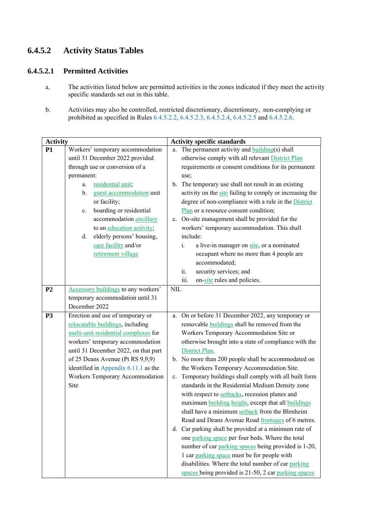# **6.4.5.2 Activity Status Tables**

## **6.4.5.2.1 Permitted Activities**

- a. The activities listed below are permitted activities in the zones indicated if they meet the activity specific standards set out in this table.
- b. Activities may also be controlled, restricted discretionary, discretionary, non-complying or prohibited as specified in Rules 6.4.5.2.2, 6.4.5.2.3, 6.4.5.2.4, 6.4.5.2.5 and 6.4.5.2.6.

| <b>Activity</b> |                                            | <b>Activity specific standards</b>                                  |  |
|-----------------|--------------------------------------------|---------------------------------------------------------------------|--|
| <b>P1</b>       | Workers' temporary accommodation           | The permanent activity and <b>building</b> (s) shall<br>a.          |  |
|                 | until 31 December 2022 provided            | otherwise comply with all relevant District Plan                    |  |
|                 | through use or conversion of a             | requirements or consent conditions for its permanent                |  |
|                 | permanent:                                 | use;                                                                |  |
|                 | residential unit;<br>a.                    | b. The temporary use shall not result in an existing                |  |
|                 | $\mathbf{b}$ .<br>guest accommodation unit | activity on the site failing to comply or increasing the            |  |
|                 | or facility;                               | degree of non-compliance with a rule in the District                |  |
|                 | boarding or residential<br>$c_{\cdot}$     | Plan or a resource consent condition;                               |  |
|                 | accommodation ancillary                    | c. On-site management shall be provided for the                     |  |
|                 | to an education activity;                  | workers' temporary accommodation. This shall                        |  |
|                 | elderly persons' housing,<br>d.            | include:                                                            |  |
|                 | care facility and/or                       | $i$ .<br>a live-in manager on site, or a nominated                  |  |
|                 | retirement village                         | occupant where no more than 4 people are                            |  |
|                 |                                            | accommodated;                                                       |  |
|                 |                                            | security services; and<br>ii.                                       |  |
|                 |                                            | iii.<br>on-site rules and policies.                                 |  |
| P <sub>2</sub>  | Accessory buildings to any workers'        | <b>NIL</b>                                                          |  |
|                 | temporary accommodation until 31           |                                                                     |  |
|                 | December 2022                              |                                                                     |  |
| <b>P3</b>       | Erection and use of temporary or           | a. On or before 31 December 2022, any temporary or                  |  |
|                 | relocatable buildings, including           | removable buildings shall be removed from the                       |  |
|                 | multi-unit residential complexes for       | Workers Temporary Accommodation Site or                             |  |
|                 | workers' temporary accommodation           | otherwise brought into a state of compliance with the               |  |
|                 | until 31 December 2022, on that part       | District Plan.                                                      |  |
|                 | of 25 Deans Avenue (Pt RS 9,9,9)           | b. No more than 200 people shall be accommodated on                 |  |
|                 | identified in Appendix 6.11.1 as the       | the Workers Temporary Accommodation Site.                           |  |
|                 | Workers Temporary Accommodation            | Temporary buildings shall comply with all built form<br>$c_{\cdot}$ |  |
|                 | Site                                       | standards in the Residential Medium Density zone                    |  |
|                 |                                            | with respect to setbacks, recession planes and                      |  |
|                 |                                            | maximum building height, except that all buildings                  |  |
|                 |                                            | shall have a minimum setback from the Blenheim                      |  |
|                 |                                            | Road and Deans Avenue Road frontages of 6 metres.                   |  |
|                 |                                            | d. Car parking shall be provided at a minimum rate of               |  |
|                 |                                            | one parking space per four beds. Where the total                    |  |
|                 |                                            | number of car parking spaces being provided is 1-20,                |  |
|                 |                                            | 1 car parking space must be for people with                         |  |
|                 |                                            | disabilities. Where the total number of car parking                 |  |
|                 |                                            | spaces being provided is 21-50, 2 car parking spaces                |  |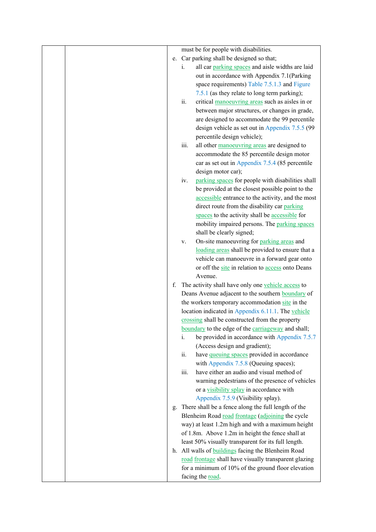|    | must be for people with disabilities.                              |
|----|--------------------------------------------------------------------|
|    | e. Car parking shall be designed so that;                          |
|    | all car parking spaces and aisle widths are laid<br>$\mathbf{i}$ . |
|    | out in accordance with Appendix 7.1(Parking                        |
|    | space requirements) Table 7.5.1.3 and Figure                       |
|    | 7.5.1 (as they relate to long term parking);                       |
|    | ii.<br>critical manoeuvring areas such as aisles in or             |
|    | between major structures, or changes in grade,                     |
|    | are designed to accommodate the 99 percentile                      |
|    | design vehicle as set out in Appendix 7.5.5 (99                    |
|    | percentile design vehicle);                                        |
|    | iii.<br>all other manoeuvring areas are designed to                |
|    | accommodate the 85 percentile design motor                         |
|    | car as set out in Appendix 7.5.4 (85 percentile                    |
|    | design motor car);                                                 |
|    | parking spaces for people with disabilities shall<br>iv.           |
|    | be provided at the closest possible point to the                   |
|    | accessible entrance to the activity, and the most                  |
|    | direct route from the disability car parking                       |
|    | spaces to the activity shall be accessible for                     |
|    | mobility impaired persons. The parking spaces                      |
|    | shall be clearly signed;                                           |
|    | On-site manoeuvring for parking areas and<br>V.                    |
|    | loading areas shall be provided to ensure that a                   |
|    | vehicle can manoeuvre in a forward gear onto                       |
|    | or off the site in relation to access onto Deans                   |
|    | Avenue.                                                            |
| f. | The activity shall have only one vehicle access to                 |
|    | Deans Avenue adjacent to the southern <b>boundary</b> of           |
|    | the workers temporary accommodation site in the                    |
|    | location indicated in Appendix 6.11.1. The vehicle                 |
|    | crossing shall be constructed from the property                    |
|    | boundary to the edge of the carriageway and shall;                 |
|    | be provided in accordance with Appendix 7.5.7<br>i.                |
|    | (Access design and gradient);                                      |
|    | ii.<br>have queuing spaces provided in accordance                  |
|    | with Appendix 7.5.8 (Queuing spaces);                              |
|    | have either an audio and visual method of<br>iii.                  |
|    | warning pedestrians of the presence of vehicles                    |
|    | or a visibility splay in accordance with                           |
|    | Appendix 7.5.9 (Visibility splay).                                 |
|    | g. There shall be a fence along the full length of the             |
|    | Blenheim Road road frontage (adjoining the cycle                   |
|    | way) at least 1.2m high and with a maximum height                  |
|    | of 1.8m. Above 1.2m in height the fence shall at                   |
|    | least 50% visually transparent for its full length.                |
|    | h. All walls of <b>buildings</b> facing the Blenheim Road          |
|    | road frontage shall have visually transparent glazing              |
|    | for a minimum of 10% of the ground floor elevation                 |
|    | facing the road.                                                   |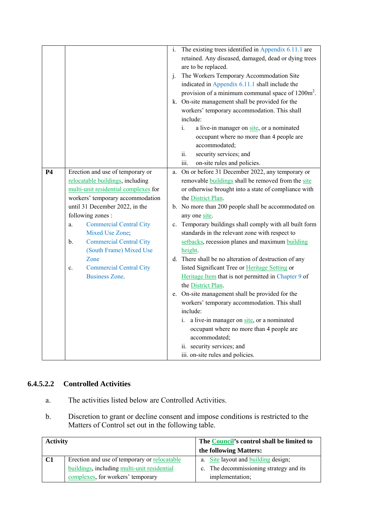|           |    |                                      | $\mathbf{1}$ . | The existing trees identified in Appendix 6.11.1 are          |
|-----------|----|--------------------------------------|----------------|---------------------------------------------------------------|
|           |    |                                      |                | retained. Any diseased, damaged, dead or dying trees          |
|           |    |                                      |                | are to be replaced.                                           |
|           |    |                                      | j.             | The Workers Temporary Accommodation Site                      |
|           |    |                                      |                | indicated in Appendix 6.11.1 shall include the                |
|           |    |                                      |                | provision of a minimum communal space of 1200m <sup>2</sup> . |
|           |    |                                      |                | k. On-site management shall be provided for the               |
|           |    |                                      |                | workers' temporary accommodation. This shall                  |
|           |    |                                      |                | include:                                                      |
|           |    |                                      |                | $i$ .<br>a live-in manager on site, or a nominated            |
|           |    |                                      |                | occupant where no more than 4 people are                      |
|           |    |                                      |                | accommodated;                                                 |
|           |    |                                      |                | security services; and<br>ii.                                 |
|           |    |                                      |                | iii.<br>on-site rules and policies.                           |
| <b>P4</b> |    | Erection and use of temporary or     | a.             | On or before 31 December 2022, any temporary or               |
|           |    | relocatable buildings, including     |                | removable <b>buildings</b> shall be removed from the site     |
|           |    | multi-unit residential complexes for |                | or otherwise brought into a state of compliance with          |
|           |    | workers' temporary accommodation     |                | the District Plan.                                            |
|           |    | until 31 December 2022, in the       |                | b. No more than 200 people shall be accommodated on           |
|           |    | following zones:                     |                | any one site.                                                 |
|           | a. | <b>Commercial Central City</b>       |                | c. Temporary buildings shall comply with all built form       |
|           |    | Mixed Use Zone;                      |                | standards in the relevant zone with respect to                |
|           | b. | <b>Commercial Central City</b>       |                | setbacks, recession planes and maximum building               |
|           |    | (South Frame) Mixed Use              |                | height.                                                       |
|           |    | Zone                                 |                | d. There shall be no alteration of destruction of any         |
|           | c. | <b>Commercial Central City</b>       |                | listed Significant Tree or Heritage Setting or                |
|           |    | <b>Business Zone.</b>                |                | Heritage Item that is not permitted in Chapter 9 of           |
|           |    |                                      |                | the District Plan.                                            |
|           |    |                                      |                | e. On-site management shall be provided for the               |
|           |    |                                      |                | workers' temporary accommodation. This shall                  |
|           |    |                                      |                | include:                                                      |
|           |    |                                      |                | a live-in manager on site, or a nominated<br>$\mathbf{i}$ .   |
|           |    |                                      |                | occupant where no more than 4 people are                      |
|           |    |                                      |                | accommodated;                                                 |
|           |    |                                      |                | ii. security services; and                                    |
|           |    |                                      |                | iii. on-site rules and policies.                              |

## **6.4.5.2.2 Controlled Activities**

- a. The activities listed below are Controlled Activities.
- b. Discretion to grant or decline consent and impose conditions is restricted to the Matters of Control set out in the following table.

| <b>Activity</b> |                                              | The Council's control shall be limited to |
|-----------------|----------------------------------------------|-------------------------------------------|
|                 |                                              | the following Matters:                    |
| C1              | Erection and use of temporary or relocatable | a. Site layout and building design;       |
|                 | buildings, including multi-unit residential  | c. The decommissioning strategy and its   |
|                 | complexes, for workers' temporary            | implementation;                           |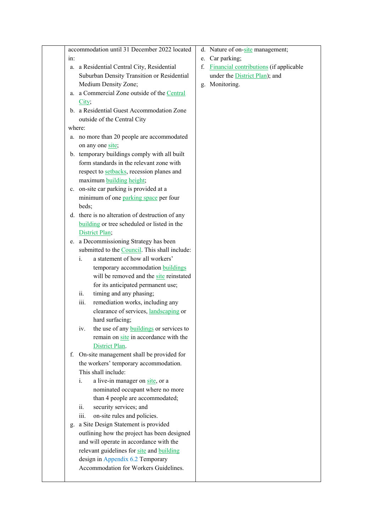|     | accommodation until 31 December 2022 located    | d. Nature of on-site management;          |
|-----|-------------------------------------------------|-------------------------------------------|
| in: |                                                 | e. Car parking;                           |
|     | a. a Residential Central City, Residential      | f. Financial contributions (if applicable |
|     | Suburban Density Transition or Residential      | under the District Plan); and             |
|     | Medium Density Zone;                            | g. Monitoring.                            |
|     | a. a Commercial Zone outside of the Central     |                                           |
|     | City;                                           |                                           |
|     | b. a Residential Guest Accommodation Zone       |                                           |
|     | outside of the Central City                     |                                           |
|     | where:                                          |                                           |
|     | a. no more than 20 people are accommodated      |                                           |
|     | on any one site;                                |                                           |
|     | b. temporary buildings comply with all built    |                                           |
|     | form standards in the relevant zone with        |                                           |
|     | respect to setbacks, recession planes and       |                                           |
|     | maximum building height;                        |                                           |
|     | c. on-site car parking is provided at a         |                                           |
|     | minimum of one parking space per four           |                                           |
|     | beds;                                           |                                           |
|     | d. there is no alteration of destruction of any |                                           |
|     | building or tree scheduled or listed in the     |                                           |
|     | District Plan;                                  |                                           |
|     | e. a Decommissioning Strategy has been          |                                           |
|     | submitted to the Council. This shall include:   |                                           |
|     | a statement of how all workers'<br>i.           |                                           |
|     | temporary accommodation buildings               |                                           |
|     | will be removed and the site reinstated         |                                           |
|     | for its anticipated permanent use;              |                                           |
|     | timing and any phasing;<br>ii.                  |                                           |
|     | remediation works, including any<br>iii.        |                                           |
|     | clearance of services, landscaping or           |                                           |
|     | hard surfacing;                                 |                                           |
|     | the use of any <b>buildings</b> or services to  |                                           |
|     | remain on site in accordance with the           |                                           |
|     | District Plan.                                  |                                           |
| f.  | On-site management shall be provided for        |                                           |
|     | the workers' temporary accommodation.           |                                           |
|     | This shall include:                             |                                           |
|     | a live-in manager on site, or a<br>i.           |                                           |
|     | nominated occupant where no more                |                                           |
|     | than 4 people are accommodated;                 |                                           |
|     | security services; and<br>ii.                   |                                           |
|     | on-site rules and policies.<br>111.             |                                           |
|     | a Site Design Statement is provided<br>g.       |                                           |
|     | outlining how the project has been designed     |                                           |
|     | and will operate in accordance with the         |                                           |
|     | relevant guidelines for site and building       |                                           |
|     | design in Appendix 6.2 Temporary                |                                           |
|     | Accommodation for Workers Guidelines.           |                                           |
|     |                                                 |                                           |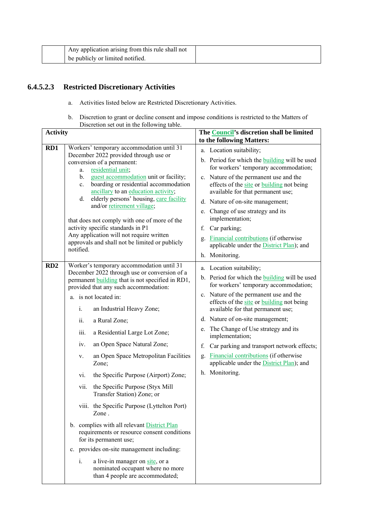| Any application arising from this rule shall not |  |
|--------------------------------------------------|--|
| be publicly or limited notified.                 |  |

## **6.4.5.2.3 Restricted Discretionary Activities**

- a. Activities listed below are Restricted Discretionary Activities.
- b. Discretion to grant or decline consent and impose conditions is restricted to the Matters of Discretion set out in the following table.

| <b>Activity</b> |                                                                                                                                                                                                                                                                                                                                                                                                                                                                                                                                                                                                                                                                                                                                                                                                                                                                                                           | The Council's discretion shall be limited<br>to the following Matters:                                                                                                                                                                                                                                                                                                                                                                                                                                                      |  |
|-----------------|-----------------------------------------------------------------------------------------------------------------------------------------------------------------------------------------------------------------------------------------------------------------------------------------------------------------------------------------------------------------------------------------------------------------------------------------------------------------------------------------------------------------------------------------------------------------------------------------------------------------------------------------------------------------------------------------------------------------------------------------------------------------------------------------------------------------------------------------------------------------------------------------------------------|-----------------------------------------------------------------------------------------------------------------------------------------------------------------------------------------------------------------------------------------------------------------------------------------------------------------------------------------------------------------------------------------------------------------------------------------------------------------------------------------------------------------------------|--|
| RD1             | Workers' temporary accommodation until 31<br>December 2022 provided through use or<br>conversion of a permanent:<br>residential unit;<br>a.<br>guest accommodation unit or facility;<br>$b_{-}$<br>boarding or residential accommodation<br>$\mathbf{c}$ .<br>ancillary to an education activity;<br>elderly persons' housing, care facility<br>d.<br>and/or retirement village;<br>that does not comply with one of more of the<br>activity specific standards in P1<br>Any application will not require written<br>approvals and shall not be limited or publicly<br>notified.                                                                                                                                                                                                                                                                                                                          | a. Location suitability;<br>b. Period for which the <b>building</b> will be used<br>for workers' temporary accommodation;<br>c. Nature of the permanent use and the<br>effects of the site or building not being<br>available for that permanent use;<br>d. Nature of on-site management;<br>e. Change of use strategy and its<br>implementation;<br>f. Car parking;<br><b>Financial contributions</b> (if otherwise<br>g.<br>applicable under the <b>District Plan</b> ); and<br>h. Monitoring.                            |  |
| RD2             | Worker's temporary accommodation until 31<br>December 2022 through use or conversion of a<br>permanent <b>building</b> that is not specified in RD1,<br>provided that any such accommodation:<br>a. is not located in:<br>i.<br>an Industrial Heavy Zone;<br>ii.<br>a Rural Zone;<br>a Residential Large Lot Zone;<br>iii.<br>an Open Space Natural Zone;<br>iv.<br>an Open Space Metropolitan Facilities<br>V.<br>Zone;<br>the Specific Purpose (Airport) Zone;<br>vi.<br>the Specific Purpose (Styx Mill<br>vii.<br>Transfer Station) Zone; or<br>viii. the Specific Purpose (Lyttelton Port)<br>Zone.<br>b. complies with all relevant District Plan<br>requirements or resource consent conditions<br>for its permanent use;<br>c. provides on-site management including:<br>a live-in manager on site, or a<br>$\mathbf{i}$ .<br>nominated occupant where no more<br>than 4 people are accommodated; | a. Location suitability;<br>b. Period for which the <b>building</b> will be used<br>for workers' temporary accommodation;<br>c. Nature of the permanent use and the<br>effects of the site or building not being<br>available for that permanent use;<br>d. Nature of on-site management;<br>e. The Change of Use strategy and its<br>implementation;<br>Car parking and transport network effects;<br>f.<br>g. Financial contributions (if otherwise<br>applicable under the <b>District Plan</b> ); and<br>h. Monitoring. |  |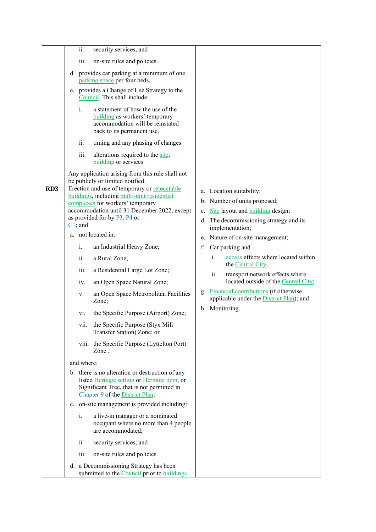|                 | security services; and<br>ii.                                                                                                                                                                                                 |                                                                                                                                            |
|-----------------|-------------------------------------------------------------------------------------------------------------------------------------------------------------------------------------------------------------------------------|--------------------------------------------------------------------------------------------------------------------------------------------|
|                 | iii.<br>on-site rules and policies.                                                                                                                                                                                           |                                                                                                                                            |
|                 | d. provides car parking at a minimum of one<br>parking space per four beds.                                                                                                                                                   |                                                                                                                                            |
|                 | e. provides a Change of Use Strategy to the<br>Council. This shall include:                                                                                                                                                   |                                                                                                                                            |
|                 | a statement of how the use of the<br>i.<br>building as workers' temporary<br>accommodation will be reinstated<br>back to its permanent use.                                                                                   |                                                                                                                                            |
|                 | ii.<br>timing and any phasing of changes                                                                                                                                                                                      |                                                                                                                                            |
|                 | iii.<br>alterations required to the site,<br>building or services.                                                                                                                                                            |                                                                                                                                            |
|                 | Any application arising from this rule shall not<br>be publicly or limited notified.                                                                                                                                          |                                                                                                                                            |
| RD <sub>3</sub> | Erection and use of temporary or relocatable<br>buildings, including multi-unit residential<br>complexes for workers' temporary<br>accommodation until 31 December 2022, except<br>as provided for by P3, P4 or<br>$C1$ ; and | a. Location suitability;<br>b. Number of units proposed;<br>c. Site layout and building design;<br>d. The decommissioning strategy and its |
|                 | a. not located in:                                                                                                                                                                                                            | implementation;<br>e. Nature of on-site management;                                                                                        |
|                 | i.<br>an Industrial Heavy Zone;                                                                                                                                                                                               | Car parking and<br>f.                                                                                                                      |
|                 | ii.<br>a Rural Zone;                                                                                                                                                                                                          | access effects where located within<br>i.                                                                                                  |
|                 | iii.<br>a Residential Large Lot Zone;                                                                                                                                                                                         | the Central City,<br>transport network effects where                                                                                       |
|                 | an Open Space Natural Zone;<br>1V.                                                                                                                                                                                            | $\overline{\mathbf{11}}$ .<br>located outside of the Central City;                                                                         |
|                 | an Open Space Metropolitan Facilities<br>V.<br>Zone;                                                                                                                                                                          | g. Financial contributions (if otherwise<br>applicable under the District Plan); and                                                       |
|                 | the Specific Purpose (Airport) Zone;<br>vi.                                                                                                                                                                                   | h. Monitoring.                                                                                                                             |
|                 | vii.<br>the Specific Purpose (Styx Mill<br>Transfer Station) Zone; or                                                                                                                                                         |                                                                                                                                            |
|                 | viii. the Specific Purpose (Lyttelton Port)<br>Zone.                                                                                                                                                                          |                                                                                                                                            |
|                 | and where:                                                                                                                                                                                                                    |                                                                                                                                            |
|                 | b. there is no alteration or destruction of any<br>listed Heritage setting or Heritage item, or<br>Significant Tree, that is not permitted in<br>Chapter 9 of the District Plan;                                              |                                                                                                                                            |
|                 | c. on-site management is provided including:                                                                                                                                                                                  |                                                                                                                                            |
|                 | i.<br>a live-in manager or a nominated<br>occupant where no more than 4 people<br>are accommodated;                                                                                                                           |                                                                                                                                            |
|                 | ii.<br>security services; and                                                                                                                                                                                                 |                                                                                                                                            |
|                 | on-site rules and policies.<br>iii.                                                                                                                                                                                           |                                                                                                                                            |
|                 | d. a Decommissioning Strategy has been<br>submitted to the <b>Council</b> prior to <b>buildings</b>                                                                                                                           |                                                                                                                                            |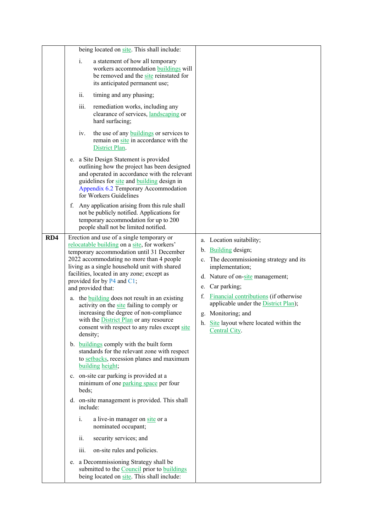|     | being located on site. This shall include:                                                                                                                                                                                                                                                                                                                                                                                                                                                                                                                                                                                                                                                                                                                |                                                                                                                                                                                                                                                                                                                                                    |
|-----|-----------------------------------------------------------------------------------------------------------------------------------------------------------------------------------------------------------------------------------------------------------------------------------------------------------------------------------------------------------------------------------------------------------------------------------------------------------------------------------------------------------------------------------------------------------------------------------------------------------------------------------------------------------------------------------------------------------------------------------------------------------|----------------------------------------------------------------------------------------------------------------------------------------------------------------------------------------------------------------------------------------------------------------------------------------------------------------------------------------------------|
|     | a statement of how all temporary<br>$\mathbf{i}$ .<br>workers accommodation buildings will<br>be removed and the site reinstated for<br>its anticipated permanent use;                                                                                                                                                                                                                                                                                                                                                                                                                                                                                                                                                                                    |                                                                                                                                                                                                                                                                                                                                                    |
|     | ii.<br>timing and any phasing;                                                                                                                                                                                                                                                                                                                                                                                                                                                                                                                                                                                                                                                                                                                            |                                                                                                                                                                                                                                                                                                                                                    |
|     | iii.<br>remediation works, including any<br>clearance of services, landscaping or<br>hard surfacing;                                                                                                                                                                                                                                                                                                                                                                                                                                                                                                                                                                                                                                                      |                                                                                                                                                                                                                                                                                                                                                    |
|     | the use of any <b>buildings</b> or services to<br>iv.<br>remain on site in accordance with the<br>District Plan.                                                                                                                                                                                                                                                                                                                                                                                                                                                                                                                                                                                                                                          |                                                                                                                                                                                                                                                                                                                                                    |
|     | e. a Site Design Statement is provided<br>outlining how the project has been designed<br>and operated in accordance with the relevant<br>guidelines for site and building design in<br>Appendix 6.2 Temporary Accommodation<br>for Workers Guidelines                                                                                                                                                                                                                                                                                                                                                                                                                                                                                                     |                                                                                                                                                                                                                                                                                                                                                    |
|     | Any application arising from this rule shall<br>f.<br>not be publicly notified. Applications for<br>temporary accommodation for up to 200<br>people shall not be limited notified.                                                                                                                                                                                                                                                                                                                                                                                                                                                                                                                                                                        |                                                                                                                                                                                                                                                                                                                                                    |
| RD4 | Erection and use of a single temporary or<br>relocatable building on a site, for workers'<br>temporary accommodation until 31 December<br>2022 accommodating no more than 4 people<br>living as a single household unit with shared<br>facilities, located in any zone; except as<br>provided for by P4 and C1;<br>and provided that:<br>a. the building does not result in an existing<br>activity on the site failing to comply or<br>increasing the degree of non-compliance<br>with the <b>District Plan</b> or any resource<br>consent with respect to any rules except site<br>density;<br>b. buildings comply with the built form<br>standards for the relevant zone with respect<br>to setbacks, recession planes and maximum<br>building height; | a. Location suitability;<br>b. Building design;<br>c. The decommissioning strategy and its<br>implementation;<br>d. Nature of on-site management;<br>e. Car parking;<br>f. Financial contributions (if otherwise<br>applicable under the <b>District Plan</b> );<br>g. Monitoring; and<br>h. Site layout where located within the<br>Central City. |
|     | c. on-site car parking is provided at a<br>minimum of one parking space per four<br>beds;                                                                                                                                                                                                                                                                                                                                                                                                                                                                                                                                                                                                                                                                 |                                                                                                                                                                                                                                                                                                                                                    |
|     | d. on-site management is provided. This shall<br>include:                                                                                                                                                                                                                                                                                                                                                                                                                                                                                                                                                                                                                                                                                                 |                                                                                                                                                                                                                                                                                                                                                    |
|     | i.<br>a live-in manager on site or a<br>nominated occupant;                                                                                                                                                                                                                                                                                                                                                                                                                                                                                                                                                                                                                                                                                               |                                                                                                                                                                                                                                                                                                                                                    |
|     | ii.<br>security services; and                                                                                                                                                                                                                                                                                                                                                                                                                                                                                                                                                                                                                                                                                                                             |                                                                                                                                                                                                                                                                                                                                                    |
|     | on-site rules and policies.<br>iii.                                                                                                                                                                                                                                                                                                                                                                                                                                                                                                                                                                                                                                                                                                                       |                                                                                                                                                                                                                                                                                                                                                    |
|     | e. a Decommissioning Strategy shall be<br>submitted to the <b>Council</b> prior to <b>buildings</b><br>being located on site. This shall include:                                                                                                                                                                                                                                                                                                                                                                                                                                                                                                                                                                                                         |                                                                                                                                                                                                                                                                                                                                                    |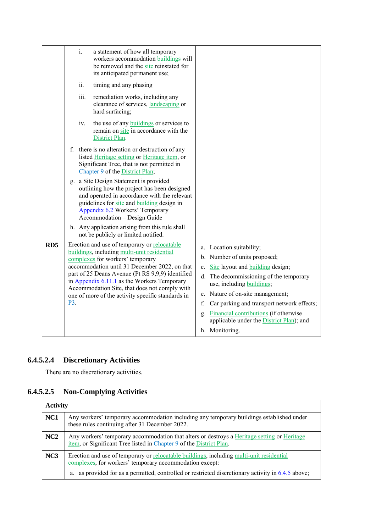| ii.<br>timing and any phasing                                                                                                                                                                                                                                                                                                                                                                                       |                                                                                                                                                                                                                                                                                                                                                                                              |
|---------------------------------------------------------------------------------------------------------------------------------------------------------------------------------------------------------------------------------------------------------------------------------------------------------------------------------------------------------------------------------------------------------------------|----------------------------------------------------------------------------------------------------------------------------------------------------------------------------------------------------------------------------------------------------------------------------------------------------------------------------------------------------------------------------------------------|
| iii.<br>remediation works, including any<br>clearance of services, landscaping or<br>hard surfacing;                                                                                                                                                                                                                                                                                                                |                                                                                                                                                                                                                                                                                                                                                                                              |
| the use of any <b>buildings</b> or services to<br>iv.<br>remain on site in accordance with the<br>District Plan.                                                                                                                                                                                                                                                                                                    |                                                                                                                                                                                                                                                                                                                                                                                              |
| f. there is no alteration or destruction of any<br>listed Heritage setting or Heritage item, or<br>Significant Tree, that is not permitted in<br>Chapter 9 of the District Plan;                                                                                                                                                                                                                                    |                                                                                                                                                                                                                                                                                                                                                                                              |
| g. a Site Design Statement is provided<br>outlining how the project has been designed<br>and operated in accordance with the relevant<br>guidelines for site and building design in<br>Appendix 6.2 Workers' Temporary<br>Accommodation - Design Guide                                                                                                                                                              |                                                                                                                                                                                                                                                                                                                                                                                              |
| h. Any application arising from this rule shall<br>not be publicly or limited notified.                                                                                                                                                                                                                                                                                                                             |                                                                                                                                                                                                                                                                                                                                                                                              |
| RD <sub>5</sub><br>Erection and use of temporary or relocatable<br>buildings, including multi-unit residential<br>complexes for workers' temporary<br>accommodation until 31 December 2022, on that<br>part of 25 Deans Avenue (Pt RS 9,9,9) identified<br>in Appendix 6.11.1 as the Workers Temporary<br>Accommodation Site, that does not comply with<br>one of more of the activity specific standards in<br>P3. | a. Location suitability;<br>b. Number of units proposed;<br>Site layout and <b>building</b> design;<br>$c_{\cdot}$<br>d. The decommissioning of the temporary<br>use, including buildings;<br>e. Nature of on-site management;<br>Car parking and transport network effects;<br>f.<br>g. Financial contributions (if otherwise<br>applicable under the District Plan); and<br>h. Monitoring. |

# **6.4.5.2.4 Discretionary Activities**

There are no discretionary activities.

# **6.4.5.2.5 Non-Complying Activities**

| <b>Activity</b> |                                                                                                                                                                    |  |
|-----------------|--------------------------------------------------------------------------------------------------------------------------------------------------------------------|--|
| NC1             | Any workers' temporary accommodation including any temporary buildings established under<br>these rules continuing after 31 December 2022.                         |  |
| NC2             | Any workers' temporary accommodation that alters or destroys a Heritage setting or Heritage<br>item, or Significant Tree listed in Chapter 9 of the District Plan. |  |
| NC <sub>3</sub> | Erection and use of temporary or relocatable buildings, including multi-unit residential<br>complexes, for workers' temporary accommodation except:                |  |
|                 | a. as provided for as a permitted, controlled or restricted discretionary activity in 6.4.5 above;                                                                 |  |